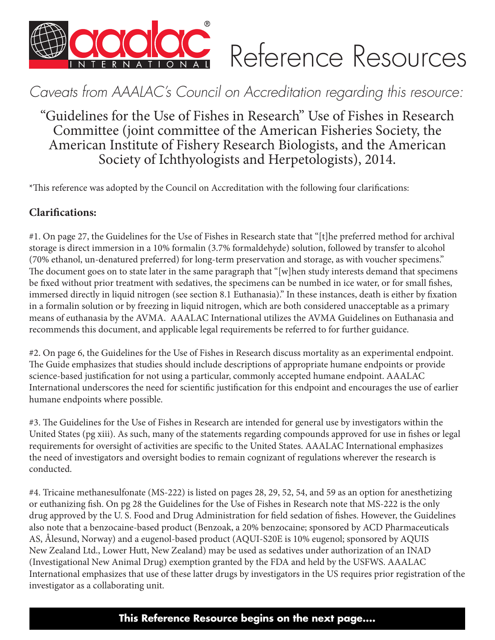

# *Caveats from AAALAC's Council on Accreditation regarding this resource:*

"Guidelines for the Use of Fishes in Research" Use of Fishes in Research Committee (joint committee of the American Fisheries Society, the American Institute of Fishery Research Biologists, and the American Society of Ichthyologists and Herpetologists), 2014.

\*This reference was adopted by the Council on Accreditation with the following four clarifications:

# **Clarifications:**

#1. On page 27, the Guidelines for the Use of Fishes in Research state that "[t]he preferred method for archival storage is direct immersion in a 10% formalin (3.7% formaldehyde) solution, followed by transfer to alcohol (70% ethanol, un-denatured preferred) for long-term preservation and storage, as with voucher specimens." The document goes on to state later in the same paragraph that "[w]hen study interests demand that specimens be fixed without prior treatment with sedatives, the specimens can be numbed in ice water, or for small fishes, immersed directly in liquid nitrogen (see section 8.1 Euthanasia)." In these instances, death is either by fixation in a formalin solution or by freezing in liquid nitrogen, which are both considered unacceptable as a primary means of euthanasia by the AVMA. AAALAC International utilizes the AVMA Guidelines on Euthanasia and recommends this document, and applicable legal requirements be referred to for further guidance.

#2. On page 6, the Guidelines for the Use of Fishes in Research discuss mortality as an experimental endpoint. The Guide emphasizes that studies should include descriptions of appropriate humane endpoints or provide science-based justification for not using a particular, commonly accepted humane endpoint. AAALAC International underscores the need for scientific justification for this endpoint and encourages the use of earlier humane endpoints where possible.

#3. The Guidelines for the Use of Fishes in Research are intended for general use by investigators within the United States (pg xiii). As such, many of the statements regarding compounds approved for use in fishes or legal requirements for oversight of activities are specific to the United States. AAALAC International emphasizes the need of investigators and oversight bodies to remain cognizant of regulations wherever the research is conducted.

#4. Tricaine methanesulfonate (MS-222) is listed on pages 28, 29, 52, 54, and 59 as an option for anesthetizing or euthanizing fish. On pg 28 the Guidelines for the Use of Fishes in Research note that MS-222 is the only drug approved by the U. S. Food and Drug Administration for field sedation of fishes. However, the Guidelines also note that a benzocaine-based product (Benzoak, a 20% benzocaine; sponsored by ACD Pharmaceuticals AS, Ålesund, Norway) and a eugenol-based product (AQUI-S20E is 10% eugenol; sponsored by AQUIS New Zealand Ltd., Lower Hutt, New Zealand) may be used as sedatives under authorization of an INAD (Investigational New Animal Drug) exemption granted by the FDA and held by the USFWS. AAALAC International emphasizes that use of these latter drugs by investigators in the US requires prior registration of the investigator as a collaborating unit.

# **This Reference Resource begins on the next page....**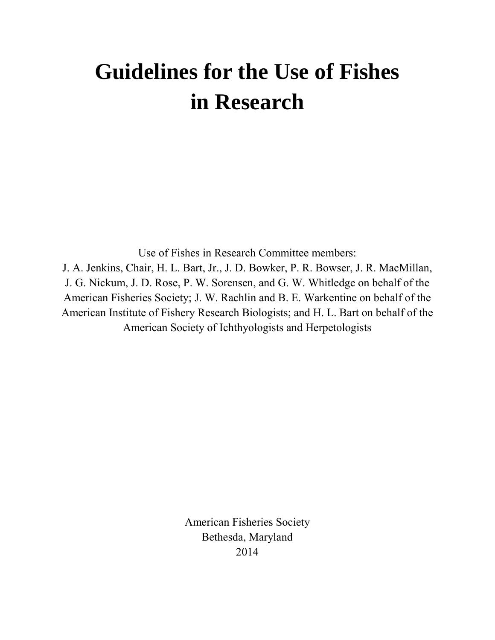# **Guidelines for the Use of Fishes in Research**

Use of Fishes in Research Committee members: J. A. Jenkins, Chair, H. L. Bart, Jr., J. D. Bowker, P. R. Bowser, J. R. MacMillan, J. G. Nickum, J. D. Rose, P. W. Sorensen, and G. W. Whitledge on behalf of the American Fisheries Society; J. W. Rachlin and B. E. Warkentine on behalf of the American Institute of Fishery Research Biologists; and H. L. Bart on behalf of the American Society of Ichthyologists and Herpetologists

> American Fisheries Society Bethesda, Maryland 2014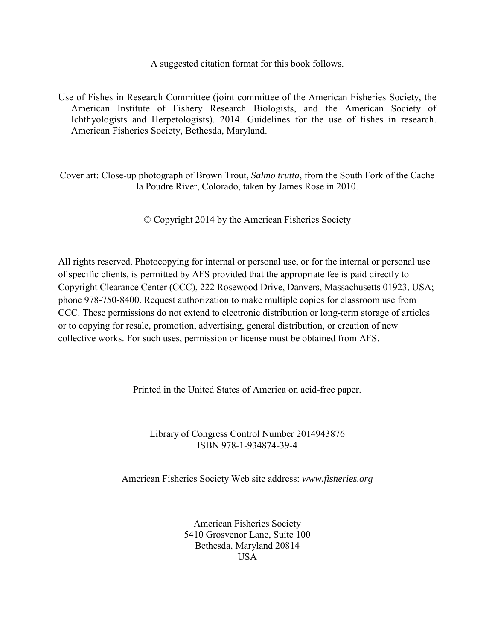A suggested citation format for this book follows.

Use of Fishes in Research Committee (joint committee of the American Fisheries Society, the American Institute of Fishery Research Biologists, and the American Society of Ichthyologists and Herpetologists). 2014. Guidelines for the use of fishes in research. American Fisheries Society, Bethesda, Maryland.

Cover art: Close-up photograph of Brown Trout, *Salmo trutta*, from the South Fork of the Cache la Poudre River, Colorado, taken by James Rose in 2010.

© Copyright 2014 by the American Fisheries Society

All rights reserved. Photocopying for internal or personal use, or for the internal or personal use of specific clients, is permitted by AFS provided that the appropriate fee is paid directly to Copyright Clearance Center (CCC), 222 Rosewood Drive, Danvers, Massachusetts 01923, USA; phone 978-750-8400. Request authorization to make multiple copies for classroom use from CCC. These permissions do not extend to electronic distribution or long-term storage of articles or to copying for resale, promotion, advertising, general distribution, or creation of new collective works. For such uses, permission or license must be obtained from AFS.

Printed in the United States of America on acid-free paper.

Library of Congress Control Number 2014943876 ISBN 978-1-934874-39-4

American Fisheries Society Web site address: *www.fisheries.org*

American Fisheries Society 5410 Grosvenor Lane, Suite 100 Bethesda, Maryland 20814 USA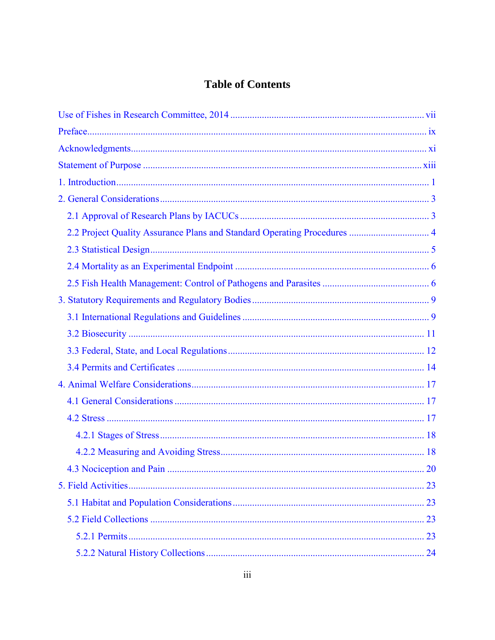# **Table of Contents**

| <b>20</b> |
|-----------|
|           |
|           |
|           |
|           |
|           |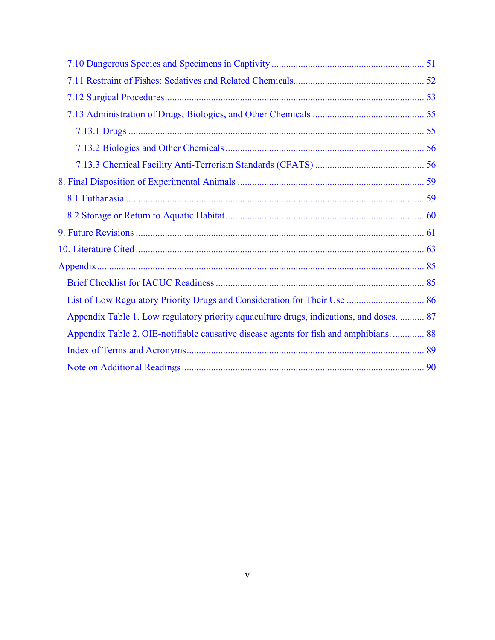| Appendix Table 1. Low regulatory priority aquaculture drugs, indications, and doses.  87 |  |
|------------------------------------------------------------------------------------------|--|
| Appendix Table 2. OIE-notifiable causative disease agents for fish and amphibians 88     |  |
|                                                                                          |  |
|                                                                                          |  |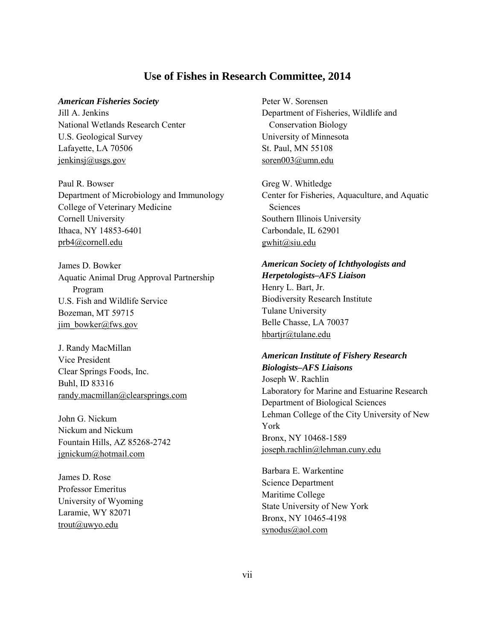#### **Use of Fishes in Research Committee, 2014**

#### <span id="page-7-0"></span>*American Fisheries Society*

Jill A. Jenkins National Wetlands Research Center U.S. Geological Survey Lafayette, LA 70506 [jenkinsj@usgs.gov](mailto:jenkinsj@usgs.gov)

Paul R. Bowser Department of Microbiology and Immunology College of Veterinary Medicine Cornell University Ithaca, NY 14853-6401 [prb4@cornell.edu](mailto:prb4@cornell.edu)

James D. Bowker Aquatic Animal Drug Approval Partnership Program U.S. Fish and Wildlife Service Bozeman, MT 59715 [jim\\_bowker@fws.gov](mailto:jim_bowker@fws.gov)

J. Randy MacMillan Vice President Clear Springs Foods, Inc. Buhl, ID 83316 [randy.macmillan@clearsprings.com](mailto:randy.macmillan@clearsprings.com)

John G. Nickum Nickum and Nickum Fountain Hills, AZ 85268-2742 [jgnickum@hotmail.com](mailto:jgnickum@hotmail.com)

James D. Rose Professor Emeritus University of Wyoming Laramie, WY 82071 [trout@uwyo.edu](mailto:trout@uwyo.edu)

Peter W. Sorensen Department of Fisheries, Wildlife and Conservation Biology University of Minnesota St. Paul, MN 55108 [soren003@umn.edu](mailto:soren003@umn.edu)

Greg W. Whitledge Center for Fisheries, Aquaculture, and Aquatic **Sciences** Southern Illinois University Carbondale, IL 62901 [gwhit@siu.edu](mailto:gwhit@siu.edu)

#### *American Society of Ichthyologists and Herpetologists–AFS Liaison*

Henry L. Bart, Jr. Biodiversity Research Institute Tulane University Belle Chasse, LA 70037 [hbartjr@tulane.edu](mailto:hbartjr@tulane.edu)

#### *American Institute of Fishery Research Biologists–AFS Liaisons* Joseph W. Rachlin

Laboratory for Marine and Estuarine Research Department of Biological Sciences Lehman College of the City University of New York Bronx, NY 10468-1589 [joseph.rachlin@lehman.cuny.edu](mailto:joseph.rachlin@lehman.cuny.edu)

Barbara E. Warkentine Science Department Maritime College State University of New York Bronx, NY 10465-4198 [synodus@aol.com](mailto:synodus@aol.com)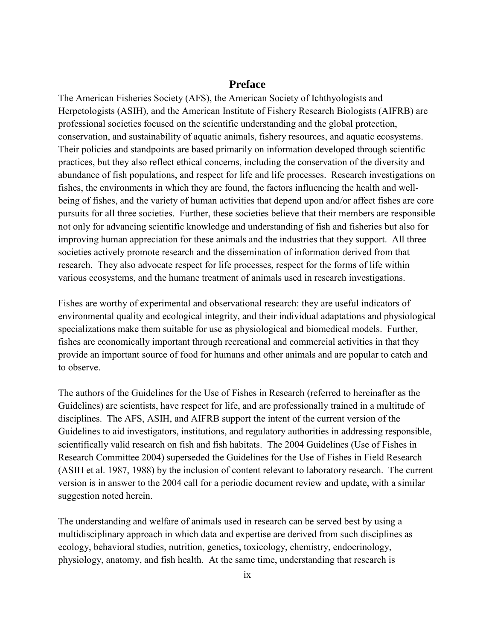#### **Preface**

<span id="page-9-0"></span>The American Fisheries Society (AFS), the American Society of Ichthyologists and Herpetologists (ASIH), and the American Institute of Fishery Research Biologists (AIFRB) are professional societies focused on the scientific understanding and the global protection, conservation, and sustainability of aquatic animals, fishery resources, and aquatic ecosystems. Their policies and standpoints are based primarily on information developed through scientific practices, but they also reflect ethical concerns, including the conservation of the diversity and abundance of fish populations, and respect for life and life processes. Research investigations on fishes, the environments in which they are found, the factors influencing the health and wellbeing of fishes, and the variety of human activities that depend upon and/or affect fishes are core pursuits for all three societies. Further, these societies believe that their members are responsible not only for advancing scientific knowledge and understanding of fish and fisheries but also for improving human appreciation for these animals and the industries that they support. All three societies actively promote research and the dissemination of information derived from that research. They also advocate respect for life processes, respect for the forms of life within various ecosystems, and the humane treatment of animals used in research investigations.

Fishes are worthy of experimental and observational research: they are useful indicators of environmental quality and ecological integrity, and their individual adaptations and physiological specializations make them suitable for use as physiological and biomedical models. Further, fishes are economically important through recreational and commercial activities in that they provide an important source of food for humans and other animals and are popular to catch and to observe.

The authors of the Guidelines for the Use of Fishes in Research (referred to hereinafter as the Guidelines) are scientists, have respect for life, and are professionally trained in a multitude of disciplines. The AFS, ASIH, and AIFRB support the intent of the current version of the Guidelines to aid investigators, institutions, and regulatory authorities in addressing responsible, scientifically valid research on fish and fish habitats. The 2004 Guidelines (Use of Fishes in Research Committee 2004) superseded the Guidelines for the Use of Fishes in Field Research (ASIH et al. 1987, 1988) by the inclusion of content relevant to laboratory research. The current version is in answer to the 2004 call for a periodic document review and update, with a similar suggestion noted herein.

The understanding and welfare of animals used in research can be served best by using a multidisciplinary approach in which data and expertise are derived from such disciplines as ecology, behavioral studies, nutrition, genetics, toxicology, chemistry, endocrinology, physiology, anatomy, and fish health. At the same time, understanding that research is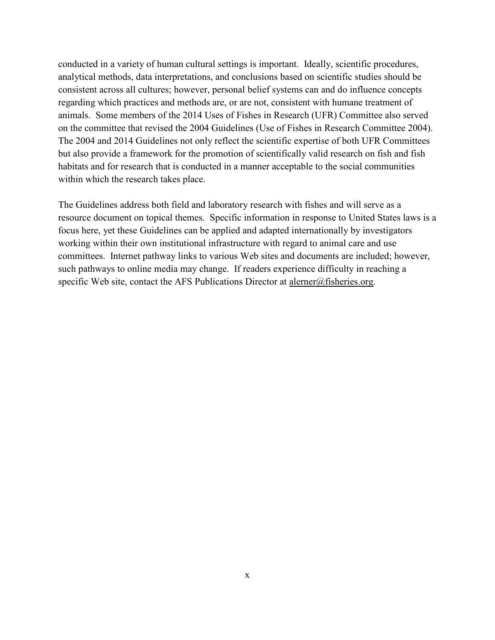conducted in a variety of human cultural settings is important. Ideally, scientific procedures, analytical methods, data interpretations, and conclusions based on scientific studies should be consistent across all cultures; however, personal belief systems can and do influence concepts regarding which practices and methods are, or are not, consistent with humane treatment of animals. Some members of the 2014 Uses of Fishes in Research (UFR) Committee also served on the committee that revised the 2004 Guidelines (Use of Fishes in Research Committee 2004). The 2004 and 2014 Guidelines not only reflect the scientific expertise of both UFR Committees but also provide a framework for the promotion of scientifically valid research on fish and fish habitats and for research that is conducted in a manner acceptable to the social communities within which the research takes place.

The Guidelines address both field and laboratory research with fishes and will serve as a resource document on topical themes. Specific information in response to United States laws is a focus here, yet these Guidelines can be applied and adapted internationally by investigators working within their own institutional infrastructure with regard to animal care and use committees. Internet pathway links to various Web sites and documents are included; however, such pathways to online media may change. If readers experience difficulty in reaching a specific Web site, contact the AFS Publications Director at [alerner@fisheries.org.](mailto:alerner@fisheries.org)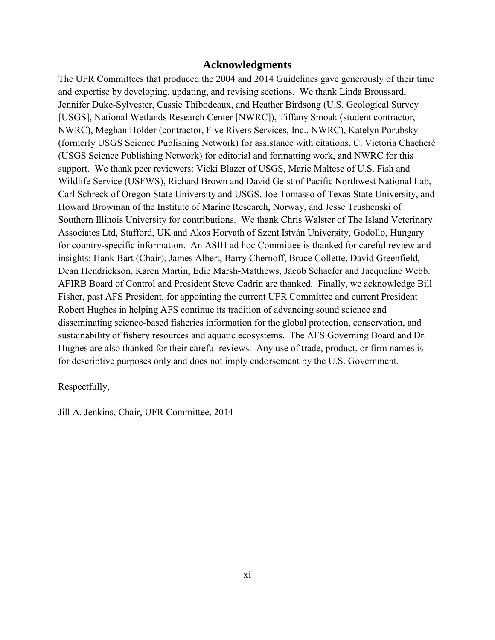#### **Acknowledgments**

<span id="page-11-0"></span>The UFR Committees that produced the 2004 and 2014 Guidelines gave generously of their time and expertise by developing, updating, and revising sections. We thank Linda Broussard, Jennifer Duke-Sylvester, Cassie Thibodeaux, and Heather Birdsong (U.S. Geological Survey [USGS], National Wetlands Research Center [NWRC]), Tiffany Smoak (student contractor, NWRC), Meghan Holder (contractor, Five Rivers Services, Inc., NWRC), Katelyn Porubsky (formerly USGS Science Publishing Network) for assistance with citations, C. Victoria Chacheré (USGS Science Publishing Network) for editorial and formatting work, and NWRC for this support. We thank peer reviewers: Vicki Blazer of USGS, Marie Maltese of U.S. Fish and Wildlife Service (USFWS), Richard Brown and David Geist of Pacific Northwest National Lab, Carl Schreck of Oregon State University and USGS, Joe Tomasso of Texas State University, and Howard Browman of the Institute of Marine Research, Norway, and Jesse Trushenski of Southern Illinois University for contributions. We thank Chris Walster of The Island Veterinary Associates Ltd, Stafford, UK and Akos Horvath of Szent István University, Godollo, Hungary for country-specific information. An ASIH ad hoc Committee is thanked for careful review and insights: Hank Bart (Chair), James Albert, Barry Chernoff, Bruce Collette, David Greenfield, Dean Hendrickson, Karen Martin, Edie Marsh-Matthews, Jacob Schaefer and Jacqueline Webb. AFIRB Board of Control and President Steve Cadrin are thanked. Finally, we acknowledge Bill Fisher, past AFS President, for appointing the current UFR Committee and current President Robert Hughes in helping AFS continue its tradition of advancing sound science and disseminating science-based fisheries information for the global protection, conservation, and sustainability of fishery resources and aquatic ecosystems. The AFS Governing Board and Dr. Hughes are also thanked for their careful reviews. Any use of trade, product, or firm names is for descriptive purposes only and does not imply endorsement by the U.S. Government.

Respectfully,

Jill A. Jenkins, Chair, UFR Committee, 2014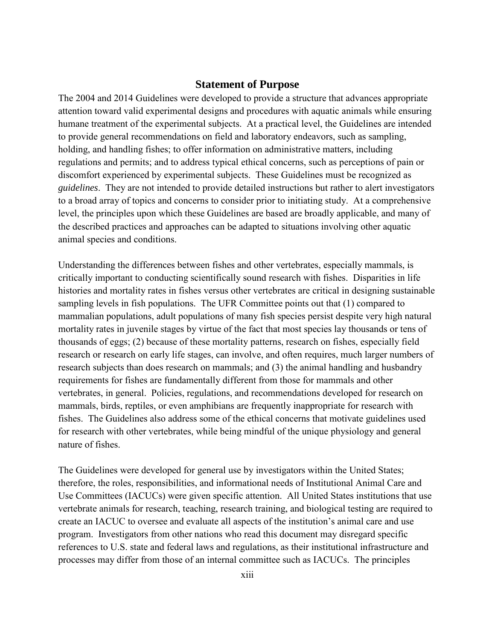#### **Statement of Purpose**

<span id="page-13-0"></span>The 2004 and 2014 Guidelines were developed to provide a structure that advances appropriate attention toward valid experimental designs and procedures with aquatic animals while ensuring humane treatment of the experimental subjects. At a practical level, the Guidelines are intended to provide general recommendations on field and laboratory endeavors, such as sampling, holding, and handling fishes; to offer information on administrative matters, including regulations and permits; and to address typical ethical concerns, such as perceptions of pain or discomfort experienced by experimental subjects. These Guidelines must be recognized as *guidelines*. They are not intended to provide detailed instructions but rather to alert investigators to a broad array of topics and concerns to consider prior to initiating study. At a comprehensive level, the principles upon which these Guidelines are based are broadly applicable, and many of the described practices and approaches can be adapted to situations involving other aquatic animal species and conditions.

Understanding the differences between fishes and other vertebrates, especially mammals, is critically important to conducting scientifically sound research with fishes. Disparities in life histories and mortality rates in fishes versus other vertebrates are critical in designing sustainable sampling levels in fish populations. The UFR Committee points out that (1) compared to mammalian populations, adult populations of many fish species persist despite very high natural mortality rates in juvenile stages by virtue of the fact that most species lay thousands or tens of thousands of eggs; (2) because of these mortality patterns, research on fishes, especially field research or research on early life stages, can involve, and often requires, much larger numbers of research subjects than does research on mammals; and (3) the animal handling and husbandry requirements for fishes are fundamentally different from those for mammals and other vertebrates, in general. Policies, regulations, and recommendations developed for research on mammals, birds, reptiles, or even amphibians are frequently inappropriate for research with fishes. The Guidelines also address some of the ethical concerns that motivate guidelines used for research with other vertebrates, while being mindful of the unique physiology and general nature of fishes.

The Guidelines were developed for general use by investigators within the United States; therefore, the roles, responsibilities, and informational needs of Institutional Animal Care and Use Committees (IACUCs) were given specific attention. All United States institutions that use vertebrate animals for research, teaching, research training, and biological testing are required to create an IACUC to oversee and evaluate all aspects of the institution's animal care and use program. Investigators from other nations who read this document may disregard specific references to U.S. state and federal laws and regulations, as their institutional infrastructure and processes may differ from those of an internal committee such as IACUCs. The principles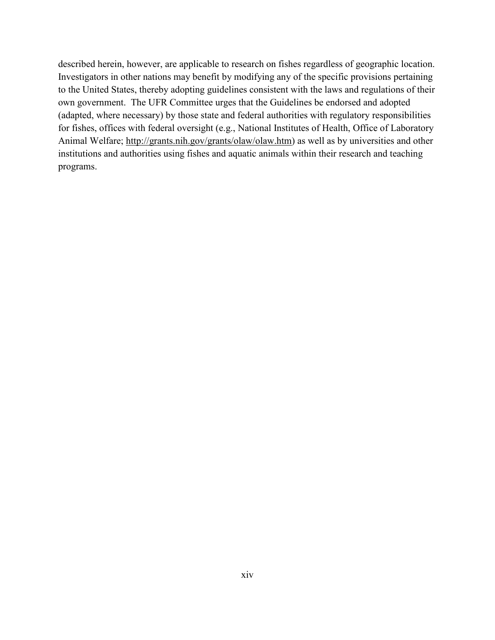described herein, however, are applicable to research on fishes regardless of geographic location. Investigators in other nations may benefit by modifying any of the specific provisions pertaining to the United States, thereby adopting guidelines consistent with the laws and regulations of their own government. The UFR Committee urges that the Guidelines be endorsed and adopted (adapted, where necessary) by those state and federal authorities with regulatory responsibilities for fishes, offices with federal oversight (e.g., National Institutes of Health, Office of Laboratory Animal Welfare; [http://grants.nih.gov/grants/olaw/olaw.htm\)](http://grants.nih.gov/grants/olaw/olaw.htm) as well as by universities and other institutions and authorities using fishes and aquatic animals within their research and teaching programs.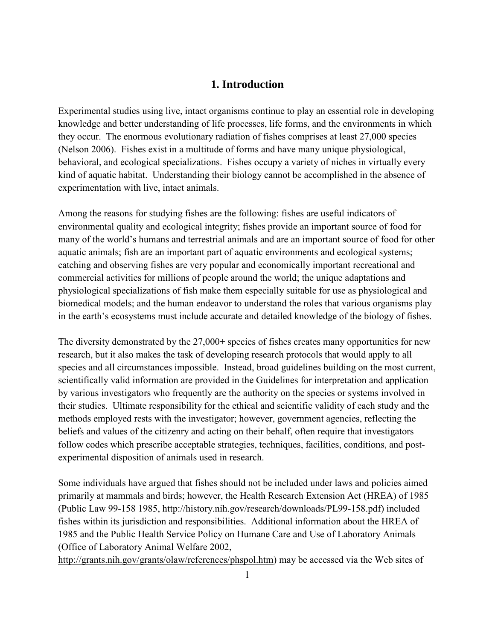# **1. Introduction**

<span id="page-15-0"></span>Experimental studies using live, intact organisms continue to play an essential role in developing knowledge and better understanding of life processes, life forms, and the environments in which they occur. The enormous evolutionary radiation of fishes comprises at least 27,000 species (Nelson 2006). Fishes exist in a multitude of forms and have many unique physiological, behavioral, and ecological specializations. Fishes occupy a variety of niches in virtually every kind of aquatic habitat. Understanding their biology cannot be accomplished in the absence of experimentation with live, intact animals.

Among the reasons for studying fishes are the following: fishes are useful indicators of environmental quality and ecological integrity; fishes provide an important source of food for many of the world's humans and terrestrial animals and are an important source of food for other aquatic animals; fish are an important part of aquatic environments and ecological systems; catching and observing fishes are very popular and economically important recreational and commercial activities for millions of people around the world; the unique adaptations and physiological specializations of fish make them especially suitable for use as physiological and biomedical models; and the human endeavor to understand the roles that various organisms play in the earth's ecosystems must include accurate and detailed knowledge of the biology of fishes.

The diversity demonstrated by the 27,000+ species of fishes creates many opportunities for new research, but it also makes the task of developing research protocols that would apply to all species and all circumstances impossible. Instead, broad guidelines building on the most current, scientifically valid information are provided in the Guidelines for interpretation and application by various investigators who frequently are the authority on the species or systems involved in their studies. Ultimate responsibility for the ethical and scientific validity of each study and the methods employed rests with the investigator; however, government agencies, reflecting the beliefs and values of the citizenry and acting on their behalf, often require that investigators follow codes which prescribe acceptable strategies, techniques, facilities, conditions, and postexperimental disposition of animals used in research.

Some individuals have argued that fishes should not be included under laws and policies aimed primarily at mammals and birds; however, the Health Research Extension Act (HREA) of 1985 (Public Law 99-158 1985, [http://history.nih.gov/research/downloads/PL99-158.pdf\)](http://history.nih.gov/research/downloads/PL99-158.pdf) included fishes within its jurisdiction and responsibilities. Additional information about the HREA of 1985 and the Public Health Service Policy on Humane Care and Use of Laboratory Animals (Office of Laboratory Animal Welfare 2002,

[http://grants.nih.gov/grants/olaw/references/phspol.htm\)](http://grants.nih.gov/grants/olaw/references/phspol.htm) may be accessed via the Web sites of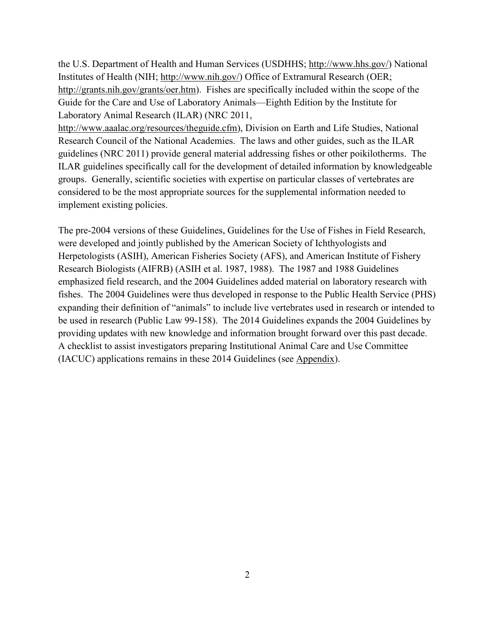the U.S. Department of Health and Human Services (USDHHS; [http://www.hhs.gov/\)](http://www.hhs.gov/) National Institutes of Health (NIH; [http://www.nih.gov/\)](http://www.nih.gov/) Office of Extramural Research (OER; [http://grants.nih.gov/grants/oer.htm\)](http://grants.nih.gov/grants/oer.htm). Fishes are specifically included within the scope of the Guide for the Care and Use of Laboratory Animals—Eighth Edition by the Institute for Laboratory Animal Research (ILAR) (NRC 2011,

[http://www.aaalac.org/resources/theguide.cfm\)](http://www.aaalac.org/resources/theguide.cfm), Division on Earth and Life Studies, National Research Council of the National Academies. The laws and other guides, such as the ILAR guidelines (NRC 2011) provide general material addressing fishes or other poikilotherms. The ILAR guidelines specifically call for the development of detailed information by knowledgeable groups. Generally, scientific societies with expertise on particular classes of vertebrates are considered to be the most appropriate sources for the supplemental information needed to implement existing policies.

The pre-2004 versions of these Guidelines, Guidelines for the Use of Fishes in Field Research, were developed and jointly published by the American Society of Ichthyologists and Herpetologists (ASIH), American Fisheries Society (AFS), and American Institute of Fishery Research Biologists (AIFRB) (ASIH et al. 1987, 1988). The 1987 and 1988 Guidelines emphasized field research, and the 2004 Guidelines added material on laboratory research with fishes. The 2004 Guidelines were thus developed in response to the Public Health Service (PHS) expanding their definition of "animals" to include live vertebrates used in research or intended to be used in research (Public Law 99-158). The 2014 Guidelines expands the 2004 Guidelines by providing updates with new knowledge and information brought forward over this past decade. A checklist to assist investigators preparing Institutional Animal Care and Use Committee (IACUC) applications remains in these 2014 Guidelines (see [Appendix](#page-99-0)).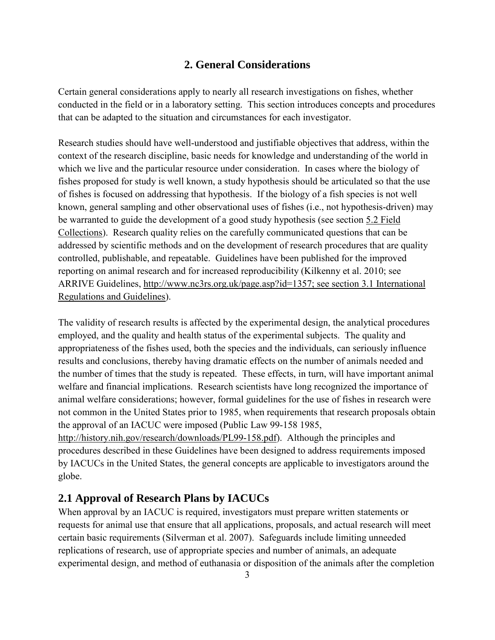## **2. General Considerations**

<span id="page-17-0"></span>Certain general considerations apply to nearly all research investigations on fishes, whether conducted in the field or in a laboratory setting. This section introduces concepts and procedures that can be adapted to the situation and circumstances for each investigator.

Research studies should have well-understood and justifiable objectives that address, within the context of the research discipline, basic needs for knowledge and understanding of the world in which we live and the particular resource under consideration. In cases where the biology of fishes proposed for study is well known, a study hypothesis should be articulated so that the use of fishes is focused on addressing that hypothesis. If the biology of a fish species is not well known, general sampling and other observational uses of fishes (i.e., not hypothesis-driven) may be warranted to guide the development of a good study hypothesis (see section [5.2 Field](#page-37-0)  [Collections\)](#page-37-0). Research quality relies on the carefully communicated questions that can be addressed by scientific methods and on the development of research procedures that are quality controlled, publishable, and repeatable. Guidelines have been published for the improved reporting on animal research and for increased reproducibility (Kilkenny et al. 2010; see ARRIVE Guidelines, [http://www.nc3rs.org.uk/page.asp?id=1357;](http://www.nc3rs.org.uk/page.asp?id=1357) see section [3.1 International](#page-23-0)  [Regulations and Guidelines\)](#page-23-0).

The validity of research results is affected by the experimental design, the analytical procedures employed, and the quality and health status of the experimental subjects. The quality and appropriateness of the fishes used, both the species and the individuals, can seriously influence results and conclusions, thereby having dramatic effects on the number of animals needed and the number of times that the study is repeated. These effects, in turn, will have important animal welfare and financial implications. Research scientists have long recognized the importance of animal welfare considerations; however, formal guidelines for the use of fishes in research were not common in the United States prior to 1985, when requirements that research proposals obtain the approval of an IACUC were imposed (Public Law 99-158 1985, [http://history.nih.gov/research/downloads/PL99-158.pdf\)](http://history.nih.gov/research/downloads/PL99-158.pdf). Although the principles and procedures described in these Guidelines have been designed to address requirements imposed by IACUCs in the United States, the general concepts are applicable to investigators around the globe.

# **2.1 Approval of Research Plans by IACUCs**

When approval by an IACUC is required, investigators must prepare written statements or requests for animal use that ensure that all applications, proposals, and actual research will meet certain basic requirements (Silverman et al. 2007). Safeguards include limiting unneeded replications of research, use of appropriate species and number of animals, an adequate experimental design, and method of euthanasia or disposition of the animals after the completion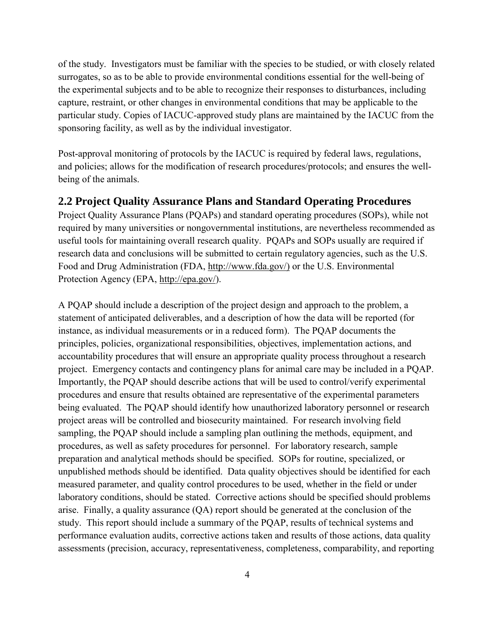<span id="page-18-0"></span>of the study. Investigators must be familiar with the species to be studied, or with closely related surrogates, so as to be able to provide environmental conditions essential for the well-being of the experimental subjects and to be able to recognize their responses to disturbances, including capture, restraint, or other changes in environmental conditions that may be applicable to the particular study. Copies of IACUC-approved study plans are maintained by the IACUC from the sponsoring facility, as well as by the individual investigator.

Post-approval monitoring of protocols by the IACUC is required by federal laws, regulations, and policies; allows for the modification of research procedures/protocols; and ensures the wellbeing of the animals.

#### **2.2 Project Quality Assurance Plans and Standard Operating Procedures**

Project Quality Assurance Plans (PQAPs) and standard operating procedures (SOPs), while not required by many universities or nongovernmental institutions, are nevertheless recommended as useful tools for maintaining overall research quality. PQAPs and SOPs usually are required if research data and conclusions will be submitted to certain regulatory agencies, such as the U.S. Food and Drug Administration (FDA, [http://www.fda.gov/\)](http://www.fda.gov/) or the U.S. Environmental Protection Agency (EPA, [http://epa.gov/\)](http://epa.gov/).

A PQAP should include a description of the project design and approach to the problem, a statement of anticipated deliverables, and a description of how the data will be reported (for instance, as individual measurements or in a reduced form). The PQAP documents the principles, policies, organizational responsibilities, objectives, implementation actions, and accountability procedures that will ensure an appropriate quality process throughout a research project. Emergency contacts and contingency plans for animal care may be included in a PQAP. Importantly, the PQAP should describe actions that will be used to control/verify experimental procedures and ensure that results obtained are representative of the experimental parameters being evaluated. The PQAP should identify how unauthorized laboratory personnel or research project areas will be controlled and biosecurity maintained. For research involving field sampling, the PQAP should include a sampling plan outlining the methods, equipment, and procedures, as well as safety procedures for personnel. For laboratory research, sample preparation and analytical methods should be specified. SOPs for routine, specialized, or unpublished methods should be identified. Data quality objectives should be identified for each measured parameter, and quality control procedures to be used, whether in the field or under laboratory conditions, should be stated. Corrective actions should be specified should problems arise. Finally, a quality assurance (QA) report should be generated at the conclusion of the study. This report should include a summary of the PQAP, results of technical systems and performance evaluation audits, corrective actions taken and results of those actions, data quality assessments (precision, accuracy, representativeness, completeness, comparability, and reporting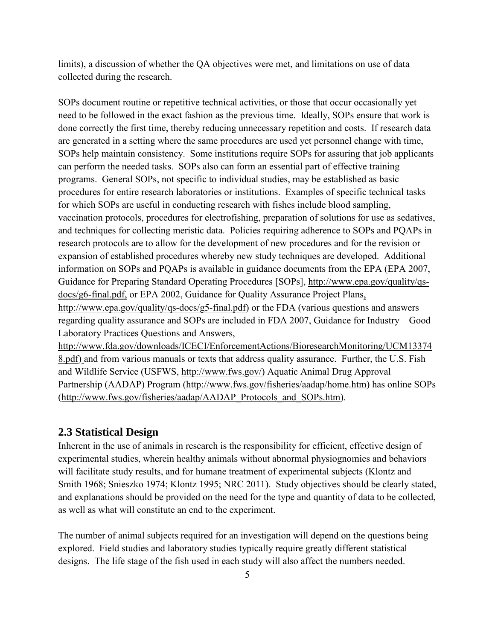<span id="page-19-0"></span>limits), a discussion of whether the QA objectives were met, and limitations on use of data collected during the research.

SOPs document routine or repetitive technical activities, or those that occur occasionally yet need to be followed in the exact fashion as the previous time. Ideally, SOPs ensure that work is done correctly the first time, thereby reducing unnecessary repetition and costs. If research data are generated in a setting where the same procedures are used yet personnel change with time, SOPs help maintain consistency. Some institutions require SOPs for assuring that job applicants can perform the needed tasks. SOPs also can form an essential part of effective training programs. General SOPs, not specific to individual studies, may be established as basic procedures for entire research laboratories or institutions. Examples of specific technical tasks for which SOPs are useful in conducting research with fishes include blood sampling, vaccination protocols, procedures for electrofishing, preparation of solutions for use as sedatives, and techniques for collecting meristic data. Policies requiring adherence to SOPs and PQAPs in research protocols are to allow for the development of new procedures and for the revision or expansion of established procedures whereby new study techniques are developed. Additional information on SOPs and PQAPs is available in guidance documents from the EPA (EPA 2007, Guidance for Preparing Standard Operating Procedures [SOPs], [http://www.epa.gov/quality/qs](http://www.epa.gov/quality/qs-docs/g6-final.pdf)[docs/g6-final.pdf,](http://www.epa.gov/quality/qs-docs/g6-final.pdf) or EPA 2002, Guidance for Quality Assurance Project Plans, [http://www.epa.gov/quality/qs-docs/g5-final.pdf\)](http://www.epa.gov/quality/qs-docs/g5-final.pdf) or the FDA (various questions and answers regarding quality assurance and SOPs are included in FDA 2007, Guidance for Industry—Good Laboratory Practices Questions and Answers,

[http://www.fda.gov/downloads/ICECI/EnforcementActions/BioresearchMonitoring/UCM13374](http://www.fda.gov/downloads/ICECI/EnforcementActions/BioresearchMonitoring/UCM133748.pdf) [8.pdf\)](http://www.fda.gov/downloads/ICECI/EnforcementActions/BioresearchMonitoring/UCM133748.pdf) and from various manuals or texts that address quality assurance. Further, the U.S. Fish and Wildlife Service (USFWS, [http://www.fws.gov/\)](http://www.fws.gov/) Aquatic Animal Drug Approval Partnership (AADAP) Program [\(http://www.fws.gov/fisheries/aadap/home.htm\)](http://www.fws.gov/fisheries/aadap/home.htm) has online SOPs [\(http://www.fws.gov/fisheries/aadap/AADAP\\_Protocols\\_and\\_SOPs.htm\)](http://www.fws.gov/fisheries/aadap/AADAP_Protocols_and_SOPs.htm).

#### **2.3 Statistical Design**

Inherent in the use of animals in research is the responsibility for efficient, effective design of experimental studies, wherein healthy animals without abnormal physiognomies and behaviors will facilitate study results, and for humane treatment of experimental subjects (Klontz and Smith 1968; Snieszko 1974; Klontz 1995; NRC 2011). Study objectives should be clearly stated, and explanations should be provided on the need for the type and quantity of data to be collected, as well as what will constitute an end to the experiment.

The number of animal subjects required for an investigation will depend on the questions being explored. Field studies and laboratory studies typically require greatly different statistical designs. The life stage of the fish used in each study will also affect the numbers needed.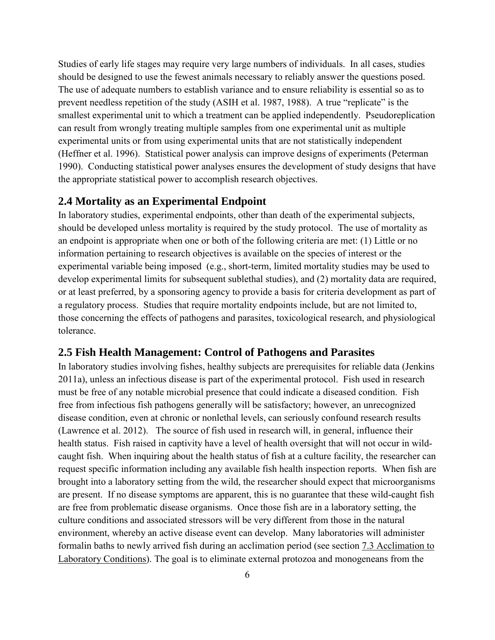<span id="page-20-0"></span>Studies of early life stages may require very large numbers of individuals. In all cases, studies should be designed to use the fewest animals necessary to reliably answer the questions posed. The use of adequate numbers to establish variance and to ensure reliability is essential so as to prevent needless repetition of the study (ASIH et al. 1987, 1988). A true "replicate" is the smallest experimental unit to which a treatment can be applied independently. Pseudoreplication can result from wrongly treating multiple samples from one experimental unit as multiple experimental units or from using experimental units that are not statistically independent (Heffner et al. 1996). Statistical power analysis can improve designs of experiments (Peterman 1990). Conducting statistical power analyses ensures the development of study designs that have the appropriate statistical power to accomplish research objectives.

#### **2.4 Mortality as an Experimental Endpoint**

In laboratory studies, experimental endpoints, other than death of the experimental subjects, should be developed unless mortality is required by the study protocol. The use of mortality as an endpoint is appropriate when one or both of the following criteria are met: (1) Little or no information pertaining to research objectives is available on the species of interest or the experimental variable being imposed (e.g., short-term, limited mortality studies may be used to develop experimental limits for subsequent sublethal studies), and (2) mortality data are required, or at least preferred, by a sponsoring agency to provide a basis for criteria development as part of a regulatory process. Studies that require mortality endpoints include, but are not limited to, those concerning the effects of pathogens and parasites, toxicological research, and physiological tolerance.

#### **2.5 Fish Health Management: Control of Pathogens and Parasites**

In laboratory studies involving fishes, healthy subjects are prerequisites for reliable data (Jenkins 2011a), unless an infectious disease is part of the experimental protocol. Fish used in research must be free of any notable microbial presence that could indicate a diseased condition. Fish free from infectious fish pathogens generally will be satisfactory; however, an unrecognized disease condition, even at chronic or nonlethal levels, can seriously confound research results (Lawrence et al. 2012). The source of fish used in research will, in general, influence their health status. Fish raised in captivity have a level of health oversight that will not occur in wildcaught fish. When inquiring about the health status of fish at a culture facility, the researcher can request specific information including any available fish health inspection reports. When fish are brought into a laboratory setting from the wild, the researcher should expect that microorganisms are present. If no disease symptoms are apparent, this is no guarantee that these wild-caught fish are free from problematic disease organisms. Once those fish are in a laboratory setting, the culture conditions and associated stressors will be very different from those in the natural environment, whereby an active disease event can develop. Many laboratories will administer formalin baths to newly arrived fish during an acclimation period (see section [7.3 Acclimation to](#page-59-0)  [Laboratory Conditions\)](#page-59-0). The goal is to eliminate external protozoa and monogeneans from the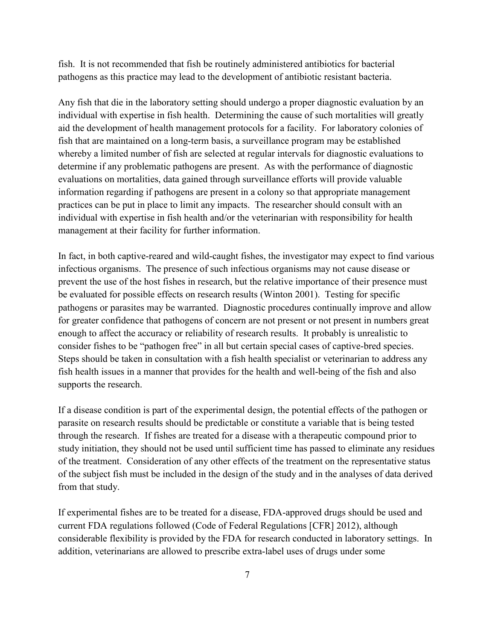fish. It is not recommended that fish be routinely administered antibiotics for bacterial pathogens as this practice may lead to the development of antibiotic resistant bacteria.

Any fish that die in the laboratory setting should undergo a proper diagnostic evaluation by an individual with expertise in fish health. Determining the cause of such mortalities will greatly aid the development of health management protocols for a facility. For laboratory colonies of fish that are maintained on a long-term basis, a surveillance program may be established whereby a limited number of fish are selected at regular intervals for diagnostic evaluations to determine if any problematic pathogens are present. As with the performance of diagnostic evaluations on mortalities, data gained through surveillance efforts will provide valuable information regarding if pathogens are present in a colony so that appropriate management practices can be put in place to limit any impacts. The researcher should consult with an individual with expertise in fish health and/or the veterinarian with responsibility for health management at their facility for further information.

In fact, in both captive-reared and wild-caught fishes, the investigator may expect to find various infectious organisms. The presence of such infectious organisms may not cause disease or prevent the use of the host fishes in research, but the relative importance of their presence must be evaluated for possible effects on research results (Winton 2001). Testing for specific pathogens or parasites may be warranted. Diagnostic procedures continually improve and allow for greater confidence that pathogens of concern are not present or not present in numbers great enough to affect the accuracy or reliability of research results. It probably is unrealistic to consider fishes to be "pathogen free" in all but certain special cases of captive-bred species. Steps should be taken in consultation with a fish health specialist or veterinarian to address any fish health issues in a manner that provides for the health and well-being of the fish and also supports the research.

If a disease condition is part of the experimental design, the potential effects of the pathogen or parasite on research results should be predictable or constitute a variable that is being tested through the research. If fishes are treated for a disease with a therapeutic compound prior to study initiation, they should not be used until sufficient time has passed to eliminate any residues of the treatment. Consideration of any other effects of the treatment on the representative status of the subject fish must be included in the design of the study and in the analyses of data derived from that study.

If experimental fishes are to be treated for a disease, FDA-approved drugs should be used and current FDA regulations followed (Code of Federal Regulations [CFR] 2012), although considerable flexibility is provided by the FDA for research conducted in laboratory settings. In addition, veterinarians are allowed to prescribe extra-label uses of drugs under some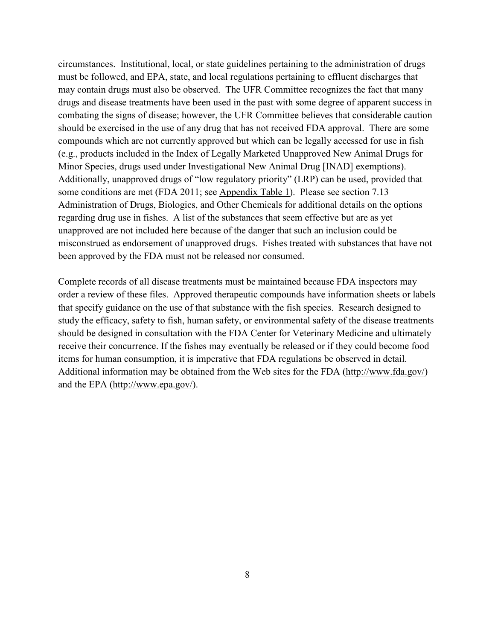circumstances. Institutional, local, or state guidelines pertaining to the administration of drugs must be followed, and EPA, state, and local regulations pertaining to effluent discharges that may contain drugs must also be observed. The UFR Committee recognizes the fact that many drugs and disease treatments have been used in the past with some degree of apparent success in combating the signs of disease; however, the UFR Committee believes that considerable caution should be exercised in the use of any drug that has not received FDA approval. There are some compounds which are not currently approved but which can be legally accessed for use in fish (e.g., products included in the Index of Legally Marketed Unapproved New Animal Drugs for Minor Species, drugs used under Investigational New Animal Drug [INAD] exemptions). Additionally, unapproved drugs of "low regulatory priority" (LRP) can be used, provided that some conditions are met (FDA 2011; see [Appendix Table 1\)](#page-101-0). Please see section [7.13](#page-69-0)  [Administration of Drugs, Biologics, and Other Chemicals](#page-69-0) for additional details on the options regarding drug use in fishes. A list of the substances that seem effective but are as yet unapproved are not included here because of the danger that such an inclusion could be misconstrued as endorsement of unapproved drugs. Fishes treated with substances that have not been approved by the FDA must not be released nor consumed.

Complete records of all disease treatments must be maintained because FDA inspectors may order a review of these files. Approved therapeutic compounds have information sheets or labels that specify guidance on the use of that substance with the fish species. Research designed to study the efficacy, safety to fish, human safety, or environmental safety of the disease treatments should be designed in consultation with the FDA Center for Veterinary Medicine and ultimately receive their concurrence. If the fishes may eventually be released or if they could become food items for human consumption, it is imperative that FDA regulations be observed in detail. Additional information may be obtained from the Web sites for the FDA [\(http://www.fda.gov/\)](http://www.fda.gov/) and the EPA [\(http://www.epa.gov/\)](http://www.epa.gov/).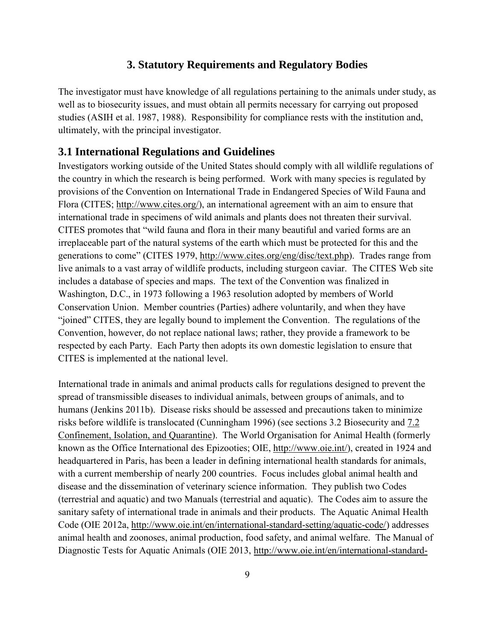#### **3. Statutory Requirements and Regulatory Bodies**

<span id="page-23-0"></span>The investigator must have knowledge of all regulations pertaining to the animals under study, as well as to biosecurity issues, and must obtain all permits necessary for carrying out proposed studies (ASIH et al. 1987, 1988). Responsibility for compliance rests with the institution and, ultimately, with the principal investigator.

#### **3.1 International Regulations and Guidelines**

Investigators working outside of the United States should comply with all wildlife regulations of the country in which the research is being performed. Work with many species is regulated by provisions of the Convention on International Trade in Endangered Species of Wild Fauna and Flora (CITES; [http://www.cites.org/\)](http://www.cites.org/), an international agreement with an aim to ensure that international trade in specimens of wild animals and plants does not threaten their survival. CITES promotes that "wild fauna and flora in their many beautiful and varied forms are an irreplaceable part of the natural systems of the earth which must be protected for this and the generations to come" (CITES 1979, [http://www.cites.org/eng/disc/text.php\)](http://www.cites.org/eng/disc/text.php). Trades range from live animals to a vast array of wildlife products, including sturgeon caviar. The CITES Web site includes a database of species and maps. The text of the Convention was finalized in Washington, D.C., in 1973 following a 1963 resolution adopted by members of World Conservation Union. Member countries (Parties) adhere voluntarily, and when they have "joined" CITES, they are legally bound to implement the Convention. The regulations of the Convention, however, do not replace national laws; rather, they provide a framework to be respected by each Party. Each Party then adopts its own domestic legislation to ensure that CITES is implemented at the national level.

International trade in animals and animal products calls for regulations designed to prevent the spread of transmissible diseases to individual animals, between groups of animals, and to humans (Jenkins 2011b). Disease risks should be assessed and precautions taken to minimize risks before wildlife is translocated (Cunningham 1996) (see sections [3.2 Biosecurity](#page-25-0) and [7.2](#page-57-0)  [Confinement, Isolation, and Quarantine\)](#page-57-0). The World Organisation for Animal Health (formerly known as the Office International des Epizooties; OIE, [http://www.oie.int/\)](http://www.oie.int/), created in 1924 and headquartered in Paris, has been a leader in defining international health standards for animals, with a current membership of nearly 200 countries. Focus includes global animal health and disease and the dissemination of veterinary science information. They publish two Codes (terrestrial and aquatic) and two Manuals (terrestrial and aquatic). The Codes aim to assure the sanitary safety of international trade in animals and their products. The Aquatic Animal Health Code (OIE 2012a, [http://www.oie.int/en/international-standard-setting/aquatic-code/\)](http://www.oie.int/en/international-standard-setting/aquatic-code/) addresses animal health and zoonoses, animal production, food safety, and animal welfare. The Manual of Diagnostic Tests for Aquatic Animals (OIE 2013, [http://www.oie.int/en/international-standard-](http://www.oie.int/en/international-standard-setting/aquatic-manual/access-online/)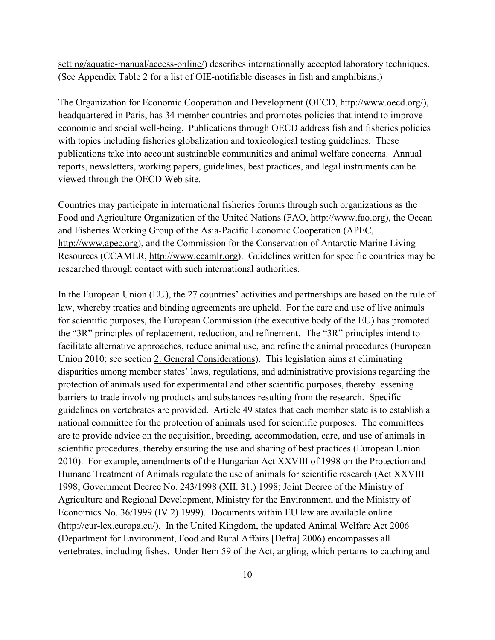[setting/aquatic-manual/access-online/\)](http://www.oie.int/en/international-standard-setting/aquatic-manual/access-online/) describes internationally accepted laboratory techniques. (See [Appendix Table 2](#page-102-0) for a list of OIE-notifiable diseases in fish and amphibians.)

The Organization for Economic Cooperation and Development (OECD, [http://www.oecd.org/\)](http://www.oecd.org/), headquartered in Paris, has 34 member countries and promotes policies that intend to improve economic and social well-being. Publications through OECD address fish and fisheries policies with topics including fisheries globalization and toxicological testing guidelines. These publications take into account sustainable communities and animal welfare concerns. Annual reports, newsletters, working papers, guidelines, best practices, and legal instruments can be viewed through the OECD Web site.

Countries may participate in international fisheries forums through such organizations as the Food and Agriculture Organization of the United Nations (FAO, [http://www.fao.org\)](http://www.fao.org/index_en.htm), the Ocean and Fisheries Working Group of the Asia-Pacific Economic Cooperation (APEC, [http://www.apec.org\)](http://www.apec.org/), and the Commission for the Conservation of Antarctic Marine Living Resources (CCAMLR, [http://www.ccamlr.org\)](http://www.ccamlr.org/). Guidelines written for specific countries may be researched through contact with such international authorities.

In the European Union (EU), the 27 countries' activities and partnerships are based on the rule of law, whereby treaties and binding agreements are upheld. For the care and use of live animals for scientific purposes, the European Commission (the executive body of the EU) has promoted the "3R" principles of replacement, reduction, and refinement. The "3R" principles intend to facilitate alternative approaches, reduce animal use, and refine the animal procedures (European Union 2010; see section [2. General Considerations\)](#page-17-0). This legislation aims at eliminating disparities among member states' laws, regulations, and administrative provisions regarding the protection of animals used for experimental and other scientific purposes, thereby lessening barriers to trade involving products and substances resulting from the research. Specific guidelines on vertebrates are provided. Article 49 states that each member state is to establish a national committee for the protection of animals used for scientific purposes. The committees are to provide advice on the acquisition, breeding, accommodation, care, and use of animals in scientific procedures, thereby ensuring the use and sharing of best practices (European Union 2010). For example, amendments of the Hungarian Act XXVIII of 1998 on the Protection and Humane Treatment of Animals regulate the use of animals for scientific research (Act XXVIII 1998; Government Decree No. 243/1998 (XII. 31.) 1998; Joint Decree of the Ministry of Agriculture and Regional Development, Ministry for the Environment, and the Ministry of Economics No. 36/1999 (IV.2) 1999). Documents within EU law are available online [\(http://eur-lex.europa.eu/\)](http://eur-lex.europa.eu/). In the United Kingdom, the updated Animal Welfare Act 2006 (Department for Environment, Food and Rural Affairs [Defra] 2006) encompasses all vertebrates, including fishes. Under Item 59 of the Act, angling, which pertains to catching and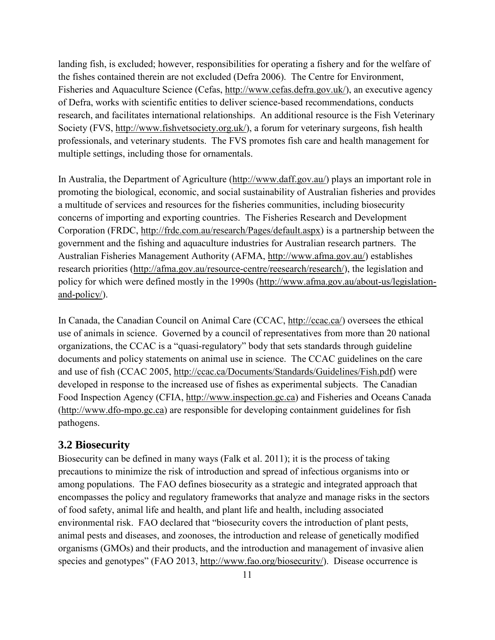<span id="page-25-0"></span>landing fish, is excluded; however, responsibilities for operating a fishery and for the welfare of the fishes contained therein are not excluded (Defra 2006). The Centre for Environment, Fisheries and Aquaculture Science (Cefas, [http://www.cefas.defra.gov.uk/\)](http://www.cefas.defra.gov.uk/), an executive agency of Defra, works with scientific entities to deliver science-based recommendations, conducts research, and facilitates international relationships. An additional resource is the Fish Veterinary Society (FVS, [http://www.fishvetsociety.org.uk/\)](http://www.fishvetsociety.org.uk/), a forum for veterinary surgeons, fish health professionals, and veterinary students. The FVS promotes fish care and health management for multiple settings, including those for ornamentals.

In Australia, the Department of Agriculture [\(http://www.daff.gov.au/\)](http://www.daff.gov.au/) plays an important role in promoting the biological, economic, and social sustainability of Australian fisheries and provides a multitude of services and resources for the fisheries communities, including biosecurity concerns of importing and exporting countries. The Fisheries Research and Development Corporation (FRDC, [http://frdc.com.au/research/Pages/default.aspx\)](http://frdc.com.au/research/Pages/default.aspx) is a partnership between the government and the fishing and aquaculture industries for Australian research partners. The Australian Fisheries Management Authority (AFMA, [http://www.afma.gov.au/\)](http://www.afma.gov.au/) establishes research priorities [\(http://afma.gov.au/resource-centre/reesearch/research/\)](http://afma.gov.au/resource-centre/reesearch/research/), the legislation and policy for which were defined mostly in the 1990s [\(http://www.afma.gov.au/about-us/legislation](http://www.afma.gov.au/about-us/legislation-and-policy/)[and-policy/\)](http://www.afma.gov.au/about-us/legislation-and-policy/).

In Canada, the Canadian Council on Animal Care (CCAC, [http://ccac.ca/\)](http://ccac.ca/) oversees the ethical use of animals in science. Governed by a council of representatives from more than 20 national organizations, the CCAC is a "quasi-regulatory" body that sets standards through guideline documents and policy statements on animal use in science. The CCAC guidelines on the care and use of fish (CCAC 2005, [http://ccac.ca/Documents/Standards/Guidelines/Fish.pdf\)](http://ccac.ca/Documents/Standards/Guidelines/Fish.pdf) were developed in response to the increased use of fishes as experimental subjects. The Canadian Food Inspection Agency (CFIA, [http://www.inspection.gc.ca\)](http://www.inspection.gc.ca/) and Fisheries and Oceans Canada [\(http://www.dfo-mpo.gc.ca\)](http://www.dfo-mpo.gc.ca/) are responsible for developing containment guidelines for fish pathogens.

#### **3.2 Biosecurity**

Biosecurity can be defined in many ways (Falk et al. 2011); it is the process of taking precautions to minimize the risk of introduction and spread of infectious organisms into or among populations. The FAO defines biosecurity as a strategic and integrated approach that encompasses the policy and regulatory frameworks that analyze and manage risks in the sectors of food safety, animal life and health, and plant life and health, including associated environmental risk. FAO declared that "biosecurity covers the introduction of plant pests, animal pests and diseases, and zoonoses, the introduction and release of genetically modified organisms (GMOs) and their products, and the introduction and management of invasive alien species and genotypes" (FAO 2013, [http://www.fao.org/biosecurity/\)](http://www.fao.org/biosecurity/). Disease occurrence is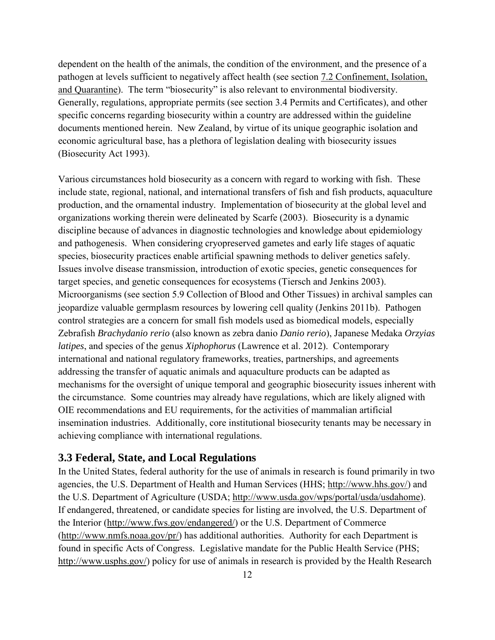<span id="page-26-0"></span>dependent on the health of the animals, the condition of the environment, and the presence of a pathogen at levels sufficient to negatively affect health (see section [7.2 Confinement, Isolation,](#page-57-0)  [and Quarantine\)](#page-57-0). The term "biosecurity" is also relevant to environmental biodiversity. Generally, regulations, appropriate permits (see section [3.4 Permits and Certificates\)](#page-28-0), and other specific concerns regarding biosecurity within a country are addressed within the guideline documents mentioned herein. New Zealand, by virtue of its unique geographic isolation and economic agricultural base, has a plethora of legislation dealing with biosecurity issues (Biosecurity Act 1993).

Various circumstances hold biosecurity as a concern with regard to working with fish. These include state, regional, national, and international transfers of fish and fish products, aquaculture production, and the ornamental industry. Implementation of biosecurity at the global level and organizations working therein were delineated by Scarfe (2003). Biosecurity is a dynamic discipline because of advances in diagnostic technologies and knowledge about epidemiology and pathogenesis. When considering cryopreserved gametes and early life stages of aquatic species, biosecurity practices enable artificial spawning methods to deliver genetics safely. Issues involve disease transmission, introduction of exotic species, genetic consequences for target species, and genetic consequences for ecosystems (Tiersch and Jenkins 2003). Microorganisms (see section [5.9 Collection of Blood and Other Tissues\)](#page-48-0) in archival samples can jeopardize valuable germplasm resources by lowering cell quality (Jenkins 2011b). Pathogen control strategies are a concern for small fish models used as biomedical models, especially Zebrafish *Brachydanio rerio* (also known as zebra danio *Danio rerio*), Japanese Medaka *Orzyias latipes*, and species of the genus *Xiphophorus* (Lawrence et al. 2012). Contemporary international and national regulatory frameworks, treaties, partnerships, and agreements addressing the transfer of aquatic animals and aquaculture products can be adapted as mechanisms for the oversight of unique temporal and geographic biosecurity issues inherent with the circumstance. Some countries may already have regulations, which are likely aligned with OIE recommendations and EU requirements, for the activities of mammalian artificial insemination industries. Additionally, core institutional biosecurity tenants may be necessary in achieving compliance with international regulations.

#### **3.3 Federal, State, and Local Regulations**

In the United States, federal authority for the use of animals in research is found primarily in two agencies, the U.S. Department of Health and Human Services (HHS; [http://www.hhs.gov/\)](http://www.hhs.gov/) and the U.S. Department of Agriculture (USDA; [http://www.usda.gov/wps/portal/usda/usdahome\)](http://www.usda.gov/wps/portal/usda/usdahome). If endangered, threatened, or candidate species for listing are involved, the U.S. Department of the Interior [\(http://www.fws.gov/endangered/\)](http://www.fws.gov/endangered/) or the U.S. Department of Commerce [\(http://www.nmfs.noaa.gov/pr/\)](http://www.nmfs.noaa.gov/pr/) has additional authorities. Authority for each Department is found in specific Acts of Congress. Legislative mandate for the Public Health Service (PHS; [http://www.usphs.gov/\)](http://www.usphs.gov/) policy for use of animals in research is provided by the Health Research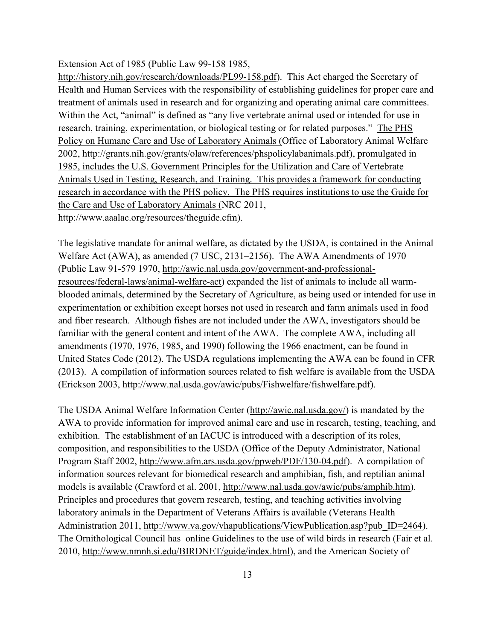Extension Act of 1985 (Public Law 99-158 1985,

[http://history.nih.gov/research/downloads/PL99-158.pdf\)](http://history.nih.gov/research/downloads/PL99-158.pdf). This Act charged the Secretary of Health and Human Services with the responsibility of establishing guidelines for proper care and treatment of animals used in research and for organizing and operating animal care committees. Within the Act, "animal" is defined as "any live vertebrate animal used or intended for use in research, training, experimentation, or biological testing or for related purposes." The PHS Policy on Humane Care and Use of Laboratory Animals (Office of Laboratory Animal Welfare 2002, [http://grants.nih.gov/grants/olaw/references/phspolicylabanimals.pdf\)](http://grants.nih.gov/grants/olaw/references/phspolicylabanimals.pdf), promulgated in 1985, includes the U.S. Government Principles for the Utilization and Care of Vertebrate Animals Used in Testing, Research, and Training. This provides a framework for conducting research in accordance with the PHS policy. The PHS requires institutions to use the Guide for the Care and Use of Laboratory Animals (NRC 2011, [http://www.aaalac.org/resources/theguide.cfm\)](http://www.aaalac.org/resources/theguide.cfm).

The legislative mandate for animal welfare, as dictated by the USDA, is contained in the Animal Welfare Act (AWA), as amended (7 USC, 2131–2156). The AWA Amendments of 1970 (Public Law 91-579 1970, [http://awic.nal.usda.gov/government-and-professional](http://awic.nal.usda.gov/government-and-professional-resources/federal-laws/animal-welfare-act)[resources/federal-laws/animal-welfare-act\)](http://awic.nal.usda.gov/government-and-professional-resources/federal-laws/animal-welfare-act) expanded the list of animals to include all warmblooded animals, determined by the Secretary of Agriculture, as being used or intended for use in experimentation or exhibition except horses not used in research and farm animals used in food and fiber research. Although fishes are not included under the AWA, investigators should be familiar with the general content and intent of the AWA. The complete AWA, including all amendments (1970, 1976, 1985, and 1990) following the 1966 enactment, can be found in United States Code (2012). The USDA regulations implementing the AWA can be found in CFR (2013). A compilation of information sources related to fish welfare is available from the USDA (Erickson 2003, [http://www.nal.usda.gov/awic/pubs/Fishwelfare/fishwelfare.pdf\)](http://www.nal.usda.gov/awic/pubs/Fishwelfare/fishwelfare.pdf).

The USDA Animal Welfare Information Center [\(http://awic.nal.usda.gov/\)](http://awic.nal.usda.gov/) is mandated by the AWA to provide information for improved animal care and use in research, testing, teaching, and exhibition. The establishment of an IACUC is introduced with a description of its roles, composition, and responsibilities to the USDA (Office of the Deputy Administrator, National Program Staff 2002, [http://www.afm.ars.usda.gov/ppweb/PDF/130-04.pdf\)](http://www.afm.ars.usda.gov/ppweb/PDF/130-04.pdf). A compilation of information sources relevant for biomedical research and amphibian, fish, and reptilian animal models is available (Crawford et al. 2001, [http://www.nal.usda.gov/awic/pubs/amphib.htm\)](http://www.nal.usda.gov/awic/pubs/amphib.htm). Principles and procedures that govern research, testing, and teaching activities involving laboratory animals in the Department of Veterans Affairs is available (Veterans Health Administration 2011, [http://www.va.gov/vhapublications/ViewPublication.asp?pub\\_ID=2464\)](http://www.va.gov/vhapublications/ViewPublication.asp?pub_ID=2464). The Ornithological Council has online Guidelines to the use of wild birds in research (Fair et al. 2010, [http://www.nmnh.si.edu/BIRDNET/guide/index.html\)](http://www.nmnh.si.edu/BIRDNET/guide/index.html), and the American Society of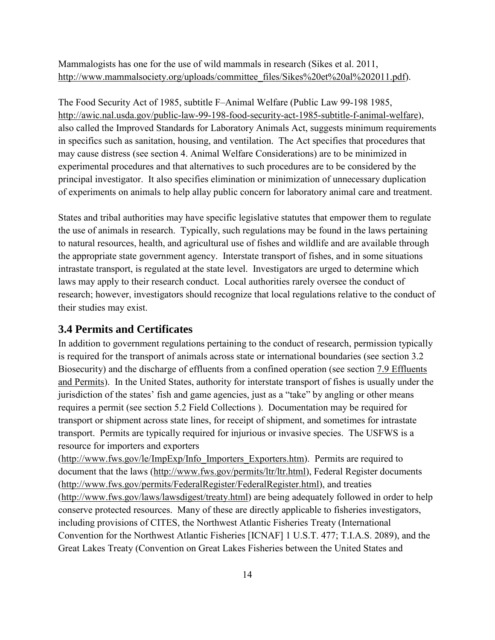<span id="page-28-0"></span>Mammalogists has one for the use of wild mammals in research (Sikes et al. 2011, [http://www.mammalsociety.org/uploads/committee\\_files/Sikes%20et%20al%202011.pdf\)](http://www.mammalsociety.org/uploads/committee_files/Sikes%20et%20al%202011.pdf).

The Food Security Act of 1985, subtitle F–Animal Welfare (Public Law 99-198 1985, [http://awic.nal.usda.gov/public-law-99-198-food-security-act-1985-subtitle-f-animal-welfare\)](http://awic.nal.usda.gov/public-law-99-198-food-security-act-1985-subtitle-f-animal-welfare), also called the Improved Standards for Laboratory Animals Act, suggests minimum requirements in specifics such as sanitation, housing, and ventilation. The Act specifies that procedures that may cause distress (see section [4. Animal Welfare Considerations\)](#page-31-0) are to be minimized in experimental procedures and that alternatives to such procedures are to be considered by the principal investigator. It also specifies elimination or minimization of unnecessary duplication of experiments on animals to help allay public concern for laboratory animal care and treatment.

States and tribal authorities may have specific legislative statutes that empower them to regulate the use of animals in research. Typically, such regulations may be found in the laws pertaining to natural resources, health, and agricultural use of fishes and wildlife and are available through the appropriate state government agency. Interstate transport of fishes, and in some situations intrastate transport, is regulated at the state level. Investigators are urged to determine which laws may apply to their research conduct. Local authorities rarely oversee the conduct of research; however, investigators should recognize that local regulations relative to the conduct of their studies may exist.

#### **3.4 Permits and Certificates**

In addition to government regulations pertaining to the conduct of research, permission typically is required for the transport of animals across state or international boundaries (see section [3.2](#page-25-0)  [Biosecurity\)](#page-25-0) and the discharge of effluents from a confined operation (see section [7.9 Effluents](#page-65-0)  [and Permits\)](#page-65-0). In the United States, authority for interstate transport of fishes is usually under the jurisdiction of the states' fish and game agencies, just as a "take" by angling or other means requires a permit (see section [5.2 Field Collections \)](#page-37-0). Documentation may be required for transport or shipment across state lines, for receipt of shipment, and sometimes for intrastate transport. Permits are typically required for injurious or invasive species. The USFWS is a resource for importers and exporters

[\(http://www.fws.gov/le/ImpExp/Info\\_Importers\\_Exporters.htm\)](http://www.fws.gov/le/ImpExp/Info_Importers_Exporters.htm). Permits are required to document that the laws [\(http://www.fws.gov/permits/ltr/ltr.html\)](http://www.fws.gov/permits/ltr/ltr.html), Federal Register documents [\(http://www.fws.gov/permits/FederalRegister/FederalRegister.html\)](http://www.fws.gov/permits/FederalRegister/FederalRegister.html), and treaties [\(http://www.fws.gov/laws/lawsdigest/treaty.html\)](http://www.fws.gov/laws/lawsdigest/treaty.html) are being adequately followed in order to help conserve protected resources. Many of these are directly applicable to fisheries investigators, including provisions of CITES, the Northwest Atlantic Fisheries Treaty (International Convention for the Northwest Atlantic Fisheries [ICNAF] 1 U.S.T. 477; T.I.A.S. 2089), and the Great Lakes Treaty (Convention on Great Lakes Fisheries between the United States and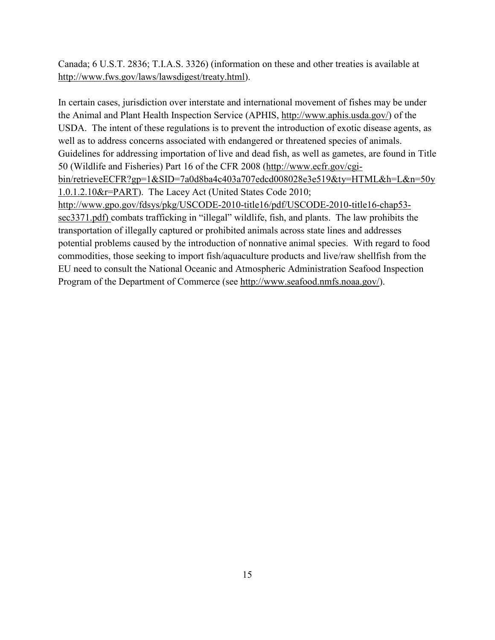Canada; 6 U.S.T. 2836; T.I.A.S. 3326) (information on these and other treaties is available at [http://www.fws.gov/laws/lawsdigest/treaty.html\)](http://www.fws.gov/laws/lawsdigest/treaty.html).

In certain cases, jurisdiction over interstate and international movement of fishes may be under the Animal and Plant Health Inspection Service (APHIS, [http://www.aphis.usda.gov/\)](http://www.aphis.usda.gov/) of the USDA. The intent of these regulations is to prevent the introduction of exotic disease agents, as well as to address concerns associated with endangered or threatened species of animals. Guidelines for addressing importation of live and dead fish, as well as gametes, are found in Title 50 (Wildlife and Fisheries) Part 16 of the CFR 2008 [\(http://www.ecfr.gov/cgi](http://www.ecfr.gov/cgi-bin/retrieveECFR?gp=1&SID=7a0d8ba4c403a707edcd008028e3e519&ty=HTML&h=L&n=50y1.0.1.2.10&r=PART)[bin/retrieveECFR?gp=1&SID=7a0d8ba4c403a707edcd008028e3e519&ty=HTML&h=L&n=50y](http://www.ecfr.gov/cgi-bin/retrieveECFR?gp=1&SID=7a0d8ba4c403a707edcd008028e3e519&ty=HTML&h=L&n=50y1.0.1.2.10&r=PART) [1.0.1.2.10&r=PART\)](http://www.ecfr.gov/cgi-bin/retrieveECFR?gp=1&SID=7a0d8ba4c403a707edcd008028e3e519&ty=HTML&h=L&n=50y1.0.1.2.10&r=PART). The Lacey Act (United States Code 2010; [http://www.gpo.gov/fdsys/pkg/USCODE-2010-title16/pdf/USCODE-2010-title16-chap53](http://www.gpo.gov/fdsys/pkg/USCODE-2010-title16/pdf/USCODE-2010-title16-chap53-sec3371.pdf) [sec3371.pdf\)](http://www.gpo.gov/fdsys/pkg/USCODE-2010-title16/pdf/USCODE-2010-title16-chap53-sec3371.pdf) combats trafficking in "illegal" wildlife, fish, and plants. The law prohibits the transportation of illegally captured or prohibited animals across state lines and addresses potential problems caused by the introduction of nonnative animal species. With regard to food commodities, those seeking to import fish/aquaculture products and live/raw shellfish from the EU need to consult the National Oceanic and Atmospheric Administration Seafood Inspection Program of the Department of Commerce (see [http://www.seafood.nmfs.noaa.gov/\)](http://www.seafood.nmfs.noaa.gov/).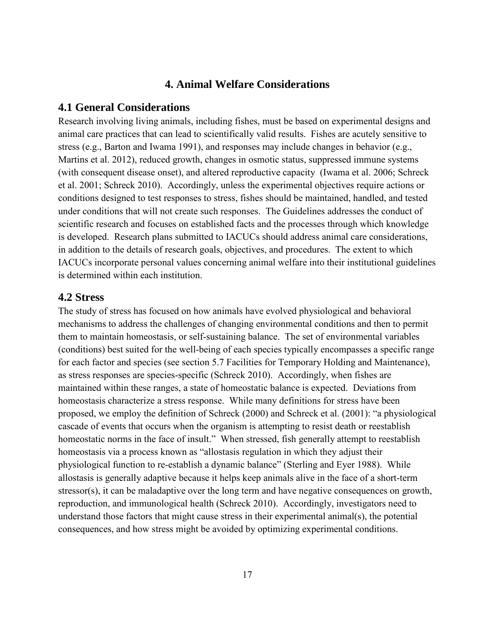#### **4. Animal Welfare Considerations**

#### <span id="page-31-0"></span>**4.1 General Considerations**

Research involving living animals, including fishes, must be based on experimental designs and animal care practices that can lead to scientifically valid results. Fishes are acutely sensitive to stress (e.g., Barton and Iwama 1991), and responses may include changes in behavior (e.g., Martins et al. 2012), reduced growth, changes in osmotic status, suppressed immune systems (with consequent disease onset), and altered reproductive capacity (Iwama et al. 2006; Schreck et al. 2001; Schreck 2010). Accordingly, unless the experimental objectives require actions or conditions designed to test responses to stress, fishes should be maintained, handled, and tested under conditions that will not create such responses. The Guidelines addresses the conduct of scientific research and focuses on established facts and the processes through which knowledge is developed. Research plans submitted to IACUCs should address animal care considerations, in addition to the details of research goals, objectives, and procedures. The extent to which IACUCs incorporate personal values concerning animal welfare into their institutional guidelines is determined within each institution.

#### **4.2 Stress**

The study of stress has focused on how animals have evolved physiological and behavioral mechanisms to address the challenges of changing environmental conditions and then to permit them to maintain homeostasis, or self-sustaining balance. The set of environmental variables (conditions) best suited for the well-being of each species typically encompasses a specific range for each factor and species (see section [5.7 Facilities for Temporary Holding and Maintenance\)](#page-46-0), as stress responses are species-specific (Schreck 2010). Accordingly, when fishes are maintained within these ranges, a state of homeostatic balance is expected. Deviations from homeostasis characterize a stress response. While many definitions for stress have been proposed, we employ the definition of Schreck (2000) and Schreck et al. (2001): "a physiological cascade of events that occurs when the organism is attempting to resist death or reestablish homeostatic norms in the face of insult." When stressed, fish generally attempt to reestablish homeostasis via a process known as "allostasis regulation in which they adjust their physiological function to re-establish a dynamic balance" (Sterling and Eyer 1988). While allostasis is generally adaptive because it helps keep animals alive in the face of a short-term stressor(s), it can be maladaptive over the long term and have negative consequences on growth, reproduction, and immunological health (Schreck 2010). Accordingly, investigators need to understand those factors that might cause stress in their experimental animal(s), the potential consequences, and how stress might be avoided by optimizing experimental conditions.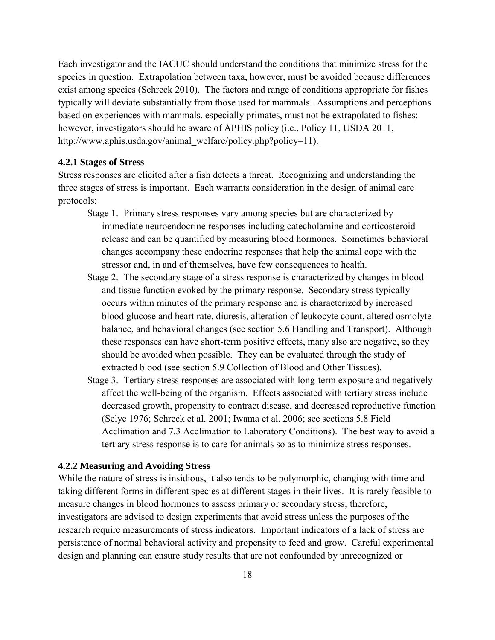<span id="page-32-0"></span>Each investigator and the IACUC should understand the conditions that minimize stress for the species in question. Extrapolation between taxa, however, must be avoided because differences exist among species (Schreck 2010). The factors and range of conditions appropriate for fishes typically will deviate substantially from those used for mammals. Assumptions and perceptions based on experiences with mammals, especially primates, must not be extrapolated to fishes; however, investigators should be aware of APHIS policy (i.e., Policy 11, USDA 2011, [http://www.aphis.usda.gov/animal\\_welfare/policy.php?policy=11\)](http://www.aphis.usda.gov/animal_welfare/policy.php?policy=11).

#### **4.2.1 Stages of Stress**

Stress responses are elicited after a fish detects a threat. Recognizing and understanding the three stages of stress is important. Each warrants consideration in the design of animal care protocols:

- Stage 1. Primary stress responses vary among species but are characterized by immediate neuroendocrine responses including catecholamine and corticosteroid release and can be quantified by measuring blood hormones. Sometimes behavioral changes accompany these endocrine responses that help the animal cope with the stressor and, in and of themselves, have few consequences to health.
- Stage 2. The secondary stage of a stress response is characterized by changes in blood and tissue function evoked by the primary response. Secondary stress typically occurs within minutes of the primary response and is characterized by increased blood glucose and heart rate, diuresis, alteration of leukocyte count, altered osmolyte balance, and behavioral changes (see section 5.6 Handling and Transport). Although these responses can have short-term positive effects, many also are negative, so they should be avoided when possible. They can be evaluated through the study of extracted blood (see section [5.9 Collection of Blood and Other Tissues\)](#page-48-0).
- Stage 3. Tertiary stress responses are associated with long-term exposure and negatively affect the well-being of the organism. Effects associated with tertiary stress include decreased growth, propensity to contract disease, and decreased reproductive function (Selye 1976; Schreck et al. 2001; Iwama et al. 2006; see sections [5.8 Field](#page-47-0)  [Acclimation](#page-47-0) and [7.3 Acclimation to Laboratory Conditions\)](#page-59-0). The best way to avoid a tertiary stress response is to care for animals so as to minimize stress responses.

#### **4.2.2 Measuring and Avoiding Stress**

While the nature of stress is insidious, it also tends to be polymorphic, changing with time and taking different forms in different species at different stages in their lives. It is rarely feasible to measure changes in blood hormones to assess primary or secondary stress; therefore, investigators are advised to design experiments that avoid stress unless the purposes of the research require measurements of stress indicators. Important indicators of a lack of stress are persistence of normal behavioral activity and propensity to feed and grow. Careful experimental design and planning can ensure study results that are not confounded by unrecognized or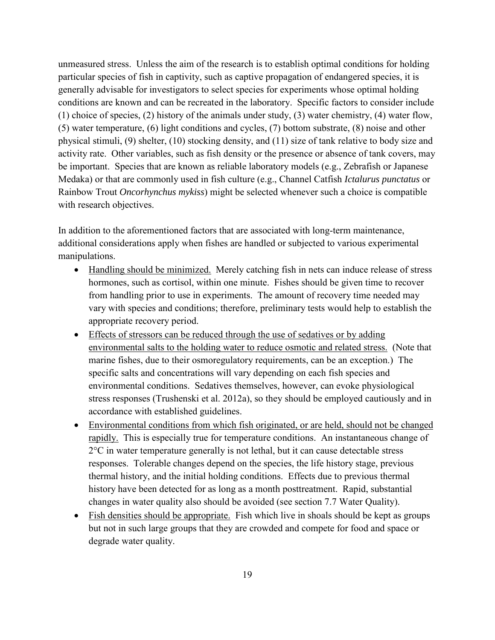unmeasured stress. Unless the aim of the research is to establish optimal conditions for holding particular species of fish in captivity, such as captive propagation of endangered species, it is generally advisable for investigators to select species for experiments whose optimal holding conditions are known and can be recreated in the laboratory. Specific factors to consider include (1) choice of species, (2) history of the animals under study, (3) water chemistry, (4) water flow, (5) water temperature, (6) light conditions and cycles, (7) bottom substrate, (8) noise and other physical stimuli, (9) shelter, (10) stocking density, and (11) size of tank relative to body size and activity rate. Other variables, such as fish density or the presence or absence of tank covers, may be important. Species that are known as reliable laboratory models (e.g., Zebrafish or Japanese Medaka) or that are commonly used in fish culture (e.g., Channel Catfish *Ictalurus punctatus* or Rainbow Trout *Oncorhynchus mykiss*) might be selected whenever such a choice is compatible with research objectives.

In addition to the aforementioned factors that are associated with long-term maintenance, additional considerations apply when fishes are handled or subjected to various experimental manipulations.

- Handling should be minimized. Merely catching fish in nets can induce release of stress hormones, such as cortisol, within one minute. Fishes should be given time to recover from handling prior to use in experiments. The amount of recovery time needed may vary with species and conditions; therefore, preliminary tests would help to establish the appropriate recovery period.
- Effects of stressors can be reduced through the use of sedatives or by adding environmental salts to the holding water to reduce osmotic and related stress. (Note that marine fishes, due to their osmoregulatory requirements, can be an exception.) The specific salts and concentrations will vary depending on each fish species and environmental conditions. Sedatives themselves, however, can evoke physiological stress responses (Trushenski et al. 2012a), so they should be employed cautiously and in accordance with established guidelines.
- Environmental conditions from which fish originated, or are held, should not be changed rapidly. This is especially true for temperature conditions. An instantaneous change of 2°C in water temperature generally is not lethal, but it can cause detectable stress responses. Tolerable changes depend on the species, the life history stage, previous thermal history, and the initial holding conditions. Effects due to previous thermal history have been detected for as long as a month posttreatment. Rapid, substantial changes in water quality also should be avoided (see section [7.7 Water Quality\)](#page-63-0).
- Fish densities should be appropriate. Fish which live in shoals should be kept as groups but not in such large groups that they are crowded and compete for food and space or degrade water quality.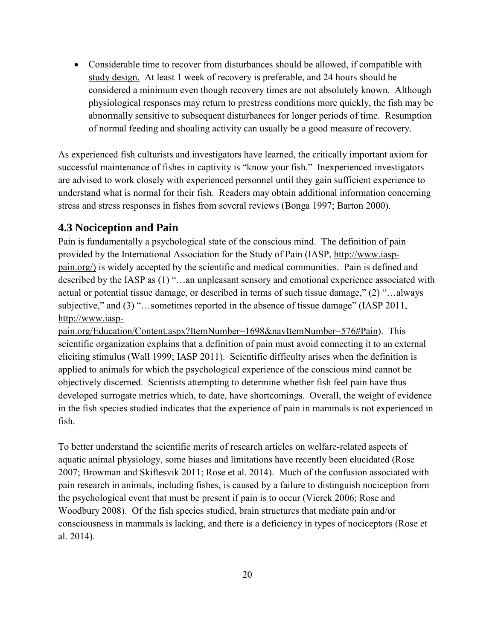<span id="page-34-0"></span>• Considerable time to recover from disturbances should be allowed, if compatible with study design. At least 1 week of recovery is preferable, and 24 hours should be considered a minimum even though recovery times are not absolutely known. Although physiological responses may return to prestress conditions more quickly, the fish may be abnormally sensitive to subsequent disturbances for longer periods of time. Resumption of normal feeding and shoaling activity can usually be a good measure of recovery.

As experienced fish culturists and investigators have learned, the critically important axiom for successful maintenance of fishes in captivity is "know your fish." Inexperienced investigators are advised to work closely with experienced personnel until they gain sufficient experience to understand what is normal for their fish. Readers may obtain additional information concerning stress and stress responses in fishes from several reviews (Bonga 1997; Barton 2000).

## **4.3 Nociception and Pain**

Pain is fundamentally a psychological state of the conscious mind. The definition of pain provided by the International Association for the Study of Pain (IASP, [http://www.iasp](http://www.iasp-pain.org/)[pain.org/\)](http://www.iasp-pain.org/) is widely accepted by the scientific and medical communities. Pain is defined and described by the IASP as (1) "…an unpleasant sensory and emotional experience associated with actual or potential tissue damage, or described in terms of such tissue damage," (2) "…always subjective," and (3) "…sometimes reported in the absence of tissue damage" (IASP 2011, [http://www.iasp-](http://www.iasp-pain.org/Education/Content.aspx?ItemNumber=1698&navItemNumber=576#Pain)

[pain.org/Education/Content.aspx?ItemNumber=1698&navItemNumber=576#Pain\)](http://www.iasp-pain.org/Education/Content.aspx?ItemNumber=1698&navItemNumber=576#Pain). This scientific organization explains that a definition of pain must avoid connecting it to an external eliciting stimulus (Wall 1999; IASP 2011). Scientific difficulty arises when the definition is applied to animals for which the psychological experience of the conscious mind cannot be objectively discerned. Scientists attempting to determine whether fish feel pain have thus developed surrogate metrics which, to date, have shortcomings. Overall, the weight of evidence in the fish species studied indicates that the experience of pain in mammals is not experienced in fish.

To better understand the scientific merits of research articles on welfare-related aspects of aquatic animal physiology, some biases and limitations have recently been elucidated (Rose 2007; Browman and Skiftesvik 2011; Rose et al. 2014). Much of the confusion associated with pain research in animals, including fishes, is caused by a failure to distinguish nociception from the psychological event that must be present if pain is to occur (Vierck 2006; Rose and Woodbury 2008). Of the fish species studied, brain structures that mediate pain and/or consciousness in mammals is lacking, and there is a deficiency in types of nociceptors (Rose et al. 2014).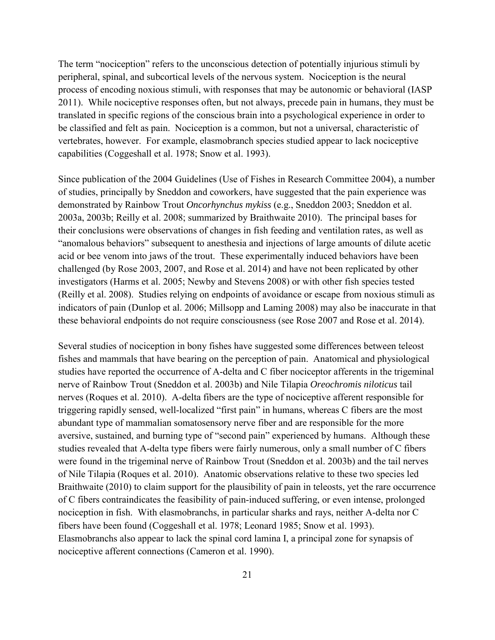The term "nociception" refers to the unconscious detection of potentially injurious stimuli by peripheral, spinal, and subcortical levels of the nervous system. Nociception is the neural process of encoding noxious stimuli, with responses that may be autonomic or behavioral (IASP 2011). While nociceptive responses often, but not always, precede pain in humans, they must be translated in specific regions of the conscious brain into a psychological experience in order to be classified and felt as pain. Nociception is a common, but not a universal, characteristic of vertebrates, however. For example, elasmobranch species studied appear to lack nociceptive capabilities (Coggeshall et al. 1978; Snow et al. 1993).

Since publication of the 2004 Guidelines (Use of Fishes in Research Committee 2004), a number of studies, principally by Sneddon and coworkers, have suggested that the pain experience was demonstrated by Rainbow Trout *Oncorhynchus mykiss* (e.g., Sneddon 2003; Sneddon et al. 2003a, 2003b; Reilly et al. 2008; summarized by Braithwaite 2010). The principal bases for their conclusions were observations of changes in fish feeding and ventilation rates, as well as "anomalous behaviors" subsequent to anesthesia and injections of large amounts of dilute acetic acid or bee venom into jaws of the trout. These experimentally induced behaviors have been challenged (by Rose 2003, 2007, and Rose et al. 2014) and have not been replicated by other investigators (Harms et al. 2005; Newby and Stevens 2008) or with other fish species tested (Reilly et al. 2008). Studies relying on endpoints of avoidance or escape from noxious stimuli as indicators of pain (Dunlop et al. 2006; Millsopp and Laming 2008) may also be inaccurate in that these behavioral endpoints do not require consciousness (see Rose 2007 and Rose et al. 2014).

Several studies of nociception in bony fishes have suggested some differences between teleost fishes and mammals that have bearing on the perception of pain. Anatomical and physiological studies have reported the occurrence of A-delta and C fiber nociceptor afferents in the trigeminal nerve of Rainbow Trout (Sneddon et al. 2003b) and Nile Tilapia *Oreochromis niloticus* tail nerves (Roques et al. 2010). A-delta fibers are the type of nociceptive afferent responsible for triggering rapidly sensed, well-localized "first pain" in humans, whereas C fibers are the most abundant type of mammalian somatosensory nerve fiber and are responsible for the more aversive, sustained, and burning type of "second pain" experienced by humans. Although these studies revealed that A-delta type fibers were fairly numerous, only a small number of C fibers were found in the trigeminal nerve of Rainbow Trout (Sneddon et al. 2003b) and the tail nerves of Nile Tilapia (Roques et al. 2010). Anatomic observations relative to these two species led Braithwaite (2010) to claim support for the plausibility of pain in teleosts, yet the rare occurrence of C fibers contraindicates the feasibility of pain-induced suffering, or even intense, prolonged nociception in fish. With elasmobranchs, in particular sharks and rays, neither A-delta nor C fibers have been found (Coggeshall et al. 1978; Leonard 1985; Snow et al. 1993). Elasmobranchs also appear to lack the spinal cord lamina I, a principal zone for synapsis of nociceptive afferent connections (Cameron et al. 1990).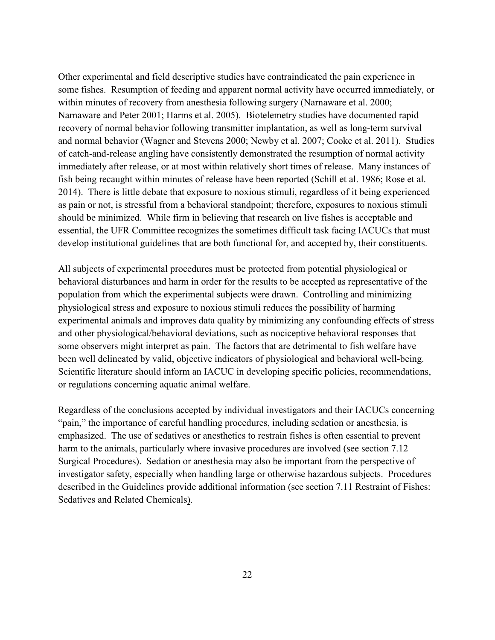Other experimental and field descriptive studies have contraindicated the pain experience in some fishes. Resumption of feeding and apparent normal activity have occurred immediately, or within minutes of recovery from anesthesia following surgery (Narnaware et al. 2000; Narnaware and Peter 2001; Harms et al. 2005). Biotelemetry studies have documented rapid recovery of normal behavior following transmitter implantation, as well as long-term survival and normal behavior (Wagner and Stevens 2000; Newby et al. 2007; Cooke et al. 2011). Studies of catch-and-release angling have consistently demonstrated the resumption of normal activity immediately after release, or at most within relatively short times of release. Many instances of fish being recaught within minutes of release have been reported (Schill et al. 1986; Rose et al. 2014). There is little debate that exposure to noxious stimuli, regardless of it being experienced as pain or not, is stressful from a behavioral standpoint; therefore, exposures to noxious stimuli should be minimized. While firm in believing that research on live fishes is acceptable and essential, the UFR Committee recognizes the sometimes difficult task facing IACUCs that must develop institutional guidelines that are both functional for, and accepted by, their constituents.

All subjects of experimental procedures must be protected from potential physiological or behavioral disturbances and harm in order for the results to be accepted as representative of the population from which the experimental subjects were drawn. Controlling and minimizing physiological stress and exposure to noxious stimuli reduces the possibility of harming experimental animals and improves data quality by minimizing any confounding effects of stress and other physiological/behavioral deviations, such as nociceptive behavioral responses that some observers might interpret as pain. The factors that are detrimental to fish welfare have been well delineated by valid, objective indicators of physiological and behavioral well-being. Scientific literature should inform an IACUC in developing specific policies, recommendations, or regulations concerning aquatic animal welfare.

Regardless of the conclusions accepted by individual investigators and their IACUCs concerning "pain," the importance of careful handling procedures, including sedation or anesthesia, is emphasized. The use of sedatives or anesthetics to restrain fishes is often essential to prevent harm to the animals, particularly where invasive procedures are involved (see sectio[n 7.12](#page-67-0)  [Surgical Procedures\)](#page-67-0). Sedation or anesthesia may also be important from the perspective of investigator safety, especially when handling large or otherwise hazardous subjects. Procedures described in the Guidelines provide additional information (see section [7.11 Restraint of Fishes:](#page-66-0)  [Sedatives and Related Chemicals\)](#page-66-0).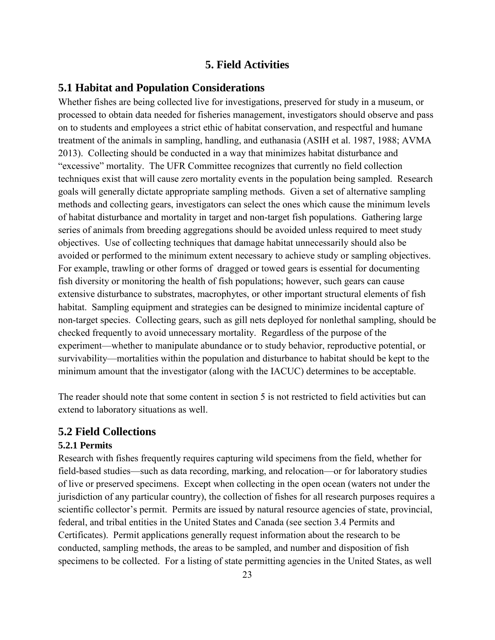# **5. Field Activities**

## **5.1 Habitat and Population Considerations**

Whether fishes are being collected live for investigations, preserved for study in a museum, or processed to obtain data needed for fisheries management, investigators should observe and pass on to students and employees a strict ethic of habitat conservation, and respectful and humane treatment of the animals in sampling, handling, and euthanasia (ASIH et al. 1987, 1988; AVMA 2013). Collecting should be conducted in a way that minimizes habitat disturbance and "excessive" mortality. The UFR Committee recognizes that currently no field collection techniques exist that will cause zero mortality events in the population being sampled. Research goals will generally dictate appropriate sampling methods. Given a set of alternative sampling methods and collecting gears, investigators can select the ones which cause the minimum levels of habitat disturbance and mortality in target and non-target fish populations. Gathering large series of animals from breeding aggregations should be avoided unless required to meet study objectives. Use of collecting techniques that damage habitat unnecessarily should also be avoided or performed to the minimum extent necessary to achieve study or sampling objectives. For example, trawling or other forms of dragged or towed gears is essential for documenting fish diversity or monitoring the health of fish populations; however, such gears can cause extensive disturbance to substrates, macrophytes, or other important structural elements of fish habitat. Sampling equipment and strategies can be designed to minimize incidental capture of non-target species. Collecting gears, such as gill nets deployed for nonlethal sampling, should be checked frequently to avoid unnecessary mortality. Regardless of the purpose of the experiment—whether to manipulate abundance or to study behavior, reproductive potential, or survivability—mortalities within the population and disturbance to habitat should be kept to the minimum amount that the investigator (along with the IACUC) determines to be acceptable.

The reader should note that some content in section 5 is not restricted to field activities but can extend to laboratory situations as well.

## **5.2 Field Collections**

#### **5.2.1 Permits**

Research with fishes frequently requires capturing wild specimens from the field, whether for field-based studies—such as data recording, marking, and relocation—or for laboratory studies of live or preserved specimens. Except when collecting in the open ocean (waters not under the jurisdiction of any particular country), the collection of fishes for all research purposes requires a scientific collector's permit. Permits are issued by natural resource agencies of state, provincial, federal, and tribal entities in the United States and Canada (see section [3.4 Permits and](#page-28-0)  [Certificates](#page-28-0)). Permit applications generally request information about the research to be conducted, sampling methods, the areas to be sampled, and number and disposition of fish specimens to be collected. For a listing of state permitting agencies in the United States, as well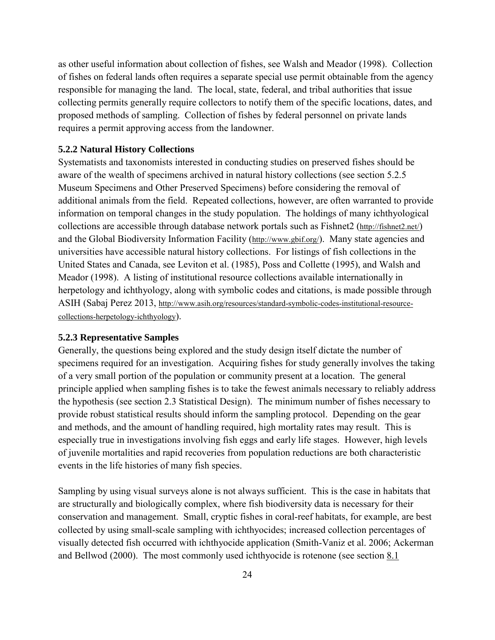<span id="page-38-0"></span>as other useful information about collection of fishes, see Walsh and Meador (1998). Collection of fishes on federal lands often requires a separate special use permit obtainable from the agency responsible for managing the land. The local, state, federal, and tribal authorities that issue collecting permits generally require collectors to notify them of the specific locations, dates, and proposed methods of sampling. Collection of fishes by federal personnel on private lands requires a permit approving access from the landowner.

#### **5.2.2 Natural History Collections**

Systematists and taxonomists interested in conducting studies on preserved fishes should be aware of the wealth of specimens archived in natural history collections (see section [5.2.5](#page-40-0)  [Museum Specimens and Other Preserved Specimens\)](#page-40-0) before considering the removal of additional animals from the field. Repeated collections, however, are often warranted to provide information on temporal changes in the study population. The holdings of many ichthyological collections are accessible through database network portals such as Fishnet2 [\(http://fishnet2.net/\)](http://fishnet2.net/) and the Global Biodiversity Information Facility [\(http://www.gbif.org/\)](http://www.gbif.org/). Many state agencies and universities have accessible natural history collections. For listings of fish collections in the United States and Canada, see Leviton et al. (1985), Poss and Collette (1995), and Walsh and Meador (1998). A listing of institutional resource collections available internationally in herpetology and ichthyology, along with symbolic codes and citations, is made possible through ASIH (Sabaj Perez 2013, [http://www.asih.org/resources/standard-symbolic-codes-institutional-resource](http://www.asih.org/resources/standard-symbolic-codes-institutional-resource-collections-herpetology-ichthyology)[collections-herpetology-ichthyology\)](http://www.asih.org/resources/standard-symbolic-codes-institutional-resource-collections-herpetology-ichthyology).

#### **5.2.3 Representative Samples**

Generally, the questions being explored and the study design itself dictate the number of specimens required for an investigation. Acquiring fishes for study generally involves the taking of a very small portion of the population or community present at a location. The general principle applied when sampling fishes is to take the fewest animals necessary to reliably address the hypothesis (see section [2.3 Statistical Design\)](#page-19-0). The minimum number of fishes necessary to provide robust statistical results should inform the sampling protocol. Depending on the gear and methods, and the amount of handling required, high mortality rates may result. This is especially true in investigations involving fish eggs and early life stages. However, high levels of juvenile mortalities and rapid recoveries from population reductions are both characteristic events in the life histories of many fish species.

Sampling by using visual surveys alone is not always sufficient. This is the case in habitats that are structurally and biologically complex, where fish biodiversity data is necessary for their conservation and management. Small, cryptic fishes in coral-reef habitats, for example, are best collected by using small-scale sampling with ichthyocides; increased collection percentages of visually detected fish occurred with ichthyocide application (Smith-Vaniz et al. 2006; Ackerman and Bellwod (2000). The most commonly used ichthyocide is rotenone (see section [8.1](#page-73-0)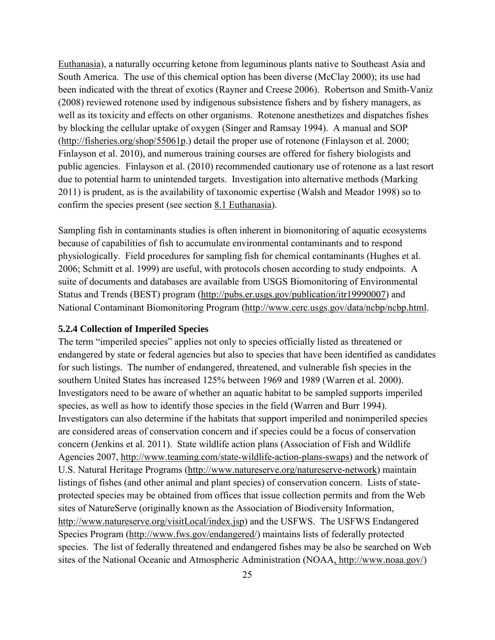<span id="page-39-0"></span>[Euthanasia\)](#page-73-0), a naturally occurring ketone from leguminous plants native to Southeast Asia and South America. The use of this chemical option has been diverse (McClay 2000); its use had been indicated with the threat of exotics (Rayner and Creese 2006). Robertson and Smith-Vaniz (2008) reviewed rotenone used by indigenous subsistence fishers and by fishery managers, as well as its toxicity and effects on other organisms. Rotenone anesthetizes and dispatches fishes by blocking the cellular uptake of oxygen (Singer and Ramsay 1994). A manual and SOP [\(http://fisheries.org/shop/55061p.](http://fisheries.org/shop/55061p)) detail the proper use of rotenone (Finlayson et al. 2000; Finlayson et al. 2010), and numerous training courses are offered for fishery biologists and public agencies. Finlayson et al. (2010) recommended cautionary use of rotenone as a last resort due to potential harm to unintended targets. Investigation into alternative methods (Marking 2011) is prudent, as is the availability of taxonomic expertise (Walsh and Meador 1998) so to confirm the species present (see section [8.1 Euthanasia\)](#page-73-0).

Sampling fish in contaminants studies is often inherent in biomonitoring of aquatic ecosystems because of capabilities of fish to accumulate environmental contaminants and to respond physiologically. Field procedures for sampling fish for chemical contaminants (Hughes et al. 2006; Schmitt et al. 1999) are useful, with protocols chosen according to study endpoints. A suite of documents and databases are available from USGS Biomonitoring of Environmental Status and Trends (BEST) program [\(http://pubs.er.usgs.gov/publication/itr19990007\)](http://pubs.er.usgs.gov/publication/itr19990007) and National Contaminant Biomonitoring Program [\(http://www.cerc.usgs.gov/data/ncbp/ncbp.html.](http://www.cerc.usgs.gov/data/ncbp/ncbp.html)

#### **5.2.4 Collection of Imperiled Species**

The term "imperiled species" applies not only to species officially listed as threatened or endangered by state or federal agencies but also to species that have been identified as candidates for such listings. The number of endangered, threatened, and vulnerable fish species in the southern United States has increased 125% between 1969 and 1989 (Warren et al. 2000). Investigators need to be aware of whether an aquatic habitat to be sampled supports imperiled species, as well as how to identify those species in the field (Warren and Burr 1994). Investigators can also determine if the habitats that support imperiled and nonimperiled species are considered areas of conservation concern and if species could be a focus of conservation concern (Jenkins et al. 2011). State wildlife action plans (Association of Fish and Wildlife Agencies 2007, [http://www.teaming.com/state-wildlife-action-plans-swaps\)](http://www.teaming.com/state-wildlife-action-plans-swaps) and the network of U.S. Natural Heritage Programs [\(http://www.natureserve.org/natureserve-network\)](http://www.natureserve.org/natureserve-network) maintain listings of fishes (and other animal and plant species) of conservation concern. Lists of stateprotected species may be obtained from offices that issue collection permits and from the Web sites of NatureServe (originally known as the Association of Biodiversity Information, [http://www.natureserve.org/visitLocal/index.jsp\)](http://www.natureserve.org/visitLocal/index.jsp) and the USFWS. The USFWS Endangered Species Program [\(http://www.fws.gov/endangered/\)](http://www.fws.gov/endangered/) maintains lists of federally protected species. The list of federally threatened and endangered fishes may be also be searched on Web sites of the National Oceanic and Atmospheric Administration (NOAA, [http://www.noaa.gov/\)](http://www.noaa.gov/)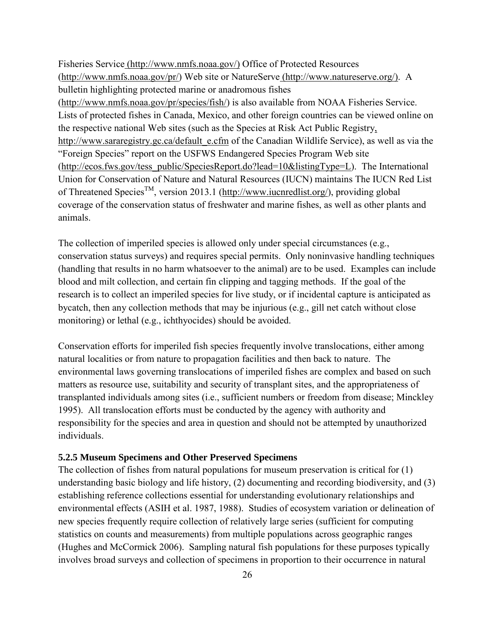<span id="page-40-0"></span>Fisheries Service [\(http://www.nmfs.noaa.gov/\)](http://www.nmfs.noaa.gov/) Office of Protected Resources [\(http://www.nmfs.noaa.gov/pr/\)](http://www.nmfs.noaa.gov/pr/) Web site or NatureServe [\(http://www.natureserve.org/\)](http://www.natureserve.org/). A bulletin highlighting protected marine or anadromous fishes [\(http://www.nmfs.noaa.gov/pr/species/fish/\)](http://www.nmfs.noaa.gov/pr/species/fish/) is also available from NOAA Fisheries Service. Lists of protected fishes in Canada, Mexico, and other foreign countries can be viewed online on the respective national Web sites (such as the Species at Risk Act Public Registry, [http://www.sararegistry.gc.ca/default\\_e.cfm](http://www.sararegistry.gc.ca/default_e.cfm) of the Canadian Wildlife Service), as well as via the "Foreign Species" report on the USFWS Endangered Species Program Web site [\(http://ecos.fws.gov/tess\\_public/SpeciesReport.do?lead=10&listingType=L\)](http://ecos.fws.gov/tess_public/SpeciesReport.do?lead=10&listingType=L). The International Union for Conservation of Nature and Natural Resources (IUCN) maintains The IUCN Red List of Threatened Species<sup>TM</sup>, version 2013.1 [\(http://www.iucnredlist.org/\)](http://www.iucnredlist.org/), providing global coverage of the conservation status of freshwater and marine fishes, as well as other plants and animals.

The collection of imperiled species is allowed only under special circumstances (e.g., conservation status surveys) and requires special permits. Only noninvasive handling techniques (handling that results in no harm whatsoever to the animal) are to be used. Examples can include blood and milt collection, and certain fin clipping and tagging methods. If the goal of the research is to collect an imperiled species for live study, or if incidental capture is anticipated as bycatch, then any collection methods that may be injurious (e.g., gill net catch without close monitoring) or lethal (e.g., ichthyocides) should be avoided.

Conservation efforts for imperiled fish species frequently involve translocations, either among natural localities or from nature to propagation facilities and then back to nature. The environmental laws governing translocations of imperiled fishes are complex and based on such matters as resource use, suitability and security of transplant sites, and the appropriateness of transplanted individuals among sites (i.e., sufficient numbers or freedom from disease; Minckley 1995). All translocation efforts must be conducted by the agency with authority and responsibility for the species and area in question and should not be attempted by unauthorized individuals.

#### **5.2.5 Museum Specimens and Other Preserved Specimens**

The collection of fishes from natural populations for museum preservation is critical for (1) understanding basic biology and life history, (2) documenting and recording biodiversity, and (3) establishing reference collections essential for understanding evolutionary relationships and environmental effects (ASIH et al. 1987, 1988). Studies of ecosystem variation or delineation of new species frequently require collection of relatively large series (sufficient for computing statistics on counts and measurements) from multiple populations across geographic ranges (Hughes and McCormick 2006). Sampling natural fish populations for these purposes typically involves broad surveys and collection of specimens in proportion to their occurrence in natural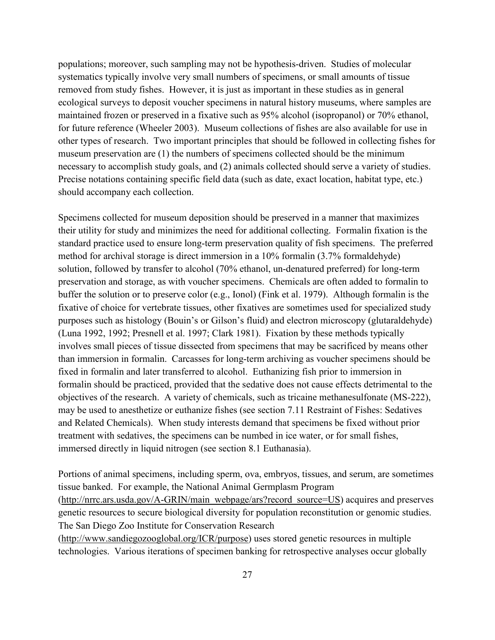populations; moreover, such sampling may not be hypothesis-driven. Studies of molecular systematics typically involve very small numbers of specimens, or small amounts of tissue removed from study fishes. However, it is just as important in these studies as in general ecological surveys to deposit voucher specimens in natural history museums, where samples are maintained frozen or preserved in a fixative such as 95% alcohol (isopropanol) or 70% ethanol, for future reference (Wheeler 2003). Museum collections of fishes are also available for use in other types of research. Two important principles that should be followed in collecting fishes for museum preservation are (1) the numbers of specimens collected should be the minimum necessary to accomplish study goals, and (2) animals collected should serve a variety of studies. Precise notations containing specific field data (such as date, exact location, habitat type, etc.) should accompany each collection.

Specimens collected for museum deposition should be preserved in a manner that maximizes their utility for study and minimizes the need for additional collecting. Formalin fixation is the standard practice used to ensure long-term preservation quality of fish specimens. The preferred method for archival storage is direct immersion in a 10% formalin (3.7% formaldehyde) solution, followed by transfer to alcohol (70% ethanol, un-denatured preferred) for long-term preservation and storage, as with voucher specimens. Chemicals are often added to formalin to buffer the solution or to preserve color (e.g., Ionol) (Fink et al. 1979). Although formalin is the fixative of choice for vertebrate tissues, other fixatives are sometimes used for specialized study purposes such as histology (Bouin's or Gilson's fluid) and electron microscopy (glutaraldehyde) (Luna 1992, 1992; Presnell et al. 1997; Clark 1981). Fixation by these methods typically involves small pieces of tissue dissected from specimens that may be sacrificed by means other than immersion in formalin. Carcasses for long-term archiving as voucher specimens should be fixed in formalin and later transferred to alcohol. Euthanizing fish prior to immersion in formalin should be practiced, provided that the sedative does not cause effects detrimental to the objectives of the research. A variety of chemicals, such as tricaine methanesulfonate (MS-222), may be used to anesthetize or euthanize fishes (see section [7.11 Restraint of Fishes: Sedatives](#page-66-0)  [and Related Chemicals\)](#page-66-0). When study interests demand that specimens be fixed without prior treatment with sedatives, the specimens can be numbed in ice water, or for small fishes, immersed directly in liquid nitrogen (see section [8.1 Euthanasia\)](#page-73-0).

Portions of animal specimens, including sperm, ova, embryos, tissues, and serum, are sometimes tissue banked. For example, the National Animal Germplasm Program [\(http://nrrc.ars.usda.gov/A-GRIN/main\\_webpage/ars?record\\_source=US\)](http://nrrc.ars.usda.gov/A-GRIN/main_webpage/ars?record_source=US) acquires and preserves genetic resources to secure biological diversity for population reconstitution or genomic studies. The San Diego Zoo Institute for Conservation Research

[\(http://www.sandiegozooglobal.org/ICR/purpose\)](http://www.sandiegozooglobal.org/ICR/purpose) uses stored genetic resources in multiple technologies. Various iterations of specimen banking for retrospective analyses occur globally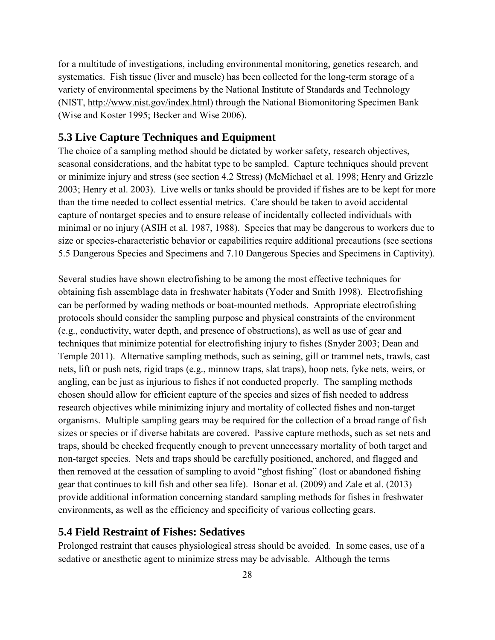<span id="page-42-0"></span>for a multitude of investigations, including environmental monitoring, genetics research, and systematics. Fish tissue (liver and muscle) has been collected for the long-term storage of a variety of environmental specimens by the National Institute of Standards and Technology (NIST, [http://www.nist.gov/index.html\)](http://www.nist.gov/index.html) through the National Biomonitoring Specimen Bank (Wise and Koster 1995; Becker and Wise 2006).

## **5.3 Live Capture Techniques and Equipment**

The choice of a sampling method should be dictated by worker safety, research objectives, seasonal considerations, and the habitat type to be sampled. Capture techniques should prevent or minimize injury and stress (see section [4.2 Stress\)](#page-31-0) (McMichael et al. 1998; Henry and Grizzle 2003; Henry et al. 2003). Live wells or tanks should be provided if fishes are to be kept for more than the time needed to collect essential metrics. Care should be taken to avoid accidental capture of nontarget species and to ensure release of incidentally collected individuals with minimal or no injury (ASIH et al. 1987, 1988). Species that may be dangerous to workers due to size or species-characteristic behavior or capabilities require additional precautions (see sections [5.5 Dangerous Species and Specimens](#page-44-0) and [7.10 Dangerous Species and Specimens in Captivity\)](#page-65-0).

Several studies have shown electrofishing to be among the most effective techniques for obtaining fish assemblage data in freshwater habitats (Yoder and Smith 1998). Electrofishing can be performed by wading methods or boat-mounted methods. Appropriate electrofishing protocols should consider the sampling purpose and physical constraints of the environment (e.g., conductivity, water depth, and presence of obstructions), as well as use of gear and techniques that minimize potential for electrofishing injury to fishes (Snyder 2003; Dean and Temple 2011). Alternative sampling methods, such as seining, gill or trammel nets, trawls, cast nets, lift or push nets, rigid traps (e.g., minnow traps, slat traps), hoop nets, fyke nets, weirs, or angling, can be just as injurious to fishes if not conducted properly. The sampling methods chosen should allow for efficient capture of the species and sizes of fish needed to address research objectives while minimizing injury and mortality of collected fishes and non-target organisms. Multiple sampling gears may be required for the collection of a broad range of fish sizes or species or if diverse habitats are covered. Passive capture methods, such as set nets and traps, should be checked frequently enough to prevent unnecessary mortality of both target and non-target species. Nets and traps should be carefully positioned, anchored, and flagged and then removed at the cessation of sampling to avoid "ghost fishing" (lost or abandoned fishing gear that continues to kill fish and other sea life). Bonar et al. (2009) and Zale et al. (2013) provide additional information concerning standard sampling methods for fishes in freshwater environments, as well as the efficiency and specificity of various collecting gears.

#### **5.4 Field Restraint of Fishes: Sedatives**

Prolonged restraint that causes physiological stress should be avoided. In some cases, use of a sedative or anesthetic agent to minimize stress may be advisable. Although the terms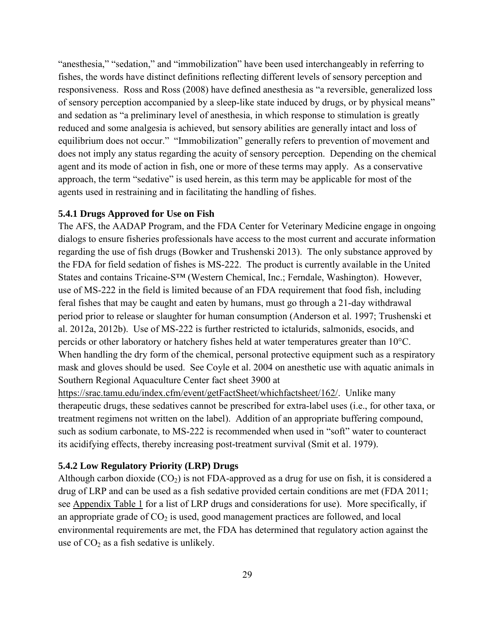<span id="page-43-0"></span>"anesthesia," "sedation," and "immobilization" have been used interchangeably in referring to fishes, the words have distinct definitions reflecting different levels of sensory perception and responsiveness. Ross and Ross (2008) have defined anesthesia as "a reversible, generalized loss of sensory perception accompanied by a sleep-like state induced by drugs, or by physical means" and sedation as "a preliminary level of anesthesia, in which response to stimulation is greatly reduced and some analgesia is achieved, but sensory abilities are generally intact and loss of equilibrium does not occur." "Immobilization" generally refers to prevention of movement and does not imply any status regarding the acuity of sensory perception. Depending on the chemical agent and its mode of action in fish, one or more of these terms may apply. As a conservative approach, the term "sedative" is used herein, as this term may be applicable for most of the agents used in restraining and in facilitating the handling of fishes.

#### **5.4.1 Drugs Approved for Use on Fish**

The AFS, the AADAP Program, and the FDA Center for Veterinary Medicine engage in ongoing dialogs to ensure fisheries professionals have access to the most current and accurate information regarding the use of fish drugs (Bowker and Trushenski 2013). The only substance approved by the FDA for field sedation of fishes is MS-222. The product is currently available in the United States and contains Tricaine-S™ (Western Chemical, Inc.; Ferndale, Washington). However, use of MS-222 in the field is limited because of an FDA requirement that food fish, including feral fishes that may be caught and eaten by humans, must go through a 21-day withdrawal period prior to release or slaughter for human consumption (Anderson et al. 1997; Trushenski et al. 2012a, 2012b). Use of MS-222 is further restricted to ictalurids, salmonids, esocids, and percids or other laboratory or hatchery fishes held at water temperatures greater than 10°C. When handling the dry form of the chemical, personal protective equipment such as a respiratory mask and gloves should be used. See Coyle et al. 2004 on anesthetic use with aquatic animals in Southern Regional Aquaculture Center fact sheet 3900 at

[https://srac.tamu.edu/index.cfm/event/getFactSheet/whichfactsheet/162/.](https://srac.tamu.edu/index.cfm/event/getFactSheet/whichfactsheet/162/) Unlike many therapeutic drugs, these sedatives cannot be prescribed for extra-label uses (i.e., for other taxa, or treatment regimens not written on the label). Addition of an appropriate buffering compound, such as sodium carbonate, to MS-222 is recommended when used in "soft" water to counteract its acidifying effects, thereby increasing post-treatment survival (Smit et al. 1979).

#### **5.4.2 Low Regulatory Priority (LRP) Drugs**

Although carbon dioxide  $(CO_2)$  is not FDA-approved as a drug for use on fish, it is considered a drug of LRP and can be used as a fish sedative provided certain conditions are met (FDA 2011; see [Appendix Table 1](#page-101-0) for a list of LRP drugs and considerations for use). More specifically, if an appropriate grade of  $CO<sub>2</sub>$  is used, good management practices are followed, and local environmental requirements are met, the FDA has determined that regulatory action against the use of  $CO<sub>2</sub>$  as a fish sedative is unlikely.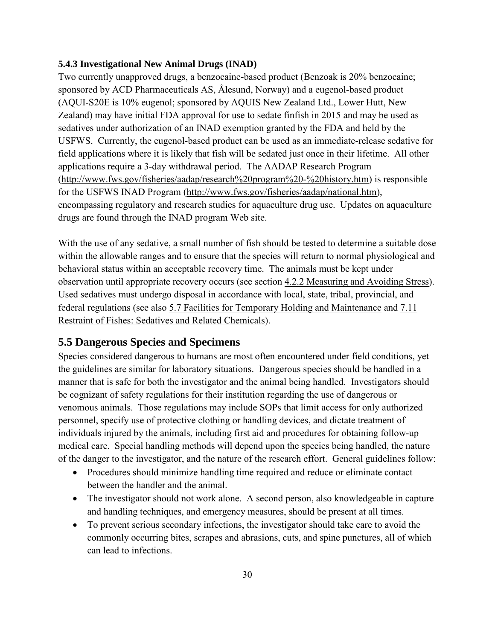#### <span id="page-44-0"></span>**5.4.3 Investigational New Animal Drugs (INAD)**

Two currently unapproved drugs, a benzocaine-based product (Benzoak is 20% benzocaine; sponsored by ACD Pharmaceuticals AS, Ålesund, Norway) and a eugenol-based product (AQUI-S20E is 10% eugenol; sponsored by AQUIS New Zealand Ltd., Lower Hutt, New Zealand) may have initial FDA approval for use to sedate finfish in 2015 and may be used as sedatives under authorization of an INAD exemption granted by the FDA and held by the USFWS. Currently, the eugenol-based product can be used as an immediate-release sedative for field applications where it is likely that fish will be sedated just once in their lifetime. All other applications require a 3-day withdrawal period. The AADAP Research Program [\(http://www.fws.gov/fisheries/aadap/research%20program%20-%20history.htm\)](http://www.fws.gov/fisheries/aadap/research%20program%20-%20history.htm) is responsible for the USFWS INAD Program [\(http://www.fws.gov/fisheries/aadap/national.htm\)](http://www.fws.gov/fisheries/aadap/national.htm), encompassing regulatory and research studies for aquaculture drug use. Updates on aquaculture drugs are found through the INAD program Web site.

With the use of any sedative, a small number of fish should be tested to determine a suitable dose within the allowable ranges and to ensure that the species will return to normal physiological and behavioral status within an acceptable recovery time. The animals must be kept under observation until appropriate recovery occurs (see section [4.2.2 Measuring and Avoiding Stress\)](#page-32-0). Used sedatives must undergo disposal in accordance with local, state, tribal, provincial, and federal regulations (see also [5.7 Facilities for Temporary Holding and Maintenance](#page-46-0) and [7.11](#page-66-0)  [Restraint of Fishes: Sedatives and Related Chemicals\)](#page-66-0).

# **5.5 Dangerous Species and Specimens**

Species considered dangerous to humans are most often encountered under field conditions, yet the guidelines are similar for laboratory situations. Dangerous species should be handled in a manner that is safe for both the investigator and the animal being handled. Investigators should be cognizant of safety regulations for their institution regarding the use of dangerous or venomous animals. Those regulations may include SOPs that limit access for only authorized personnel, specify use of protective clothing or handling devices, and dictate treatment of individuals injured by the animals, including first aid and procedures for obtaining follow-up medical care. Special handling methods will depend upon the species being handled, the nature of the danger to the investigator, and the nature of the research effort. General guidelines follow:

- Procedures should minimize handling time required and reduce or eliminate contact between the handler and the animal.
- The investigator should not work alone. A second person, also knowledgeable in capture and handling techniques, and emergency measures, should be present at all times.
- To prevent serious secondary infections, the investigator should take care to avoid the commonly occurring bites, scrapes and abrasions, cuts, and spine punctures, all of which can lead to infections.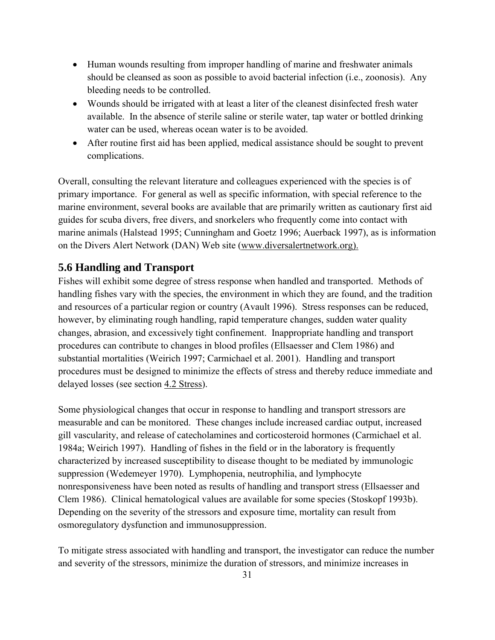- Human wounds resulting from improper handling of marine and freshwater animals should be cleansed as soon as possible to avoid bacterial infection (i.e., zoonosis). Any bleeding needs to be controlled.
- Wounds should be irrigated with at least a liter of the cleanest disinfected fresh water available. In the absence of sterile saline or sterile water, tap water or bottled drinking water can be used, whereas ocean water is to be avoided.
- After routine first aid has been applied, medical assistance should be sought to prevent complications.

Overall, consulting the relevant literature and colleagues experienced with the species is of primary importance. For general as well as specific information, with special reference to the marine environment, several books are available that are primarily written as cautionary first aid guides for scuba divers, free divers, and snorkelers who frequently come into contact with marine animals (Halstead 1995; Cunningham and Goetz 1996; Auerback 1997), as is information on the Divers Alert Network (DAN) Web site [\(www.diversalertnetwork.org\)](http://www.diversalertnetwork.org/).

# **5.6 Handling and Transport**

Fishes will exhibit some degree of stress response when handled and transported. Methods of handling fishes vary with the species, the environment in which they are found, and the tradition and resources of a particular region or country (Avault 1996). Stress responses can be reduced, however, by eliminating rough handling, rapid temperature changes, sudden water quality changes, abrasion, and excessively tight confinement. Inappropriate handling and transport procedures can contribute to changes in blood profiles (Ellsaesser and Clem 1986) and substantial mortalities (Weirich 1997; Carmichael et al. 2001). Handling and transport procedures must be designed to minimize the effects of stress and thereby reduce immediate and delayed losses (see section [4.2 Stress\)](#page-31-0).

Some physiological changes that occur in response to handling and transport stressors are measurable and can be monitored. These changes include increased cardiac output, increased gill vascularity, and release of catecholamines and corticosteroid hormones (Carmichael et al. 1984a; Weirich 1997). Handling of fishes in the field or in the laboratory is frequently characterized by increased susceptibility to disease thought to be mediated by immunologic suppression (Wedemeyer 1970). Lymphopenia, neutrophilia, and lymphocyte nonresponsiveness have been noted as results of handling and transport stress (Ellsaesser and Clem 1986). Clinical hematological values are available for some species (Stoskopf 1993b). Depending on the severity of the stressors and exposure time, mortality can result from osmoregulatory dysfunction and immunosuppression.

To mitigate stress associated with handling and transport, the investigator can reduce the number and severity of the stressors, minimize the duration of stressors, and minimize increases in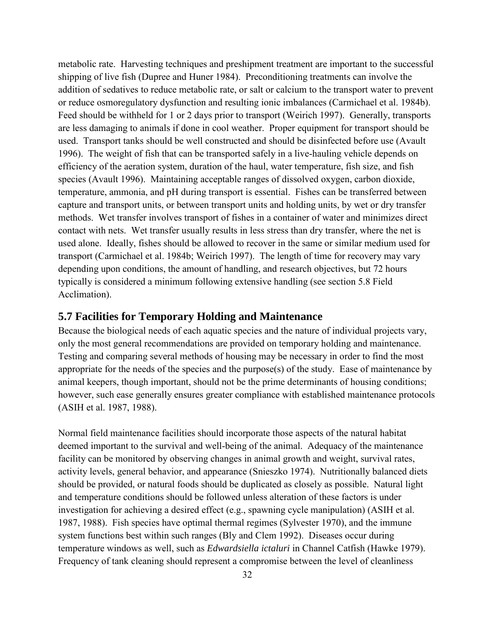<span id="page-46-0"></span>metabolic rate. Harvesting techniques and preshipment treatment are important to the successful shipping of live fish (Dupree and Huner 1984). Preconditioning treatments can involve the addition of sedatives to reduce metabolic rate, or salt or calcium to the transport water to prevent or reduce osmoregulatory dysfunction and resulting ionic imbalances (Carmichael et al. 1984b). Feed should be withheld for 1 or 2 days prior to transport (Weirich 1997). Generally, transports are less damaging to animals if done in cool weather. Proper equipment for transport should be used. Transport tanks should be well constructed and should be disinfected before use (Avault 1996). The weight of fish that can be transported safely in a live-hauling vehicle depends on efficiency of the aeration system, duration of the haul, water temperature, fish size, and fish species (Avault 1996). Maintaining acceptable ranges of dissolved oxygen, carbon dioxide, temperature, ammonia, and pH during transport is essential. Fishes can be transferred between capture and transport units, or between transport units and holding units, by wet or dry transfer methods. Wet transfer involves transport of fishes in a container of water and minimizes direct contact with nets. Wet transfer usually results in less stress than dry transfer, where the net is used alone. Ideally, fishes should be allowed to recover in the same or similar medium used for transport (Carmichael et al. 1984b; Weirich 1997). The length of time for recovery may vary depending upon conditions, the amount of handling, and research objectives, but 72 hours typically is considered a minimum following extensive handling (see section [5.8 Field](#page-47-0)  [Acclimation](#page-47-0)).

### **5.7 Facilities for Temporary Holding and Maintenance**

Because the biological needs of each aquatic species and the nature of individual projects vary, only the most general recommendations are provided on temporary holding and maintenance. Testing and comparing several methods of housing may be necessary in order to find the most appropriate for the needs of the species and the purpose(s) of the study. Ease of maintenance by animal keepers, though important, should not be the prime determinants of housing conditions; however, such ease generally ensures greater compliance with established maintenance protocols (ASIH et al. 1987, 1988).

Normal field maintenance facilities should incorporate those aspects of the natural habitat deemed important to the survival and well-being of the animal. Adequacy of the maintenance facility can be monitored by observing changes in animal growth and weight, survival rates, activity levels, general behavior, and appearance (Snieszko 1974). Nutritionally balanced diets should be provided, or natural foods should be duplicated as closely as possible. Natural light and temperature conditions should be followed unless alteration of these factors is under investigation for achieving a desired effect (e.g., spawning cycle manipulation) (ASIH et al. 1987, 1988). Fish species have optimal thermal regimes (Sylvester 1970), and the immune system functions best within such ranges (Bly and Clem 1992). Diseases occur during temperature windows as well, such as *Edwardsiella ictaluri* in Channel Catfish (Hawke 1979). Frequency of tank cleaning should represent a compromise between the level of cleanliness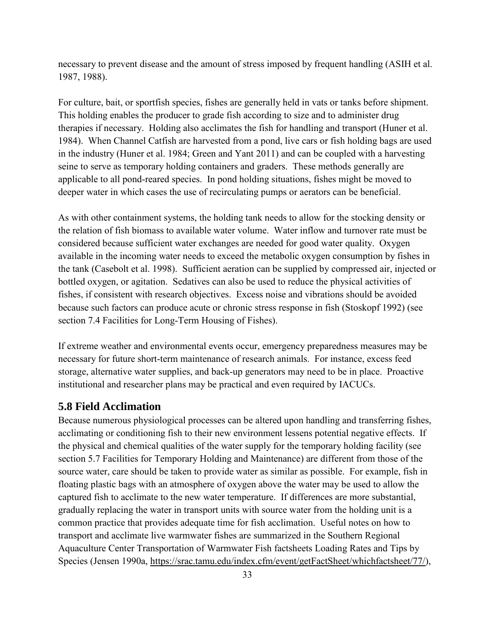<span id="page-47-0"></span>necessary to prevent disease and the amount of stress imposed by frequent handling (ASIH et al. 1987, 1988).

For culture, bait, or sportfish species, fishes are generally held in vats or tanks before shipment. This holding enables the producer to grade fish according to size and to administer drug therapies if necessary. Holding also acclimates the fish for handling and transport (Huner et al. 1984). When Channel Catfish are harvested from a pond, live cars or fish holding bags are used in the industry (Huner et al. 1984; Green and Yant 2011) and can be coupled with a harvesting seine to serve as temporary holding containers and graders. These methods generally are applicable to all pond-reared species. In pond holding situations, fishes might be moved to deeper water in which cases the use of recirculating pumps or aerators can be beneficial.

As with other containment systems, the holding tank needs to allow for the stocking density or the relation of fish biomass to available water volume. Water inflow and turnover rate must be considered because sufficient water exchanges are needed for good water quality. Oxygen available in the incoming water needs to exceed the metabolic oxygen consumption by fishes in the tank (Casebolt et al. 1998). Sufficient aeration can be supplied by compressed air, injected or bottled oxygen, or agitation. Sedatives can also be used to reduce the physical activities of fishes, if consistent with research objectives. Excess noise and vibrations should be avoided because such factors can produce acute or chronic stress response in fish (Stoskopf 1992) (see section [7.4 Facilities for Long-Term Housing of Fishes\)](#page-59-0).

If extreme weather and environmental events occur, emergency preparedness measures may be necessary for future short-term maintenance of research animals. For instance, excess feed storage, alternative water supplies, and back-up generators may need to be in place. Proactive institutional and researcher plans may be practical and even required by IACUCs.

### **5.8 Field Acclimation**

Because numerous physiological processes can be altered upon handling and transferring fishes, acclimating or conditioning fish to their new environment lessens potential negative effects. If the physical and chemical qualities of the water supply for the temporary holding facility (see section [5.7 Facilities for Temporary Holding and Maintenance\)](#page-46-0) are different from those of the source water, care should be taken to provide water as similar as possible. For example, fish in floating plastic bags with an atmosphere of oxygen above the water may be used to allow the captured fish to acclimate to the new water temperature. If differences are more substantial, gradually replacing the water in transport units with source water from the holding unit is a common practice that provides adequate time for fish acclimation. Useful notes on how to transport and acclimate live warmwater fishes are summarized in the Southern Regional Aquaculture Center Transportation of Warmwater Fish factsheets Loading Rates and Tips by Species (Jensen 1990a, [https://srac.tamu.edu/index.cfm/event/getFactSheet/whichfactsheet/77/\)](https://srac.tamu.edu/index.cfm/event/getFactSheet/whichfactsheet/77/),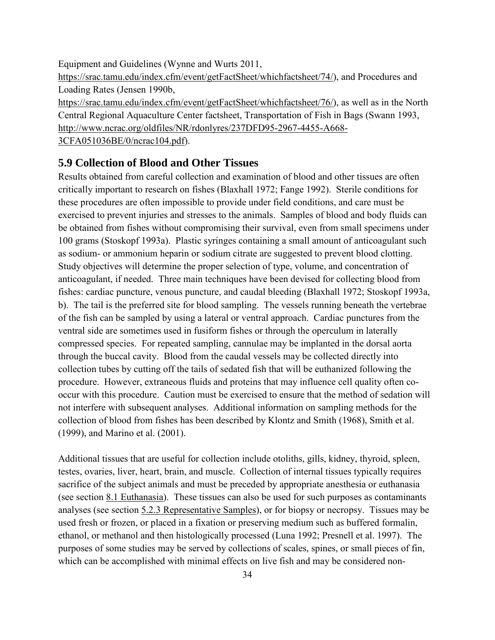Equipment and Guidelines (Wynne and Wurts 2011, [https://srac.tamu.edu/index.cfm/event/getFactSheet/whichfactsheet/74/\)](https://srac.tamu.edu/index.cfm/event/getFactSheet/whichfactsheet/74/), and Procedures and Loading Rates (Jensen 1990b, [https://srac.tamu.edu/index.cfm/event/getFactSheet/whichfactsheet/76/\)](https://srac.tamu.edu/index.cfm/event/getFactSheet/whichfactsheet/76/), as well as in the North Central Regional Aquaculture Center factsheet, Transportation of Fish in Bags (Swann 1993, [http://www.ncrac.org/oldfiles/NR/rdonlyres/237DFD95-2967-4455-A668-](http://www.ncrac.org/oldfiles/NR/rdonlyres/237DFD95-2967-4455-A668-3CFA051036BE/0/ncrac104.pdf) [3CFA051036BE/0/ncrac104.pdf\)](http://www.ncrac.org/oldfiles/NR/rdonlyres/237DFD95-2967-4455-A668-3CFA051036BE/0/ncrac104.pdf).

**5.9 Collection of Blood and Other Tissues**

Results obtained from careful collection and examination of blood and other tissues are often critically important to research on fishes (Blaxhall 1972; Fange 1992). Sterile conditions for these procedures are often impossible to provide under field conditions, and care must be exercised to prevent injuries and stresses to the animals. Samples of blood and body fluids can be obtained from fishes without compromising their survival, even from small specimens under 100 grams (Stoskopf 1993a). Plastic syringes containing a small amount of anticoagulant such as sodium- or ammonium heparin or sodium citrate are suggested to prevent blood clotting. Study objectives will determine the proper selection of type, volume, and concentration of anticoagulant, if needed. Three main techniques have been devised for collecting blood from fishes: cardiac puncture, venous puncture, and caudal bleeding (Blaxhall 1972; Stoskopf 1993a, b). The tail is the preferred site for blood sampling. The vessels running beneath the vertebrae of the fish can be sampled by using a lateral or ventral approach. Cardiac punctures from the ventral side are sometimes used in fusiform fishes or through the operculum in laterally compressed species. For repeated sampling, cannulae may be implanted in the dorsal aorta through the buccal cavity. Blood from the caudal vessels may be collected directly into collection tubes by cutting off the tails of sedated fish that will be euthanized following the procedure. However, extraneous fluids and proteins that may influence cell quality often cooccur with this procedure. Caution must be exercised to ensure that the method of sedation will not interfere with subsequent analyses. Additional information on sampling methods for the collection of blood from fishes has been described by Klontz and Smith (1968), Smith et al. (1999), and Marino et al. (2001).

Additional tissues that are useful for collection include otoliths, gills, kidney, thyroid, spleen, testes, ovaries, liver, heart, brain, and muscle. Collection of internal tissues typically requires sacrifice of the subject animals and must be preceded by appropriate anesthesia or euthanasia (see section [8.1 Euthanasia\)](#page-73-0). These tissues can also be used for such purposes as contaminants analyses (see section [5.2.3 Representative Samples\)](#page-38-0), or for biopsy or necropsy. Tissues may be used fresh or frozen, or placed in a fixation or preserving medium such as buffered formalin, ethanol, or methanol and then histologically processed (Luna 1992; Presnell et al. 1997). The purposes of some studies may be served by collections of scales, spines, or small pieces of fin, which can be accomplished with minimal effects on live fish and may be considered non-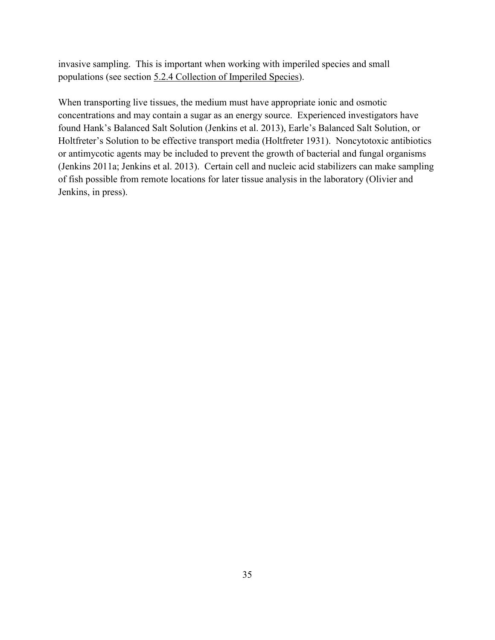invasive sampling. This is important when working with imperiled species and small populations (see sectio[n 5.2.4 Collection of Imperiled Species\)](#page-39-0).

When transporting live tissues, the medium must have appropriate ionic and osmotic concentrations and may contain a sugar as an energy source. Experienced investigators have found Hank's Balanced Salt Solution (Jenkins et al. 2013), Earle's Balanced Salt Solution, or Holtfreter's Solution to be effective transport media (Holtfreter 1931). Noncytotoxic antibiotics or antimycotic agents may be included to prevent the growth of bacterial and fungal organisms (Jenkins 2011a; Jenkins et al. 2013). Certain cell and nucleic acid stabilizers can make sampling of fish possible from remote locations for later tissue analysis in the laboratory (Olivier and Jenkins, in press).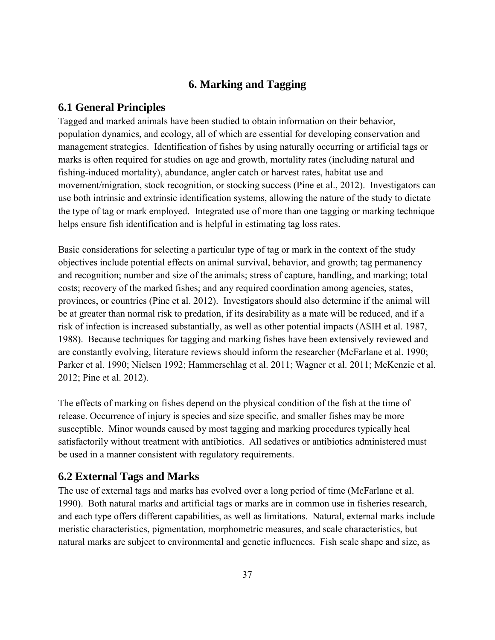# **6. Marking and Tagging**

## <span id="page-51-0"></span>**6.1 General Principles**

Tagged and marked animals have been studied to obtain information on their behavior, population dynamics, and ecology, all of which are essential for developing conservation and management strategies. Identification of fishes by using naturally occurring or artificial tags or marks is often required for studies on age and growth, mortality rates (including natural and fishing-induced mortality), abundance, angler catch or harvest rates, habitat use and movement/migration, stock recognition, or stocking success (Pine et al., 2012). Investigators can use both intrinsic and extrinsic identification systems, allowing the nature of the study to dictate the type of tag or mark employed. Integrated use of more than one tagging or marking technique helps ensure fish identification and is helpful in estimating tag loss rates.

Basic considerations for selecting a particular type of tag or mark in the context of the study objectives include potential effects on animal survival, behavior, and growth; tag permanency and recognition; number and size of the animals; stress of capture, handling, and marking; total costs; recovery of the marked fishes; and any required coordination among agencies, states, provinces, or countries (Pine et al. 2012). Investigators should also determine if the animal will be at greater than normal risk to predation, if its desirability as a mate will be reduced, and if a risk of infection is increased substantially, as well as other potential impacts (ASIH et al. 1987, 1988). Because techniques for tagging and marking fishes have been extensively reviewed and are constantly evolving, literature reviews should inform the researcher (McFarlane et al. 1990; Parker et al. 1990; Nielsen 1992; Hammerschlag et al. 2011; Wagner et al. 2011; McKenzie et al. 2012; Pine et al. 2012).

The effects of marking on fishes depend on the physical condition of the fish at the time of release. Occurrence of injury is species and size specific, and smaller fishes may be more susceptible. Minor wounds caused by most tagging and marking procedures typically heal satisfactorily without treatment with antibiotics. All sedatives or antibiotics administered must be used in a manner consistent with regulatory requirements.

# **6.2 External Tags and Marks**

The use of external tags and marks has evolved over a long period of time (McFarlane et al. 1990). Both natural marks and artificial tags or marks are in common use in fisheries research, and each type offers different capabilities, as well as limitations. Natural, external marks include meristic characteristics, pigmentation, morphometric measures, and scale characteristics, but natural marks are subject to environmental and genetic influences. Fish scale shape and size, as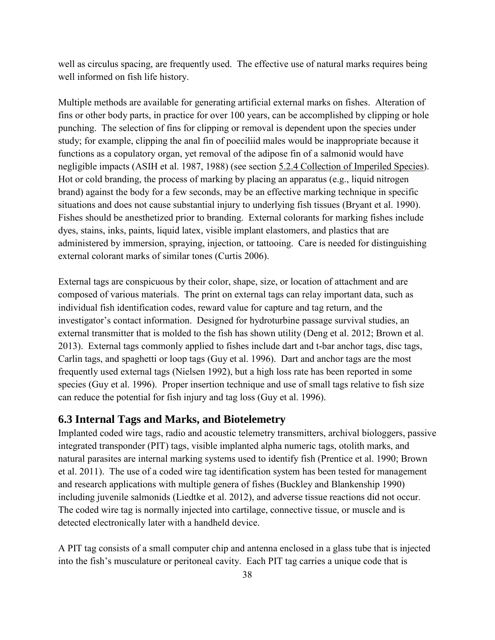<span id="page-52-0"></span>well as circulus spacing, are frequently used. The effective use of natural marks requires being well informed on fish life history.

Multiple methods are available for generating artificial external marks on fishes. Alteration of fins or other body parts, in practice for over 100 years, can be accomplished by clipping or hole punching. The selection of fins for clipping or removal is dependent upon the species under study; for example, clipping the anal fin of poeciliid males would be inappropriate because it functions as a copulatory organ, yet removal of the adipose fin of a salmonid would have negligible impacts (ASIH et al. 1987, 1988) (see section [5.2.4 Collection of Imperiled Species\)](#page-39-0). Hot or cold branding, the process of marking by placing an apparatus (e.g., liquid nitrogen brand) against the body for a few seconds, may be an effective marking technique in specific situations and does not cause substantial injury to underlying fish tissues (Bryant et al. 1990). Fishes should be anesthetized prior to branding. External colorants for marking fishes include dyes, stains, inks, paints, liquid latex, visible implant elastomers, and plastics that are administered by immersion, spraying, injection, or tattooing. Care is needed for distinguishing external colorant marks of similar tones (Curtis 2006).

External tags are conspicuous by their color, shape, size, or location of attachment and are composed of various materials. The print on external tags can relay important data, such as individual fish identification codes, reward value for capture and tag return, and the investigator's contact information. Designed for hydroturbine passage survival studies, an external transmitter that is molded to the fish has shown utility (Deng et al. 2012; Brown et al. 2013). External tags commonly applied to fishes include dart and t-bar anchor tags, disc tags, Carlin tags, and spaghetti or loop tags (Guy et al. 1996). Dart and anchor tags are the most frequently used external tags (Nielsen 1992), but a high loss rate has been reported in some species (Guy et al. 1996). Proper insertion technique and use of small tags relative to fish size can reduce the potential for fish injury and tag loss (Guy et al. 1996).

## **6.3 Internal Tags and Marks, and Biotelemetry**

Implanted coded wire tags, radio and acoustic telemetry transmitters, archival biologgers, passive integrated transponder (PIT) tags, visible implanted alpha numeric tags, otolith marks, and natural parasites are internal marking systems used to identify fish (Prentice et al. 1990; Brown et al. 2011). The use of a coded wire tag identification system has been tested for management and research applications with multiple genera of fishes (Buckley and Blankenship 1990) including juvenile salmonids (Liedtke et al. 2012), and adverse tissue reactions did not occur. The coded wire tag is normally injected into cartilage, connective tissue, or muscle and is detected electronically later with a handheld device.

A PIT tag consists of a small computer chip and antenna enclosed in a glass tube that is injected into the fish's musculature or peritoneal cavity. Each PIT tag carries a unique code that is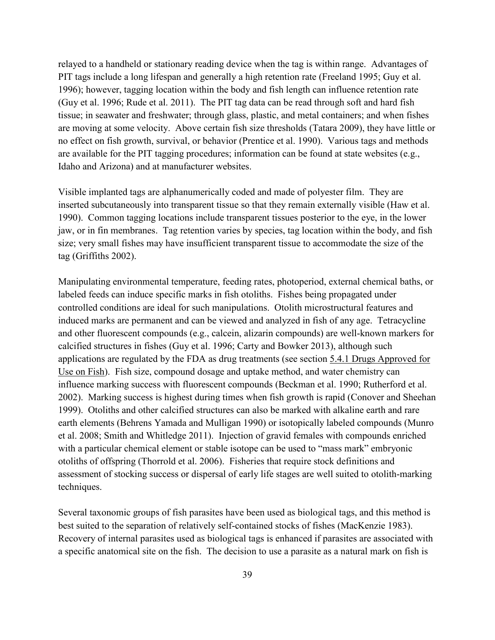relayed to a handheld or stationary reading device when the tag is within range. Advantages of PIT tags include a long lifespan and generally a high retention rate (Freeland 1995; Guy et al. 1996); however, tagging location within the body and fish length can influence retention rate (Guy et al. 1996; Rude et al. 2011). The PIT tag data can be read through soft and hard fish tissue; in seawater and freshwater; through glass, plastic, and metal containers; and when fishes are moving at some velocity. Above certain fish size thresholds (Tatara 2009), they have little or no effect on fish growth, survival, or behavior (Prentice et al. 1990). Various tags and methods are available for the PIT tagging procedures; information can be found at state websites (e.g., Idaho and Arizona) and at manufacturer websites.

Visible implanted tags are alphanumerically coded and made of polyester film. They are inserted subcutaneously into transparent tissue so that they remain externally visible (Haw et al. 1990). Common tagging locations include transparent tissues posterior to the eye, in the lower jaw, or in fin membranes. Tag retention varies by species, tag location within the body, and fish size; very small fishes may have insufficient transparent tissue to accommodate the size of the tag (Griffiths 2002).

Manipulating environmental temperature, feeding rates, photoperiod, external chemical baths, or labeled feeds can induce specific marks in fish otoliths. Fishes being propagated under controlled conditions are ideal for such manipulations. Otolith microstructural features and induced marks are permanent and can be viewed and analyzed in fish of any age. Tetracycline and other fluorescent compounds (e.g., calcein, alizarin compounds) are well-known markers for calcified structures in fishes (Guy et al. 1996; Carty and Bowker 2013), although such applications are regulated by the FDA as drug treatments (see section [5.4.1 Drugs Approved for](#page-43-0)  [Use on Fish\)](#page-43-0). Fish size, compound dosage and uptake method, and water chemistry can influence marking success with fluorescent compounds (Beckman et al. 1990; Rutherford et al. 2002). Marking success is highest during times when fish growth is rapid (Conover and Sheehan 1999). Otoliths and other calcified structures can also be marked with alkaline earth and rare earth elements (Behrens Yamada and Mulligan 1990) or isotopically labeled compounds (Munro et al. 2008; Smith and Whitledge 2011). Injection of gravid females with compounds enriched with a particular chemical element or stable isotope can be used to "mass mark" embryonic otoliths of offspring (Thorrold et al. 2006). Fisheries that require stock definitions and assessment of stocking success or dispersal of early life stages are well suited to otolith-marking techniques.

Several taxonomic groups of fish parasites have been used as biological tags, and this method is best suited to the separation of relatively self-contained stocks of fishes (MacKenzie 1983). Recovery of internal parasites used as biological tags is enhanced if parasites are associated with a specific anatomical site on the fish. The decision to use a parasite as a natural mark on fish is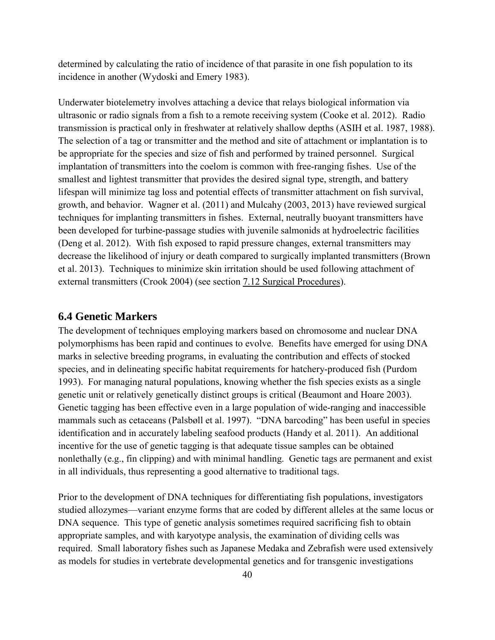determined by calculating the ratio of incidence of that parasite in one fish population to its incidence in another (Wydoski and Emery 1983).

Underwater biotelemetry involves attaching a device that relays biological information via ultrasonic or radio signals from a fish to a remote receiving system (Cooke et al. 2012). Radio transmission is practical only in freshwater at relatively shallow depths (ASIH et al. 1987, 1988). The selection of a tag or transmitter and the method and site of attachment or implantation is to be appropriate for the species and size of fish and performed by trained personnel. Surgical implantation of transmitters into the coelom is common with free-ranging fishes. Use of the smallest and lightest transmitter that provides the desired signal type, strength, and battery lifespan will minimize tag loss and potential effects of transmitter attachment on fish survival, growth, and behavior. Wagner et al. (2011) and Mulcahy (2003, 2013) have reviewed surgical techniques for implanting transmitters in fishes. External, neutrally buoyant transmitters have been developed for turbine-passage studies with juvenile salmonids at hydroelectric facilities (Deng et al. 2012). With fish exposed to rapid pressure changes, external transmitters may decrease the likelihood of injury or death compared to surgically implanted transmitters (Brown et al. 2013). Techniques to minimize skin irritation should be used following attachment of external transmitters (Crook 2004) (see section [7.12 Surgical Procedures\)](#page-67-0).

## **6.4 Genetic Markers**

The development of techniques employing markers based on chromosome and nuclear DNA polymorphisms has been rapid and continues to evolve. Benefits have emerged for using DNA marks in selective breeding programs, in evaluating the contribution and effects of stocked species, and in delineating specific habitat requirements for hatchery-produced fish (Purdom 1993). For managing natural populations, knowing whether the fish species exists as a single genetic unit or relatively genetically distinct groups is critical (Beaumont and Hoare 2003). Genetic tagging has been effective even in a large population of wide-ranging and inaccessible mammals such as cetaceans (Palsbøll et al. 1997). "DNA barcoding" has been useful in species identification and in accurately labeling seafood products (Handy et al. 2011). An additional incentive for the use of genetic tagging is that adequate tissue samples can be obtained nonlethally (e.g., fin clipping) and with minimal handling. Genetic tags are permanent and exist in all individuals, thus representing a good alternative to traditional tags.

Prior to the development of DNA techniques for differentiating fish populations, investigators studied allozymes—variant enzyme forms that are coded by different alleles at the same locus or DNA sequence. This type of genetic analysis sometimes required sacrificing fish to obtain appropriate samples, and with karyotype analysis, the examination of dividing cells was required. Small laboratory fishes such as Japanese Medaka and Zebrafish were used extensively as models for studies in vertebrate developmental genetics and for transgenic investigations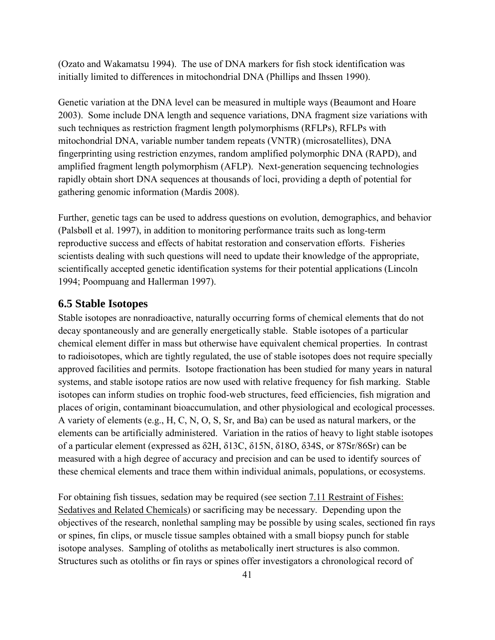(Ozato and Wakamatsu 1994). The use of DNA markers for fish stock identification was initially limited to differences in mitochondrial DNA (Phillips and Ihssen 1990).

Genetic variation at the DNA level can be measured in multiple ways (Beaumont and Hoare 2003). Some include DNA length and sequence variations, DNA fragment size variations with such techniques as restriction fragment length polymorphisms (RFLPs), RFLPs with mitochondrial DNA, variable number tandem repeats (VNTR) (microsatellites), DNA fingerprinting using restriction enzymes, random amplified polymorphic DNA (RAPD), and amplified fragment length polymorphism (AFLP). Next-generation sequencing technologies rapidly obtain short DNA sequences at thousands of loci, providing a depth of potential for gathering genomic information (Mardis 2008).

Further, genetic tags can be used to address questions on evolution, demographics, and behavior (Palsbøll et al. 1997), in addition to monitoring performance traits such as long-term reproductive success and effects of habitat restoration and conservation efforts. Fisheries scientists dealing with such questions will need to update their knowledge of the appropriate, scientifically accepted genetic identification systems for their potential applications (Lincoln 1994; Poompuang and Hallerman 1997).

### **6.5 Stable Isotopes**

Stable isotopes are nonradioactive, naturally occurring forms of chemical elements that do not decay spontaneously and are generally energetically stable. Stable isotopes of a particular chemical element differ in mass but otherwise have equivalent chemical properties. In contrast to radioisotopes, which are tightly regulated, the use of stable isotopes does not require specially approved facilities and permits. Isotope fractionation has been studied for many years in natural systems, and stable isotope ratios are now used with relative frequency for fish marking. Stable isotopes can inform studies on trophic food-web structures, feed efficiencies, fish migration and places of origin, contaminant bioaccumulation, and other physiological and ecological processes. A variety of elements (e.g., H, C, N, O, S, Sr, and Ba) can be used as natural markers, or the elements can be artificially administered. Variation in the ratios of heavy to light stable isotopes of a particular element (expressed as δ2H, δ13C, δ15N, δ18O, δ34S, or 87Sr/86Sr) can be measured with a high degree of accuracy and precision and can be used to identify sources of these chemical elements and trace them within individual animals, populations, or ecosystems.

For obtaining fish tissues, sedation may be required (see section [7.11 Restraint of Fishes:](#page-66-0)  [Sedatives and Related Chemicals\)](#page-66-0) or sacrificing may be necessary. Depending upon the objectives of the research, nonlethal sampling may be possible by using scales, sectioned fin rays or spines, fin clips, or muscle tissue samples obtained with a small biopsy punch for stable isotope analyses. Sampling of otoliths as metabolically inert structures is also common. Structures such as otoliths or fin rays or spines offer investigators a chronological record of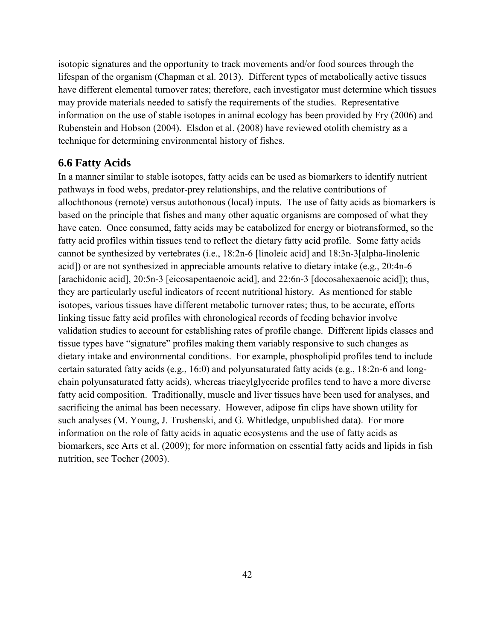isotopic signatures and the opportunity to track movements and/or food sources through the lifespan of the organism (Chapman et al. 2013). Different types of metabolically active tissues have different elemental turnover rates; therefore, each investigator must determine which tissues may provide materials needed to satisfy the requirements of the studies. Representative information on the use of stable isotopes in animal ecology has been provided by Fry (2006) and Rubenstein and Hobson (2004). Elsdon et al. (2008) have reviewed otolith chemistry as a technique for determining environmental history of fishes.

### **6.6 Fatty Acids**

In a manner similar to stable isotopes, fatty acids can be used as biomarkers to identify nutrient pathways in food webs, predator-prey relationships, and the relative contributions of allochthonous (remote) versus autothonous (local) inputs. The use of fatty acids as biomarkers is based on the principle that fishes and many other aquatic organisms are composed of what they have eaten. Once consumed, fatty acids may be catabolized for energy or biotransformed, so the fatty acid profiles within tissues tend to reflect the dietary fatty acid profile. Some fatty acids cannot be synthesized by vertebrates (i.e., 18:2n-6 [linoleic acid] and 18:3n-3[alpha-linolenic acid]) or are not synthesized in appreciable amounts relative to dietary intake (e.g., 20:4n-6 [arachidonic acid], 20:5n-3 [eicosapentaenoic acid], and 22:6n-3 [docosahexaenoic acid]); thus, they are particularly useful indicators of recent nutritional history. As mentioned for stable isotopes, various tissues have different metabolic turnover rates; thus, to be accurate, efforts linking tissue fatty acid profiles with chronological records of feeding behavior involve validation studies to account for establishing rates of profile change. Different lipids classes and tissue types have "signature" profiles making them variably responsive to such changes as dietary intake and environmental conditions. For example, phospholipid profiles tend to include certain saturated fatty acids (e.g., 16:0) and polyunsaturated fatty acids (e.g., 18:2n-6 and longchain polyunsaturated fatty acids), whereas triacylglyceride profiles tend to have a more diverse fatty acid composition. Traditionally, muscle and liver tissues have been used for analyses, and sacrificing the animal has been necessary. However, adipose fin clips have shown utility for such analyses (M. Young, J. Trushenski, and G. Whitledge, unpublished data). For more information on the role of fatty acids in aquatic ecosystems and the use of fatty acids as biomarkers, see Arts et al. (2009); for more information on essential fatty acids and lipids in fish nutrition, see Tocher (2003).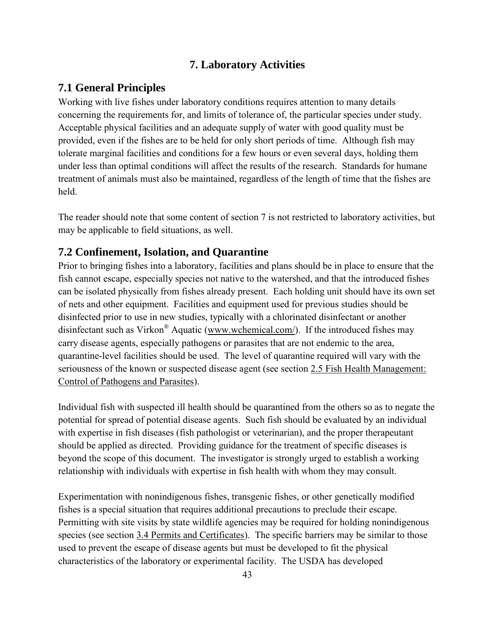# **7. Laboratory Activities**

# <span id="page-57-0"></span>**7.1 General Principles**

Working with live fishes under laboratory conditions requires attention to many details concerning the requirements for, and limits of tolerance of, the particular species under study. Acceptable physical facilities and an adequate supply of water with good quality must be provided, even if the fishes are to be held for only short periods of time. Although fish may tolerate marginal facilities and conditions for a few hours or even several days, holding them under less than optimal conditions will affect the results of the research. Standards for humane treatment of animals must also be maintained, regardless of the length of time that the fishes are held.

The reader should note that some content of section 7 is not restricted to laboratory activities, but may be applicable to field situations, as well.

# **7.2 Confinement, Isolation, and Quarantine**

Prior to bringing fishes into a laboratory, facilities and plans should be in place to ensure that the fish cannot escape, especially species not native to the watershed, and that the introduced fishes can be isolated physically from fishes already present. Each holding unit should have its own set of nets and other equipment. Facilities and equipment used for previous studies should be disinfected prior to use in new studies, typically with a chlorinated disinfectant or another disinfectant such as Virkon® Aquatic [\(www.wchemical.com/\)](http://www.wchemical.com/). If the introduced fishes may carry disease agents, especially pathogens or parasites that are not endemic to the area, quarantine-level facilities should be used. The level of quarantine required will vary with the seriousness of the known or suspected disease agent (see section [2.5 Fish Health Management:](#page-20-0)  [Control of Pathogens and Parasites\)](#page-20-0).

Individual fish with suspected ill health should be quarantined from the others so as to negate the potential for spread of potential disease agents. Such fish should be evaluated by an individual with expertise in fish diseases (fish pathologist or veterinarian), and the proper therapeutant should be applied as directed. Providing guidance for the treatment of specific diseases is beyond the scope of this document. The investigator is strongly urged to establish a working relationship with individuals with expertise in fish health with whom they may consult.

Experimentation with nonindigenous fishes, transgenic fishes, or other genetically modified fishes is a special situation that requires additional precautions to preclude their escape. Permitting with site visits by state wildlife agencies may be required for holding nonindigenous species (see section [3.4 Permits and Certificates\)](#page-28-0). The specific barriers may be similar to those used to prevent the escape of disease agents but must be developed to fit the physical characteristics of the laboratory or experimental facility. The USDA has developed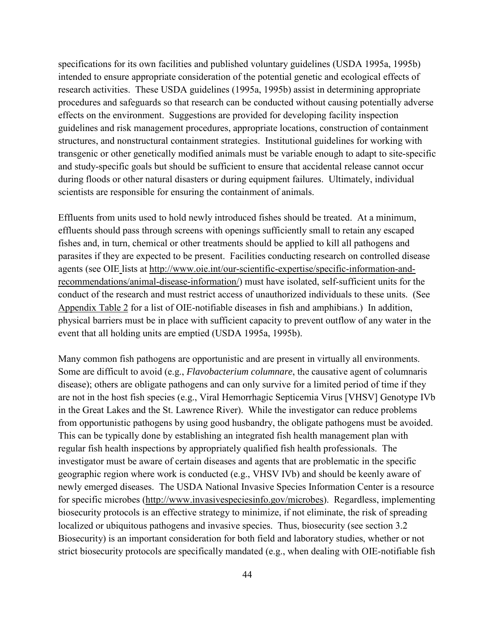specifications for its own facilities and published voluntary guidelines (USDA 1995a, 1995b) intended to ensure appropriate consideration of the potential genetic and ecological effects of research activities. These USDA guidelines (1995a, 1995b) assist in determining appropriate procedures and safeguards so that research can be conducted without causing potentially adverse effects on the environment. Suggestions are provided for developing facility inspection guidelines and risk management procedures, appropriate locations, construction of containment structures, and nonstructural containment strategies. Institutional guidelines for working with transgenic or other genetically modified animals must be variable enough to adapt to site-specific and study-specific goals but should be sufficient to ensure that accidental release cannot occur during floods or other natural disasters or during equipment failures. Ultimately, individual scientists are responsible for ensuring the containment of animals.

Effluents from units used to hold newly introduced fishes should be treated. At a minimum, effluents should pass through screens with openings sufficiently small to retain any escaped fishes and, in turn, chemical or other treatments should be applied to kill all pathogens and parasites if they are expected to be present. Facilities conducting research on controlled disease agents (see OIE lists at [http://www.oie.int/our-scientific-expertise/specific-information-and](http://www.oie.int/our-scientific-expertise/specific-information-and-recommendations/animal-disease-information/)[recommendations/animal-disease-information/\)](http://www.oie.int/our-scientific-expertise/specific-information-and-recommendations/animal-disease-information/) must have isolated, self-sufficient units for the conduct of the research and must restrict access of unauthorized individuals to these units. (See [Appendix Table 2](#page-102-0) for a list of OIE-notifiable diseases in fish and amphibians.) In addition, physical barriers must be in place with sufficient capacity to prevent outflow of any water in the event that all holding units are emptied (USDA 1995a, 1995b).

Many common fish pathogens are opportunistic and are present in virtually all environments. Some are difficult to avoid (e.g., *Flavobacterium columnare*, the causative agent of columnaris disease); others are obligate pathogens and can only survive for a limited period of time if they are not in the host fish species (e.g., Viral Hemorrhagic Septicemia Virus [VHSV] Genotype IVb in the Great Lakes and the St. Lawrence River). While the investigator can reduce problems from opportunistic pathogens by using good husbandry, the obligate pathogens must be avoided. This can be typically done by establishing an integrated fish health management plan with regular fish health inspections by appropriately qualified fish health professionals. The investigator must be aware of certain diseases and agents that are problematic in the specific geographic region where work is conducted (e.g., VHSV IVb) and should be keenly aware of newly emerged diseases. The USDA National Invasive Species Information Center is a resource for specific microbes [\(http://www.invasivespeciesinfo.gov/microbes\)](http://www.invasivespeciesinfo.gov/microbes). Regardless, implementing biosecurity protocols is an effective strategy to minimize, if not eliminate, the risk of spreading localized or ubiquitous pathogens and invasive species. Thus, biosecurity (see section [3.2](#page-25-0)  [Biosecurity](#page-25-0)) is an important consideration for both field and laboratory studies, whether or not strict biosecurity protocols are specifically mandated (e.g., when dealing with OIE-notifiable fish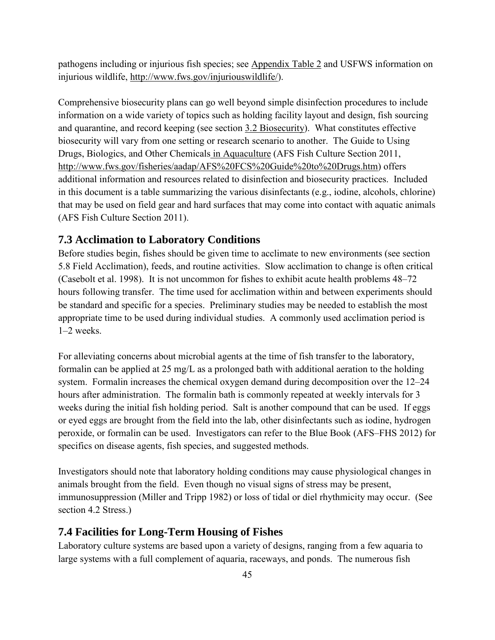<span id="page-59-0"></span>pathogens including or injurious fish species; see [Appendix Table 2](#page-102-0) and USFWS information on injurious wildlife, [http://www.fws.gov/injuriouswildlife/\)](http://www.fws.gov/injuriouswildlife/).

Comprehensive biosecurity plans can go well beyond simple disinfection procedures to include information on a wide variety of topics such as holding facility layout and design, fish sourcing and quarantine, and record keeping (see section [3.2 Biosecurity\)](#page-25-0). What constitutes effective biosecurity will vary from one setting or research scenario to another. The Guide to Using Drugs, Biologics, and Other Chemicals in Aquaculture (AFS Fish Culture Section 2011, [http://www.fws.gov/fisheries/aadap/AFS%20FCS%20Guide%20to%20Drugs.htm\)](http://www.fws.gov/fisheries/aadap/AFS%20FCS%20Guide%20to%20Drugs.htm) offers additional information and resources related to disinfection and biosecurity practices. Included in this document is a table summarizing the various disinfectants (e.g., iodine, alcohols, chlorine) that may be used on field gear and hard surfaces that may come into contact with aquatic animals (AFS Fish Culture Section 2011).

### **7.3 Acclimation to Laboratory Conditions**

Before studies begin, fishes should be given time to acclimate to new environments (see section [5.8 Field Acclimation](#page-47-0)), feeds, and routine activities. Slow acclimation to change is often critical (Casebolt et al. 1998). It is not uncommon for fishes to exhibit acute health problems 48–72 hours following transfer. The time used for acclimation within and between experiments should be standard and specific for a species. Preliminary studies may be needed to establish the most appropriate time to be used during individual studies. A commonly used acclimation period is 1–2 weeks.

For alleviating concerns about microbial agents at the time of fish transfer to the laboratory, formalin can be applied at 25 mg/L as a prolonged bath with additional aeration to the holding system. Formalin increases the chemical oxygen demand during decomposition over the 12–24 hours after administration. The formalin bath is commonly repeated at weekly intervals for 3 weeks during the initial fish holding period. Salt is another compound that can be used. If eggs or eyed eggs are brought from the field into the lab, other disinfectants such as iodine, hydrogen peroxide, or formalin can be used. Investigators can refer to the Blue Book (AFS–FHS 2012) for specifics on disease agents, fish species, and suggested methods.

Investigators should note that laboratory holding conditions may cause physiological changes in animals brought from the field. Even though no visual signs of stress may be present, immunosuppression (Miller and Tripp 1982) or loss of tidal or diel rhythmicity may occur. (See section [4.2 Stress.](#page-31-0))

### **7.4 Facilities for Long-Term Housing of Fishes**

Laboratory culture systems are based upon a variety of designs, ranging from a few aquaria to large systems with a full complement of aquaria, raceways, and ponds. The numerous fish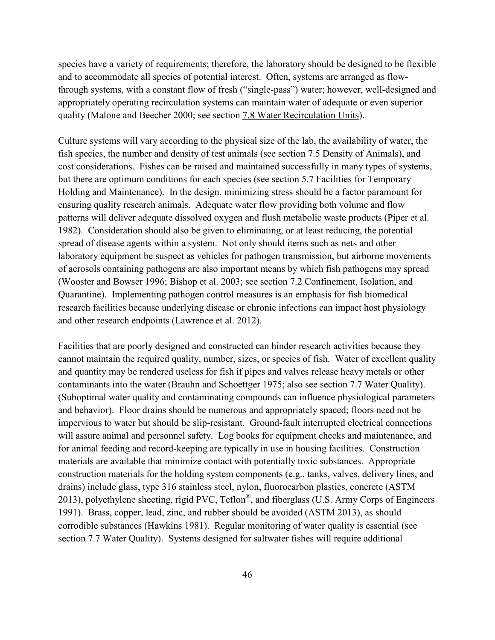species have a variety of requirements; therefore, the laboratory should be designed to be flexible and to accommodate all species of potential interest. Often, systems are arranged as flowthrough systems, with a constant flow of fresh ("single-pass") water; however, well-designed and appropriately operating recirculation systems can maintain water of adequate or even superior quality (Malone and Beecher 2000; see section [7.8 Water Recirculation Units\)](#page-64-0).

Culture systems will vary according to the physical size of the lab, the availability of water, the fish species, the number and density of test animals (see section [7.5 Density of Animals\)](#page-61-0), and cost considerations. Fishes can be raised and maintained successfully in many types of systems, but there are optimum conditions for each species (see section [5.7 Facilities for Temporary](#page-46-0)  [Holding and Maintenance](#page-46-0)). In the design, minimizing stress should be a factor paramount for ensuring quality research animals. Adequate water flow providing both volume and flow patterns will deliver adequate dissolved oxygen and flush metabolic waste products (Piper et al. 1982). Consideration should also be given to eliminating, or at least reducing, the potential spread of disease agents within a system. Not only should items such as nets and other laboratory equipment be suspect as vehicles for pathogen transmission, but airborne movements of aerosols containing pathogens are also important means by which fish pathogens may spread (Wooster and Bowser 1996; Bishop et al. 2003; see section [7.2 Confinement, Isolation, and](#page-57-0)  [Quarantine\)](#page-57-0). Implementing pathogen control measures is an emphasis for fish biomedical research facilities because underlying disease or chronic infections can impact host physiology and other research endpoints (Lawrence et al. 2012).

Facilities that are poorly designed and constructed can hinder research activities because they cannot maintain the required quality, number, sizes, or species of fish. Water of excellent quality and quantity may be rendered useless for fish if pipes and valves release heavy metals or other contaminants into the water (Brauhn and Schoettger 1975; also see section [7.7 Water Quality](#page-63-0)). (Suboptimal water quality and contaminating compounds can influence physiological parameters and behavior). Floor drains should be numerous and appropriately spaced; floors need not be impervious to water but should be slip-resistant. Ground-fault interrupted electrical connections will assure animal and personnel safety. Log books for equipment checks and maintenance, and for animal feeding and record-keeping are typically in use in housing facilities. Construction materials are available that minimize contact with potentially toxic substances. Appropriate construction materials for the holding system components (e.g., tanks, valves, delivery lines, and drains) include glass, type 316 stainless steel, nylon, fluorocarbon plastics, concrete (ASTM 2013), polyethylene sheeting, rigid PVC, Teflon®, and fiberglass (U.S. Army Corps of Engineers 1991). Brass, copper, lead, zinc, and rubber should be avoided (ASTM 2013), as should corrodible substances (Hawkins 1981). Regular monitoring of water quality is essential (see section [7.7 Water Quality\)](#page-63-0). Systems designed for saltwater fishes will require additional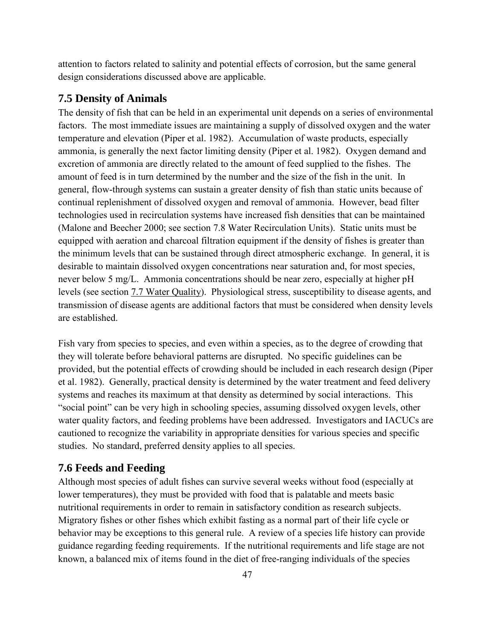<span id="page-61-0"></span>attention to factors related to salinity and potential effects of corrosion, but the same general design considerations discussed above are applicable.

#### **7.5 Density of Animals**

The density of fish that can be held in an experimental unit depends on a series of environmental factors. The most immediate issues are maintaining a supply of dissolved oxygen and the water temperature and elevation (Piper et al. 1982). Accumulation of waste products, especially ammonia, is generally the next factor limiting density (Piper et al. 1982). Oxygen demand and excretion of ammonia are directly related to the amount of feed supplied to the fishes. The amount of feed is in turn determined by the number and the size of the fish in the unit. In general, flow-through systems can sustain a greater density of fish than static units because of continual replenishment of dissolved oxygen and removal of ammonia. However, bead filter technologies used in recirculation systems have increased fish densities that can be maintained (Malone and Beecher 2000; see section 7.8 Water Recirculation Units). Static units must be equipped with aeration and charcoal filtration equipment if the density of fishes is greater than the minimum levels that can be sustained through direct atmospheric exchange. In general, it is desirable to maintain dissolved oxygen concentrations near saturation and, for most species, never below 5 mg/L. Ammonia concentrations should be near zero, especially at higher pH levels (see section [7.7 Water Quality\)](#page-63-0). Physiological stress, susceptibility to disease agents, and transmission of disease agents are additional factors that must be considered when density levels are established.

Fish vary from species to species, and even within a species, as to the degree of crowding that they will tolerate before behavioral patterns are disrupted. No specific guidelines can be provided, but the potential effects of crowding should be included in each research design (Piper et al. 1982). Generally, practical density is determined by the water treatment and feed delivery systems and reaches its maximum at that density as determined by social interactions. This "social point" can be very high in schooling species, assuming dissolved oxygen levels, other water quality factors, and feeding problems have been addressed. Investigators and IACUCs are cautioned to recognize the variability in appropriate densities for various species and specific studies. No standard, preferred density applies to all species.

#### **7.6 Feeds and Feeding**

Although most species of adult fishes can survive several weeks without food (especially at lower temperatures), they must be provided with food that is palatable and meets basic nutritional requirements in order to remain in satisfactory condition as research subjects. Migratory fishes or other fishes which exhibit fasting as a normal part of their life cycle or behavior may be exceptions to this general rule. A review of a species life history can provide guidance regarding feeding requirements. If the nutritional requirements and life stage are not known, a balanced mix of items found in the diet of free-ranging individuals of the species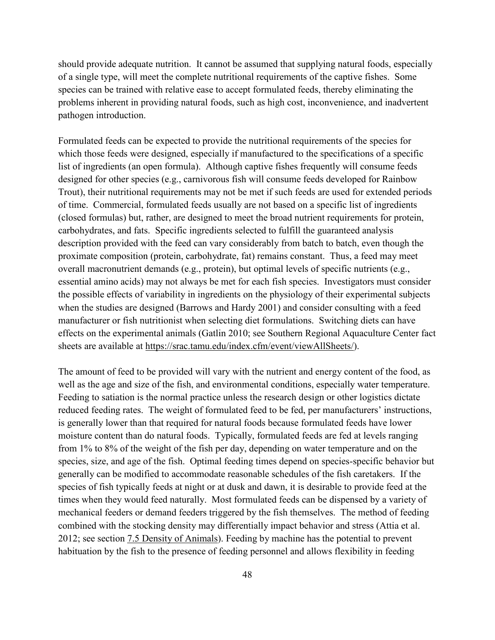should provide adequate nutrition. It cannot be assumed that supplying natural foods, especially of a single type, will meet the complete nutritional requirements of the captive fishes. Some species can be trained with relative ease to accept formulated feeds, thereby eliminating the problems inherent in providing natural foods, such as high cost, inconvenience, and inadvertent pathogen introduction.

Formulated feeds can be expected to provide the nutritional requirements of the species for which those feeds were designed, especially if manufactured to the specifications of a specific list of ingredients (an open formula). Although captive fishes frequently will consume feeds designed for other species (e.g., carnivorous fish will consume feeds developed for Rainbow Trout), their nutritional requirements may not be met if such feeds are used for extended periods of time. Commercial, formulated feeds usually are not based on a specific list of ingredients (closed formulas) but, rather, are designed to meet the broad nutrient requirements for protein, carbohydrates, and fats. Specific ingredients selected to fulfill the guaranteed analysis description provided with the feed can vary considerably from batch to batch, even though the proximate composition (protein, carbohydrate, fat) remains constant. Thus, a feed may meet overall macronutrient demands (e.g., protein), but optimal levels of specific nutrients (e.g., essential amino acids) may not always be met for each fish species. Investigators must consider the possible effects of variability in ingredients on the physiology of their experimental subjects when the studies are designed (Barrows and Hardy 2001) and consider consulting with a feed manufacturer or fish nutritionist when selecting diet formulations. Switching diets can have effects on the experimental animals (Gatlin 2010; see Southern Regional Aquaculture Center fact sheets are available at [https://srac.tamu.edu/index.cfm/event/viewAllSheets/\)](https://srac.tamu.edu/index.cfm/event/viewAllSheets/).

The amount of feed to be provided will vary with the nutrient and energy content of the food, as well as the age and size of the fish, and environmental conditions, especially water temperature. Feeding to satiation is the normal practice unless the research design or other logistics dictate reduced feeding rates. The weight of formulated feed to be fed, per manufacturers' instructions, is generally lower than that required for natural foods because formulated feeds have lower moisture content than do natural foods. Typically, formulated feeds are fed at levels ranging from 1% to 8% of the weight of the fish per day, depending on water temperature and on the species, size, and age of the fish. Optimal feeding times depend on species-specific behavior but generally can be modified to accommodate reasonable schedules of the fish caretakers. If the species of fish typically feeds at night or at dusk and dawn, it is desirable to provide feed at the times when they would feed naturally. Most formulated feeds can be dispensed by a variety of mechanical feeders or demand feeders triggered by the fish themselves. The method of feeding combined with the stocking density may differentially impact behavior and stress (Attia et al. 2012; see section [7.5 Density of Animals\)](#page-61-0). Feeding by machine has the potential to prevent habituation by the fish to the presence of feeding personnel and allows flexibility in feeding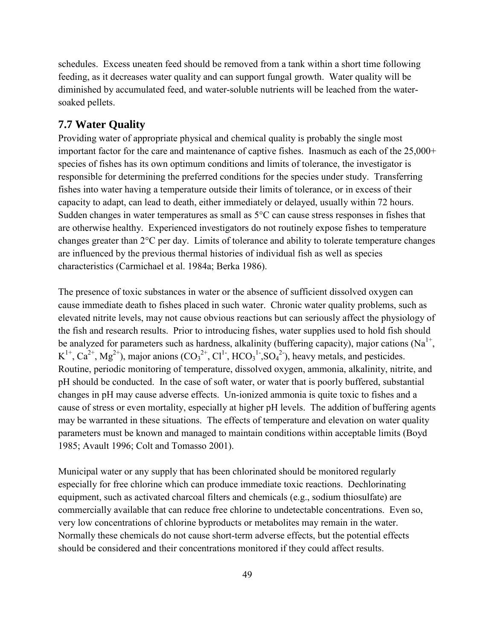<span id="page-63-0"></span>schedules. Excess uneaten feed should be removed from a tank within a short time following feeding, as it decreases water quality and can support fungal growth. Water quality will be diminished by accumulated feed, and water-soluble nutrients will be leached from the watersoaked pellets.

## **7.7 Water Quality**

Providing water of appropriate physical and chemical quality is probably the single most important factor for the care and maintenance of captive fishes. Inasmuch as each of the 25,000+ species of fishes has its own optimum conditions and limits of tolerance, the investigator is responsible for determining the preferred conditions for the species under study. Transferring fishes into water having a temperature outside their limits of tolerance, or in excess of their capacity to adapt, can lead to death, either immediately or delayed, usually within 72 hours. Sudden changes in water temperatures as small as 5°C can cause stress responses in fishes that are otherwise healthy. Experienced investigators do not routinely expose fishes to temperature changes greater than 2°C per day. Limits of tolerance and ability to tolerate temperature changes are influenced by the previous thermal histories of individual fish as well as species characteristics (Carmichael et al. 1984a; Berka 1986).

The presence of toxic substances in water or the absence of sufficient dissolved oxygen can cause immediate death to fishes placed in such water. Chronic water quality problems, such as elevated nitrite levels, may not cause obvious reactions but can seriously affect the physiology of the fish and research results. Prior to introducing fishes, water supplies used to hold fish should be analyzed for parameters such as hardness, alkalinity (buffering capacity), major cations (Na<sup>1+</sup>,  $K^{1+}$ , Ca<sup>2+</sup>, Mg<sup>2+</sup>), major anions (CO<sub>3</sub><sup>2+</sup>, Cl<sup>1-</sup>, HCO<sub>3</sub><sup>1</sup>, SO<sub>4</sub><sup>2</sup>), heavy metals, and pesticides. Routine, periodic monitoring of temperature, dissolved oxygen, ammonia, alkalinity, nitrite, and pH should be conducted. In the case of soft water, or water that is poorly buffered, substantial changes in pH may cause adverse effects. Un-ionized ammonia is quite toxic to fishes and a cause of stress or even mortality, especially at higher pH levels. The addition of buffering agents may be warranted in these situations. The effects of temperature and elevation on water quality parameters must be known and managed to maintain conditions within acceptable limits (Boyd 1985; Avault 1996; Colt and Tomasso 2001).

Municipal water or any supply that has been chlorinated should be monitored regularly especially for free chlorine which can produce immediate toxic reactions. Dechlorinating equipment, such as activated charcoal filters and chemicals (e.g., sodium thiosulfate) are commercially available that can reduce free chlorine to undetectable concentrations. Even so, very low concentrations of chlorine byproducts or metabolites may remain in the water. Normally these chemicals do not cause short-term adverse effects, but the potential effects should be considered and their concentrations monitored if they could affect results.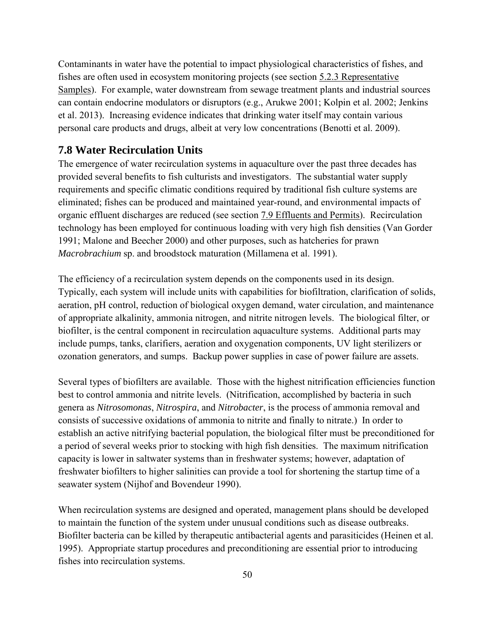<span id="page-64-0"></span>Contaminants in water have the potential to impact physiological characteristics of fishes, and fishes are often used in ecosystem monitoring projects (see section [5.2.3 Representative](#page-38-0)  [Samples\)](#page-38-0). For example, water downstream from sewage treatment plants and industrial sources can contain endocrine modulators or disruptors (e.g., Arukwe 2001; Kolpin et al. 2002; Jenkins et al. 2013). Increasing evidence indicates that drinking water itself may contain various personal care products and drugs, albeit at very low concentrations (Benotti et al. 2009).

## **7.8 Water Recirculation Units**

The emergence of water recirculation systems in aquaculture over the past three decades has provided several benefits to fish culturists and investigators. The substantial water supply requirements and specific climatic conditions required by traditional fish culture systems are eliminated; fishes can be produced and maintained year-round, and environmental impacts of organic effluent discharges are reduced (see section [7.9 Effluents and Permits\)](#page-65-0). Recirculation technology has been employed for continuous loading with very high fish densities (Van Gorder 1991; Malone and Beecher 2000) and other purposes, such as hatcheries for prawn *Macrobrachium* sp. and broodstock maturation (Millamena et al. 1991).

The efficiency of a recirculation system depends on the components used in its design. Typically, each system will include units with capabilities for biofiltration, clarification of solids, aeration, pH control, reduction of biological oxygen demand, water circulation, and maintenance of appropriate alkalinity, ammonia nitrogen, and nitrite nitrogen levels. The biological filter, or biofilter, is the central component in recirculation aquaculture systems. Additional parts may include pumps, tanks, clarifiers, aeration and oxygenation components, UV light sterilizers or ozonation generators, and sumps. Backup power supplies in case of power failure are assets.

Several types of biofilters are available. Those with the highest nitrification efficiencies function best to control ammonia and nitrite levels. (Nitrification, accomplished by bacteria in such genera as *Nitrosomonas*, *Nitrospira*, and *Nitrobacter*, is the process of ammonia removal and consists of successive oxidations of ammonia to nitrite and finally to nitrate.) In order to establish an active nitrifying bacterial population, the biological filter must be preconditioned for a period of several weeks prior to stocking with high fish densities. The maximum nitrification capacity is lower in saltwater systems than in freshwater systems; however, adaptation of freshwater biofilters to higher salinities can provide a tool for shortening the startup time of a seawater system (Nijhof and Bovendeur 1990).

When recirculation systems are designed and operated, management plans should be developed to maintain the function of the system under unusual conditions such as disease outbreaks. Biofilter bacteria can be killed by therapeutic antibacterial agents and parasiticides (Heinen et al. 1995). Appropriate startup procedures and preconditioning are essential prior to introducing fishes into recirculation systems.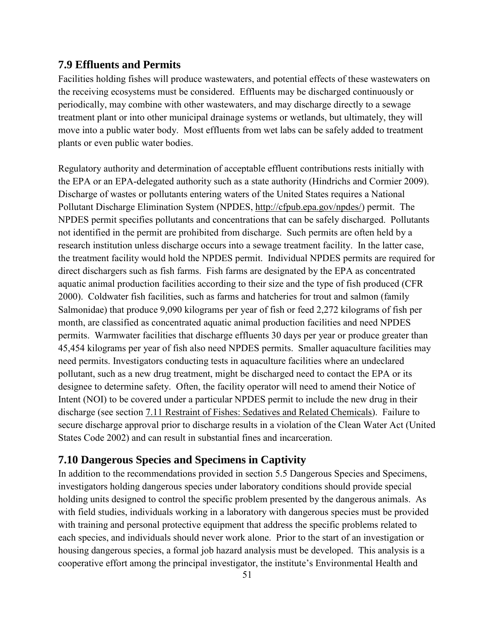#### <span id="page-65-0"></span>**7.9 Effluents and Permits**

Facilities holding fishes will produce wastewaters, and potential effects of these wastewaters on the receiving ecosystems must be considered. Effluents may be discharged continuously or periodically, may combine with other wastewaters, and may discharge directly to a sewage treatment plant or into other municipal drainage systems or wetlands, but ultimately, they will move into a public water body. Most effluents from wet labs can be safely added to treatment plants or even public water bodies.

Regulatory authority and determination of acceptable effluent contributions rests initially with the EPA or an EPA-delegated authority such as a state authority (Hindrichs and Cormier 2009). Discharge of wastes or pollutants entering waters of the United States requires a National Pollutant Discharge Elimination System (NPDES, [http://cfpub.epa.gov/npdes/\)](http://cfpub.epa.gov/npdes/) permit. The NPDES permit specifies pollutants and concentrations that can be safely discharged. Pollutants not identified in the permit are prohibited from discharge. Such permits are often held by a research institution unless discharge occurs into a sewage treatment facility. In the latter case, the treatment facility would hold the NPDES permit. Individual NPDES permits are required for direct dischargers such as fish farms. Fish farms are designated by the EPA as concentrated aquatic animal production facilities according to their size and the type of fish produced (CFR 2000). Coldwater fish facilities, such as farms and hatcheries for trout and salmon (family Salmonidae) that produce 9,090 kilograms per year of fish or feed 2,272 kilograms of fish per month, are classified as concentrated aquatic animal production facilities and need NPDES permits. Warmwater facilities that discharge effluents 30 days per year or produce greater than 45,454 kilograms per year of fish also need NPDES permits. Smaller aquaculture facilities may need permits. Investigators conducting tests in aquaculture facilities where an undeclared pollutant, such as a new drug treatment, might be discharged need to contact the EPA or its designee to determine safety. Often, the facility operator will need to amend their Notice of Intent (NOI) to be covered under a particular NPDES permit to include the new drug in their discharge (see section [7.11 Restraint of Fishes: Sedatives and Related Chemicals\)](#page-66-0). Failure to secure discharge approval prior to discharge results in a violation of the Clean Water Act (United States Code 2002) and can result in substantial fines and incarceration.

#### **7.10 Dangerous Species and Specimens in Captivity**

In addition to the recommendations provided in section [5.5 Dangerous Species and Specimens,](#page-44-0) investigators holding dangerous species under laboratory conditions should provide special holding units designed to control the specific problem presented by the dangerous animals. As with field studies, individuals working in a laboratory with dangerous species must be provided with training and personal protective equipment that address the specific problems related to each species, and individuals should never work alone. Prior to the start of an investigation or housing dangerous species, a formal job hazard analysis must be developed. This analysis is a cooperative effort among the principal investigator, the institute's Environmental Health and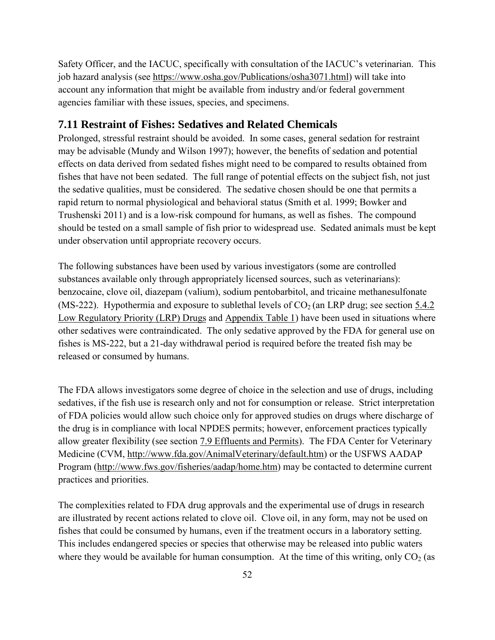<span id="page-66-0"></span>Safety Officer, and the IACUC, specifically with consultation of the IACUC's veterinarian. This job hazard analysis (see [https://www.osha.gov/Publications/osha3071.html\)](https://www.osha.gov/Publications/osha3071.html) will take into account any information that might be available from industry and/or federal government agencies familiar with these issues, species, and specimens.

# **7.11 Restraint of Fishes: Sedatives and Related Chemicals**

Prolonged, stressful restraint should be avoided. In some cases, general sedation for restraint may be advisable (Mundy and Wilson 1997); however, the benefits of sedation and potential effects on data derived from sedated fishes might need to be compared to results obtained from fishes that have not been sedated. The full range of potential effects on the subject fish, not just the sedative qualities, must be considered. The sedative chosen should be one that permits a rapid return to normal physiological and behavioral status (Smith et al. 1999; Bowker and Trushenski 2011) and is a low-risk compound for humans, as well as fishes. The compound should be tested on a small sample of fish prior to widespread use. Sedated animals must be kept under observation until appropriate recovery occurs.

The following substances have been used by various investigators (some are controlled substances available only through appropriately licensed sources, such as veterinarians): benzocaine, clove oil, diazepam (valium), sodium pentobarbitol, and tricaine methanesulfonate (MS-222). Hypothermia and exposure to sublethal levels of  $CO<sub>2</sub>$  (an LRP drug; see section 5.4.2) [Low Regulatory Priority \(LRP\) Drugs](#page-43-0) and [Appendix Table 1\)](#page-101-0) have been used in situations where other sedatives were contraindicated. The only sedative approved by the FDA for general use on fishes is MS-222, but a 21-day withdrawal period is required before the treated fish may be released or consumed by humans.

The FDA allows investigators some degree of choice in the selection and use of drugs, including sedatives, if the fish use is research only and not for consumption or release. Strict interpretation of FDA policies would allow such choice only for approved studies on drugs where discharge of the drug is in compliance with local NPDES permits; however, enforcement practices typically allow greater flexibility (see section [7.9 Effluents and Permits\)](#page-65-0). The FDA Center for Veterinary Medicine (CVM, [http://www.fda.gov/AnimalVeterinary/default.htm\)](http://www.fda.gov/AnimalVeterinary/default.htm) or the USFWS AADAP Program [\(http://www.fws.gov/fisheries/aadap/home.htm\)](http://www.fws.gov/fisheries/aadap/home.htm) may be contacted to determine current practices and priorities.

The complexities related to FDA drug approvals and the experimental use of drugs in research are illustrated by recent actions related to clove oil. Clove oil, in any form, may not be used on fishes that could be consumed by humans, even if the treatment occurs in a laboratory setting. This includes endangered species or species that otherwise may be released into public waters where they would be available for human consumption. At the time of this writing, only  $CO<sub>2</sub>$  (as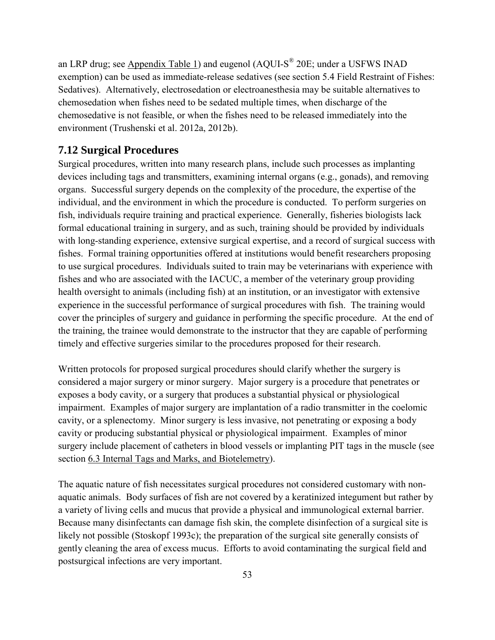<span id="page-67-0"></span>an LRP drug; see [Appendix Table 1\)](#page-101-0) and eugenol (AQUI-S<sup>®</sup> 20E; under a USFWS INAD exemption) can be used as immediate-release sedatives (see section [5.4 Field Restraint of Fishes:](#page-42-0)  [Sedatives\)](#page-42-0). Alternatively, electrosedation or electroanesthesia may be suitable alternatives to chemosedation when fishes need to be sedated multiple times, when discharge of the chemosedative is not feasible, or when the fishes need to be released immediately into the environment (Trushenski et al. 2012a, 2012b).

## **7.12 Surgical Procedures**

Surgical procedures, written into many research plans, include such processes as implanting devices including tags and transmitters, examining internal organs (e.g., gonads), and removing organs. Successful surgery depends on the complexity of the procedure, the expertise of the individual, and the environment in which the procedure is conducted. To perform surgeries on fish, individuals require training and practical experience. Generally, fisheries biologists lack formal educational training in surgery, and as such, training should be provided by individuals with long-standing experience, extensive surgical expertise, and a record of surgical success with fishes. Formal training opportunities offered at institutions would benefit researchers proposing to use surgical procedures. Individuals suited to train may be veterinarians with experience with fishes and who are associated with the IACUC, a member of the veterinary group providing health oversight to animals (including fish) at an institution, or an investigator with extensive experience in the successful performance of surgical procedures with fish. The training would cover the principles of surgery and guidance in performing the specific procedure. At the end of the training, the trainee would demonstrate to the instructor that they are capable of performing timely and effective surgeries similar to the procedures proposed for their research.

Written protocols for proposed surgical procedures should clarify whether the surgery is considered a major surgery or minor surgery. Major surgery is a procedure that penetrates or exposes a body cavity, or a surgery that produces a substantial physical or physiological impairment. Examples of major surgery are implantation of a radio transmitter in the coelomic cavity, or a splenectomy. Minor surgery is less invasive, not penetrating or exposing a body cavity or producing substantial physical or physiological impairment. Examples of minor surgery include placement of catheters in blood vessels or implanting PIT tags in the muscle (see section [6.3 Internal Tags and Marks, and Biotelemetry\)](#page-52-0).

The aquatic nature of fish necessitates surgical procedures not considered customary with nonaquatic animals. Body surfaces of fish are not covered by a keratinized integument but rather by a variety of living cells and mucus that provide a physical and immunological external barrier. Because many disinfectants can damage fish skin, the complete disinfection of a surgical site is likely not possible (Stoskopf 1993c); the preparation of the surgical site generally consists of gently cleaning the area of excess mucus. Efforts to avoid contaminating the surgical field and postsurgical infections are very important.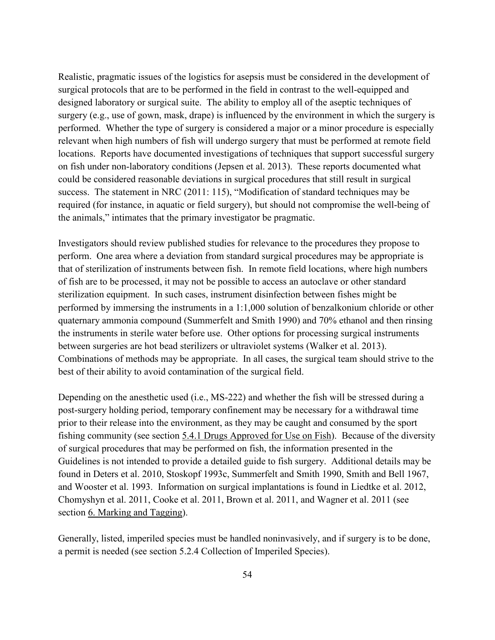Realistic, pragmatic issues of the logistics for asepsis must be considered in the development of surgical protocols that are to be performed in the field in contrast to the well-equipped and designed laboratory or surgical suite. The ability to employ all of the aseptic techniques of surgery (e.g., use of gown, mask, drape) is influenced by the environment in which the surgery is performed. Whether the type of surgery is considered a major or a minor procedure is especially relevant when high numbers of fish will undergo surgery that must be performed at remote field locations. Reports have documented investigations of techniques that support successful surgery on fish under non-laboratory conditions (Jepsen et al. 2013). These reports documented what could be considered reasonable deviations in surgical procedures that still result in surgical success. The statement in NRC (2011: 115), "Modification of standard techniques may be required (for instance, in aquatic or field surgery), but should not compromise the well-being of the animals," intimates that the primary investigator be pragmatic.

Investigators should review published studies for relevance to the procedures they propose to perform. One area where a deviation from standard surgical procedures may be appropriate is that of sterilization of instruments between fish. In remote field locations, where high numbers of fish are to be processed, it may not be possible to access an autoclave or other standard sterilization equipment. In such cases, instrument disinfection between fishes might be performed by immersing the instruments in a 1:1,000 solution of benzalkonium chloride or other quaternary ammonia compound (Summerfelt and Smith 1990) and 70% ethanol and then rinsing the instruments in sterile water before use. Other options for processing surgical instruments between surgeries are hot bead sterilizers or ultraviolet systems (Walker et al. 2013). Combinations of methods may be appropriate. In all cases, the surgical team should strive to the best of their ability to avoid contamination of the surgical field.

Depending on the anesthetic used (i.e., MS-222) and whether the fish will be stressed during a post-surgery holding period, temporary confinement may be necessary for a withdrawal time prior to their release into the environment, as they may be caught and consumed by the sport fishing community (see section [5.4.1 Drugs Approved for Use on Fish\)](#page-43-0). Because of the diversity of surgical procedures that may be performed on fish, the information presented in the Guidelines is not intended to provide a detailed guide to fish surgery. Additional details may be found in Deters et al. 2010, Stoskopf 1993c, Summerfelt and Smith 1990, Smith and Bell 1967, and Wooster et al. 1993. Information on surgical implantations is found in Liedtke et al. 2012, Chomyshyn et al. 2011, Cooke et al. 2011, Brown et al. 2011, and Wagner et al. 2011 (see section [6. Marking and Tagging\)](#page-51-0).

Generally, listed, imperiled species must be handled noninvasively, and if surgery is to be done, a permit is needed (see section [5.2.4 Collection of Imperiled Species\)](#page-39-0).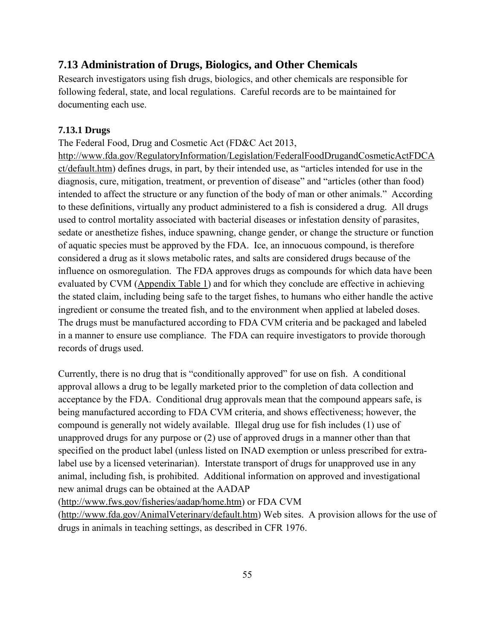# **7.13 Administration of Drugs, Biologics, and Other Chemicals**

Research investigators using fish drugs, biologics, and other chemicals are responsible for following federal, state, and local regulations. Careful records are to be maintained for documenting each use.

### **7.13.1 Drugs**

The Federal Food, Drug and Cosmetic Act (FD&C Act 2013,

[http://www.fda.gov/RegulatoryInformation/Legislation/FederalFoodDrugandCosmeticActFDCA](http://www.fda.gov/RegulatoryInformation/Legislation/FederalFoodDrugandCosmeticActFDCAct/default.htm) [ct/default.htm\)](http://www.fda.gov/RegulatoryInformation/Legislation/FederalFoodDrugandCosmeticActFDCAct/default.htm) defines drugs, in part, by their intended use, as "articles intended for use in the diagnosis, cure, mitigation, treatment, or prevention of disease" and "articles (other than food) intended to affect the structure or any function of the body of man or other animals." According to these definitions, virtually any product administered to a fish is considered a drug. All drugs used to control mortality associated with bacterial diseases or infestation density of parasites, sedate or anesthetize fishes, induce spawning, change gender, or change the structure or function of aquatic species must be approved by the FDA. Ice, an innocuous compound, is therefore considered a drug as it slows metabolic rates, and salts are considered drugs because of the influence on osmoregulation. The FDA approves drugs as compounds for which data have been evaluated by CVM [\(Appendix Table 1\)](#page-101-0) and for which they conclude are effective in achieving the stated claim, including being safe to the target fishes, to humans who either handle the active ingredient or consume the treated fish, and to the environment when applied at labeled doses. The drugs must be manufactured according to FDA CVM criteria and be packaged and labeled in a manner to ensure use compliance. The FDA can require investigators to provide thorough records of drugs used.

Currently, there is no drug that is "conditionally approved" for use on fish. A conditional approval allows a drug to be legally marketed prior to the completion of data collection and acceptance by the FDA. Conditional drug approvals mean that the compound appears safe, is being manufactured according to FDA CVM criteria, and shows effectiveness; however, the compound is generally not widely available. Illegal drug use for fish includes (1) use of unapproved drugs for any purpose or (2) use of approved drugs in a manner other than that specified on the product label (unless listed on INAD exemption or unless prescribed for extralabel use by a licensed veterinarian). Interstate transport of drugs for unapproved use in any animal, including fish, is prohibited. Additional information on approved and investigational new animal drugs can be obtained at the AADAP

[\(http://www.fws.gov/fisheries/aadap/home.htm\)](http://www.fws.gov/fisheries/aadap/home.htm) or FDA CVM

[\(http://www.fda.gov/AnimalVeterinary/default.htm\)](http://www.fda.gov/AnimalVeterinary/default.htm) Web sites. A provision allows for the use of drugs in animals in teaching settings, as described in CFR 1976.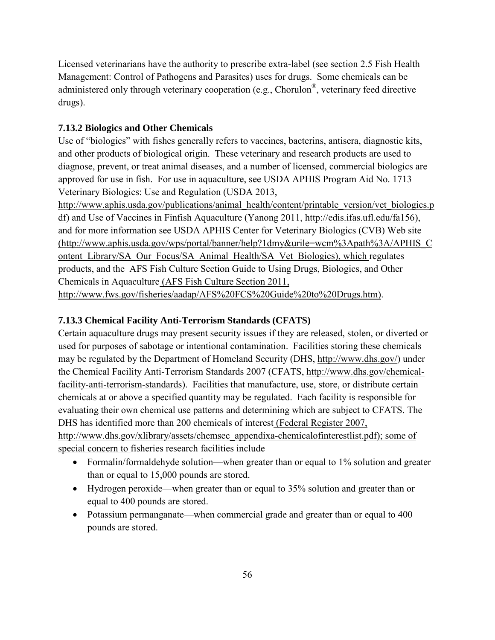Licensed veterinarians have the authority to prescribe extra-label (see section [2.5 Fish Health](#page-20-0)  [Management: Control of Pathogens and Parasites\)](#page-20-0) uses for drugs. Some chemicals can be administered only through veterinary cooperation (e.g., Chorulon®, veterinary feed directive drugs).

# **7.13.2 Biologics and Other Chemicals**

Use of "biologics" with fishes generally refers to vaccines, bacterins, antisera, diagnostic kits, and other products of biological origin. These veterinary and research products are used to diagnose, prevent, or treat animal diseases, and a number of licensed, commercial biologics are approved for use in fish. For use in aquaculture, see USDA APHIS Program Aid No. 1713 Veterinary Biologics: Use and Regulation (USDA 2013,

[http://www.aphis.usda.gov/publications/animal\\_health/content/printable\\_version/vet\\_biologics.p](http://www.aphis.usda.gov/publications/animal_health/content/printable_version/vet_biologics.pdf) [df\)](http://www.aphis.usda.gov/publications/animal_health/content/printable_version/vet_biologics.pdf) and Use of Vaccines in Finfish Aquaculture (Yanong 2011, [http://edis.ifas.ufl.edu/fa156\)](http://edis.ifas.ufl.edu/fa156), and for more information see USDA APHIS Center for Veterinary Biologics (CVB) Web site [\(http://www.aphis.usda.gov/wps/portal/banner/help?1dmy&urile=wcm%3Apath%3A/APHIS\\_C](http://www.aphis.usda.gov/wps/portal/banner/help?1dmy&urile=wcm%3Apath%3A/APHIS_Content_Library/SA_Our_Focus/SA_Animal_Health/SA_Vet_Biologics) [ontent\\_Library/SA\\_Our\\_Focus/SA\\_Animal\\_Health/SA\\_Vet\\_Biologics\)](http://www.aphis.usda.gov/wps/portal/banner/help?1dmy&urile=wcm%3Apath%3A/APHIS_Content_Library/SA_Our_Focus/SA_Animal_Health/SA_Vet_Biologics), which regulates products, and the AFS Fish Culture Section Guide to Using Drugs, Biologics, and Other Chemicals in Aquaculture (AFS Fish Culture Section 2011, [http://www.fws.gov/fisheries/aadap/AFS%20FCS%20Guide%20to%20Drugs.htm\)](http://www.fws.gov/fisheries/aadap/AFS%20FCS%20Guide%20to%20Drugs.htm).

# **7.13.3 Chemical Facility Anti-Terrorism Standards (CFATS)**

Certain aquaculture drugs may present security issues if they are released, stolen, or diverted or used for purposes of sabotage or intentional contamination. Facilities storing these chemicals may be regulated by the Department of Homeland Security (DHS, [http://www.dhs.gov/\)](http://www.dhs.gov/) under the Chemical Facility Anti-Terrorism Standards 2007 (CFATS, [http://www.dhs.gov/chemical](http://www.dhs.gov/chemical-facility-anti-terrorism-standards)[facility-anti-terrorism-standards\)](http://www.dhs.gov/chemical-facility-anti-terrorism-standards). Facilities that manufacture, use, store, or distribute certain chemicals at or above a specified quantity may be regulated. Each facility is responsible for evaluating their own chemical use patterns and determining which are subject to CFATS. The DHS has identified more than 200 chemicals of interest (Federal Register 2007,

[http://www.dhs.gov/xlibrary/assets/chemsec\\_appendixa-chemicalofinterestlist.pdf\)](http://www.dhs.gov/xlibrary/assets/chemsec_appendixa-chemicalofinterestlist.pdf); some of special concern to fisheries research facilities include

- Formalin/formaldehyde solution—when greater than or equal to 1% solution and greater than or equal to 15,000 pounds are stored.
- Hydrogen peroxide—when greater than or equal to 35% solution and greater than or equal to 400 pounds are stored.
- Potassium permanganate—when commercial grade and greater than or equal to 400 pounds are stored.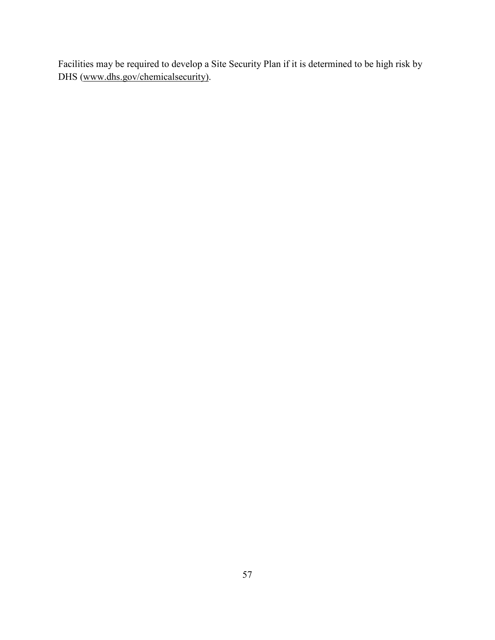Facilities may be required to develop a Site Security Plan if it is determined to be high risk by DHS [\(www.dhs.gov/chemicalsecurity\)](http://www.dhs.gov/chemicalsecurity).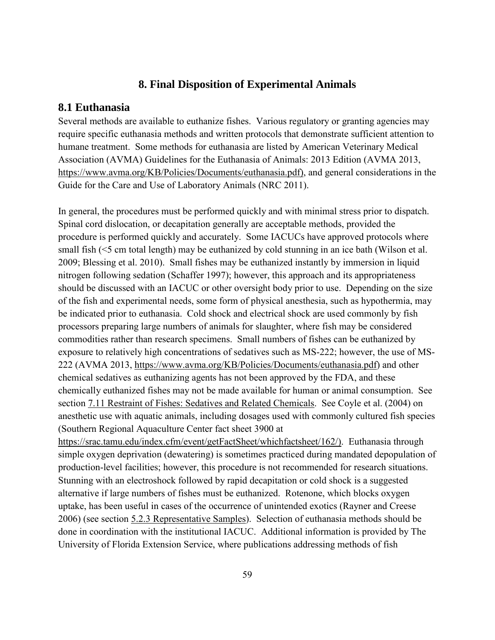#### **8. Final Disposition of Experimental Animals**

#### **8.1 Euthanasia**

Several methods are available to euthanize fishes. Various regulatory or granting agencies may require specific euthanasia methods and written protocols that demonstrate sufficient attention to humane treatment. Some methods for euthanasia are listed by American Veterinary Medical Association (AVMA) Guidelines for the Euthanasia of Animals: 2013 Edition (AVMA 2013, [https://www.avma.org/KB/Policies/Documents/euthanasia.pdf\)](https://www.avma.org/KB/Policies/Documents/euthanasia.pdf), and general considerations in the Guide for the Care and Use of Laboratory Animals (NRC 2011).

In general, the procedures must be performed quickly and with minimal stress prior to dispatch. Spinal cord dislocation, or decapitation generally are acceptable methods, provided the procedure is performed quickly and accurately. Some IACUCs have approved protocols where small fish (<5 cm total length) may be euthanized by cold stunning in an ice bath (Wilson et al. 2009; Blessing et al. 2010). Small fishes may be euthanized instantly by immersion in liquid nitrogen following sedation (Schaffer 1997); however, this approach and its appropriateness should be discussed with an IACUC or other oversight body prior to use. Depending on the size of the fish and experimental needs, some form of physical anesthesia, such as hypothermia, may be indicated prior to euthanasia. Cold shock and electrical shock are used commonly by fish processors preparing large numbers of animals for slaughter, where fish may be considered commodities rather than research specimens. Small numbers of fishes can be euthanized by exposure to relatively high concentrations of sedatives such as MS-222; however, the use of MS-222 (AVMA 2013, [https://www.avma.org/KB/Policies/Documents/euthanasia.pdf\)](https://www.avma.org/KB/Policies/Documents/euthanasia.pdf) and other chemical sedatives as euthanizing agents has not been approved by the FDA, and these chemically euthanized fishes may not be made available for human or animal consumption. See section [7.11 Restraint of Fishes: Sedatives and Related Chemicals.](#page-66-0) See Coyle et al. (2004) on anesthetic use with aquatic animals, including dosages used with commonly cultured fish species (Southern Regional Aquaculture Center fact sheet 3900 at [https://srac.tamu.edu/index.cfm/event/getFactSheet/whichfactsheet/162/\)](https://srac.tamu.edu/index.cfm/event/getFactSheet/whichfactsheet/162/). Euthanasia through

simple oxygen deprivation (dewatering) is sometimes practiced during mandated depopulation of production-level facilities; however, this procedure is not recommended for research situations. Stunning with an electroshock followed by rapid decapitation or cold shock is a suggested alternative if large numbers of fishes must be euthanized. Rotenone, which blocks oxygen uptake, has been useful in cases of the occurrence of unintended exotics (Rayner and Creese 2006) (see section [5.2.3 Representative Samples\)](#page-38-0). Selection of euthanasia methods should be done in coordination with the institutional IACUC. Additional information is provided by The University of Florida Extension Service, where publications addressing methods of fish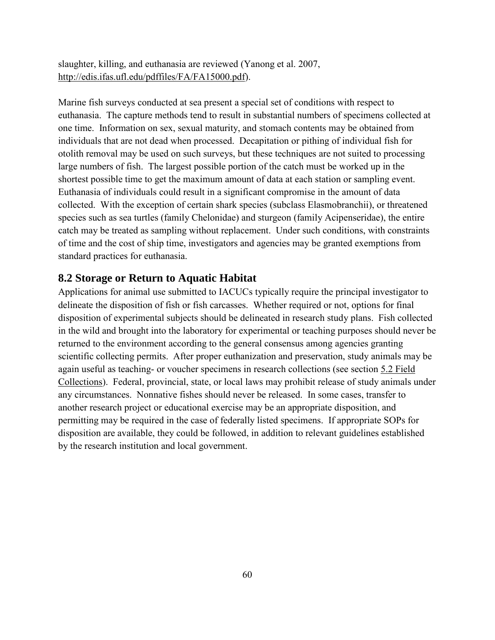slaughter, killing, and euthanasia are reviewed (Yanong et al. 2007, [http://edis.ifas.ufl.edu/pdffiles/FA/FA15000.pdf\)](http://edis.ifas.ufl.edu/pdffiles/FA/FA15000.pdf).

Marine fish surveys conducted at sea present a special set of conditions with respect to euthanasia. The capture methods tend to result in substantial numbers of specimens collected at one time. Information on sex, sexual maturity, and stomach contents may be obtained from individuals that are not dead when processed. Decapitation or pithing of individual fish for otolith removal may be used on such surveys, but these techniques are not suited to processing large numbers of fish. The largest possible portion of the catch must be worked up in the shortest possible time to get the maximum amount of data at each station or sampling event. Euthanasia of individuals could result in a significant compromise in the amount of data collected. With the exception of certain shark species (subclass Elasmobranchii), or threatened species such as sea turtles (family Chelonidae) and sturgeon (family Acipenseridae), the entire catch may be treated as sampling without replacement. Under such conditions, with constraints of time and the cost of ship time, investigators and agencies may be granted exemptions from standard practices for euthanasia.

### **8.2 Storage or Return to Aquatic Habitat**

Applications for animal use submitted to IACUCs typically require the principal investigator to delineate the disposition of fish or fish carcasses. Whether required or not, options for final disposition of experimental subjects should be delineated in research study plans. Fish collected in the wild and brought into the laboratory for experimental or teaching purposes should never be returned to the environment according to the general consensus among agencies granting scientific collecting permits. After proper euthanization and preservation, study animals may be again useful as teaching- or voucher specimens in research collections (see section [5.2 Field](#page-37-0)  [Collections\)](#page-37-0). Federal, provincial, state, or local laws may prohibit release of study animals under any circumstances. Nonnative fishes should never be released. In some cases, transfer to another research project or educational exercise may be an appropriate disposition, and permitting may be required in the case of federally listed specimens. If appropriate SOPs for disposition are available, they could be followed, in addition to relevant guidelines established by the research institution and local government.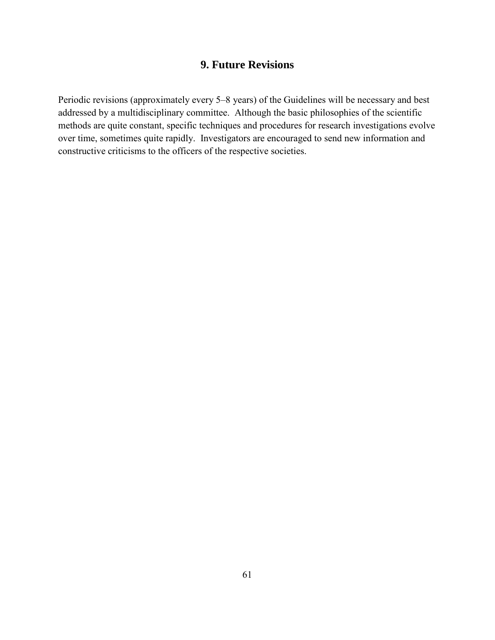## **9. Future Revisions**

Periodic revisions (approximately every 5–8 years) of the Guidelines will be necessary and best addressed by a multidisciplinary committee. Although the basic philosophies of the scientific methods are quite constant, specific techniques and procedures for research investigations evolve over time, sometimes quite rapidly. Investigators are encouraged to send new information and constructive criticisms to the officers of the respective societies.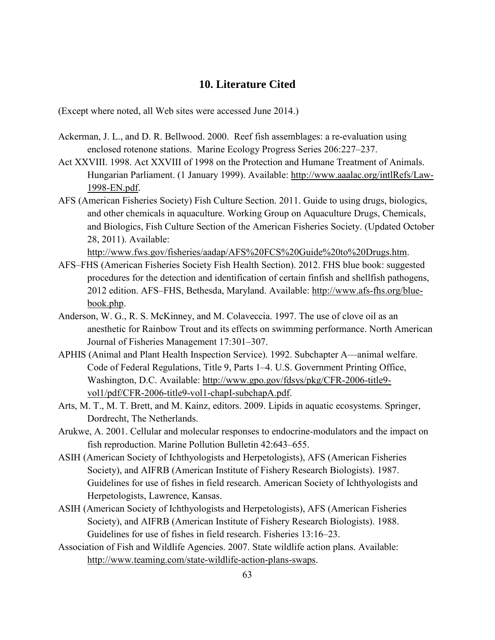## **10. Literature Cited**

(Except where noted, all Web sites were accessed June 2014.)

- Ackerman, J. L., and D. R. Bellwood. 2000. Reef fish assemblages: a re-evaluation using enclosed rotenone stations. Marine Ecology Progress Series 206:227–237.
- Act XXVIII. 1998. Act XXVIII of 1998 on the Protection and Humane Treatment of Animals. Hungarian Parliament. (1 January 1999). Available: [http://www.aaalac.org/intlRefs/Law-](http://www.aaalac.org/intlRefs/Law-1998-EN.pdf)[1998-EN.pdf.](http://www.aaalac.org/intlRefs/Law-1998-EN.pdf)
- AFS (American Fisheries Society) Fish Culture Section. 2011. Guide to using drugs, biologics, and other chemicals in aquaculture. Working Group on Aquaculture Drugs, Chemicals, and Biologics, Fish Culture Section of the American Fisheries Society. (Updated October 28, 2011). Available:

[http://www.fws.gov/fisheries/aadap/AFS%20FCS%20Guide%20to%20Drugs.htm.](http://www.fws.gov/fisheries/aadap/AFS%20FCS%20Guide%20to%20Drugs.htm)

- AFS–FHS (American Fisheries Society Fish Health Section). 2012. FHS blue book: suggested procedures for the detection and identification of certain finfish and shellfish pathogens, 2012 edition. AFS–FHS, Bethesda, Maryland. Available: [http://www.afs-fhs.org/blue](http://www.afs-fhs.org/blue-book.php)[book.php.](http://www.afs-fhs.org/blue-book.php)
- Anderson, W. G., R. S. McKinney, and M. Colaveccia. 1997. The use of clove oil as an anesthetic for Rainbow Trout and its effects on swimming performance. North American Journal of Fisheries Management 17:301–307.
- APHIS (Animal and Plant Health Inspection Service). 1992. Subchapter A—animal welfare. Code of Federal Regulations, Title 9, Parts 1–4. U.S. Government Printing Office, Washington, D.C. Available: [http://www.gpo.gov/fdsys/pkg/CFR-2006-title9](http://www.gpo.gov/fdsys/pkg/CFR-2006-title9-vol1/pdf/CFR-2006-title9-vol1-chapI-subchapA.pdf) [vol1/pdf/CFR-2006-title9-vol1-chapI-subchapA.pdf.](http://www.gpo.gov/fdsys/pkg/CFR-2006-title9-vol1/pdf/CFR-2006-title9-vol1-chapI-subchapA.pdf)
- Arts, M. T., M. T. Brett, and M. Kainz, editors. 2009. Lipids in aquatic ecosystems. Springer, Dordrecht, The Netherlands.
- Arukwe, A. 2001. Cellular and molecular responses to endocrine-modulators and the impact on fish reproduction. Marine Pollution Bulletin 42:643–655.
- ASIH (American Society of Ichthyologists and Herpetologists), AFS (American Fisheries Society), and AIFRB (American Institute of Fishery Research Biologists). 1987. Guidelines for use of fishes in field research. American Society of Ichthyologists and Herpetologists, Lawrence, Kansas.
- ASIH (American Society of Ichthyologists and Herpetologists), AFS (American Fisheries Society), and AIFRB (American Institute of Fishery Research Biologists). 1988. Guidelines for use of fishes in field research. Fisheries 13:16–23.
- Association of Fish and Wildlife Agencies. 2007. State wildlife action plans. Available: [http://www.teaming.com/state-wildlife-action-plans-swaps.](http://www.teaming.com/state-wildlife-action-plans-swaps)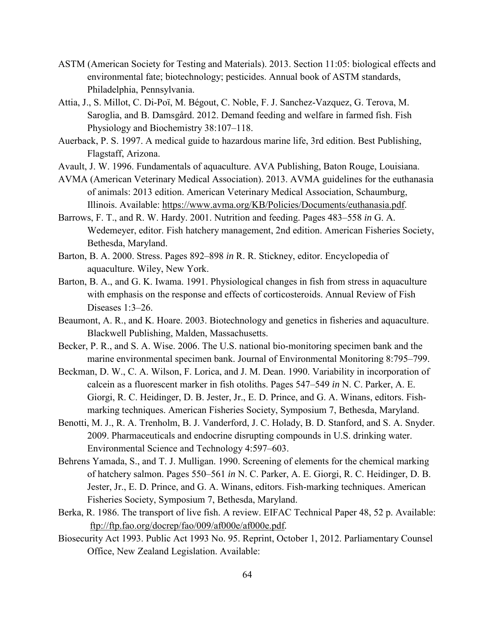- ASTM (American Society for Testing and Materials). 2013. Section 11:05: biological effects and environmental fate; biotechnology; pesticides. Annual book of ASTM standards, Philadelphia, Pennsylvania.
- [Attia,](http://link.springer.com/search?facet-author=%22Jo%C3%ABl+Attia%22) J., [S. Millot,](http://link.springer.com/search?facet-author=%22Sandie+Millot%22) [C. Di-Poï,](http://link.springer.com/search?facet-author=%22Carole+Di-Po%C3%AF%22) [M. Bégout,](http://link.springer.com/search?facet-author=%22Marie-Laure+B%C3%A9gout%22) [C. Noble,](http://link.springer.com/search?facet-author=%22Chris+Noble%22) [F. J. Sanchez-Vazquez,](http://link.springer.com/search?facet-author=%22F.+Javier+Sanchez-Vazquez%22) [G. Terova,](http://link.springer.com/search?facet-author=%22Genciana+Terova%22) [M.](http://link.springer.com/search?facet-author=%22Marco+Saroglia%22)  [Saroglia,](http://link.springer.com/search?facet-author=%22Marco+Saroglia%22) and [B. Damsgård.](http://link.springer.com/search?facet-author=%22B%C3%B8rge+Damsg%C3%A5rd%22) 2012. Demand feeding and welfare in farmed fish. Fish Physiology and Biochemistry 38:107–118.
- Auerback, P. S. 1997. A medical guide to hazardous marine life, 3rd edition. Best Publishing, Flagstaff, Arizona.
- Avault, J. W. 1996. Fundamentals of aquaculture. AVA Publishing, Baton Rouge, Louisiana.
- AVMA (American Veterinary Medical Association). 2013. AVMA guidelines for the euthanasia of animals: 2013 edition. American Veterinary Medical Association, Schaumburg, Illinois. Available: [https://www.avma.org/KB/Policies/Documents/euthanasia.pdf.](https://www.avma.org/KB/Policies/Documents/euthanasia.pdf)
- Barrows, F. T., and R. W. Hardy. 2001. Nutrition and feeding. Pages 483–558 *in* G. A. Wedemeyer, editor. Fish hatchery management, 2nd edition. American Fisheries Society, Bethesda, Maryland.
- Barton, B. A. 2000. Stress. Pages 892–898 *in* R. R. Stickney, editor. Encyclopedia of aquaculture. Wiley, New York.
- Barton, B. A., and G. K. Iwama. 1991. Physiological changes in fish from stress in aquaculture with emphasis on the response and effects of corticosteroids. Annual Review of Fish Diseases 1:3–26.
- Beaumont, A. R., and K. Hoare. 2003. Biotechnology and genetics in fisheries and aquaculture. Blackwell Publishing, Malden, Massachusetts.
- Becker, P. R., and S. A. Wise. 2006. The U.S. national bio-monitoring specimen bank and the marine environmental specimen bank. Journal of Environmental Monitoring 8:795–799.
- Beckman, D. W., C. A. Wilson, F. Lorica, and J. M. Dean. 1990. Variability in incorporation of calcein as a fluorescent marker in fish otoliths. Pages 547–549 *in* N. C. Parker, A. E. Giorgi, R. C. Heidinger, D. B. Jester, Jr., E. D. Prince, and G. A. Winans, editors. Fishmarking techniques. American Fisheries Society, Symposium 7, Bethesda, Maryland.
- Benotti, M. J., R. A. Trenholm, B. J. Vanderford, J. C. Holady, B. D. Stanford, and S. A. Snyder. 2009. Pharmaceuticals and endocrine disrupting compounds in U.S. drinking water. Environmental Science and Technology 4:597–603.
- Behrens Yamada, S., and T. J. Mulligan. 1990. Screening of elements for the chemical marking of hatchery salmon. Pages 550–561 *in* N. C. Parker, A. E. Giorgi, R. C. Heidinger, D. B. Jester, Jr., E. D. Prince, and G. A. Winans, editors. Fish-marking techniques. American Fisheries Society, Symposium 7, Bethesda, Maryland.
- Berka, R. 1986. The transport of live fish. A review. EIFAC Technical Paper 48, 52 p. Available: <ftp://ftp.fao.org/docrep/fao/009/af000e/af000e.pdf>*.*
- Biosecurity Act 1993. Public Act 1993 No. 95. Reprint, October 1, 2012. Parliamentary Counsel Office, New Zealand Legislation. Available: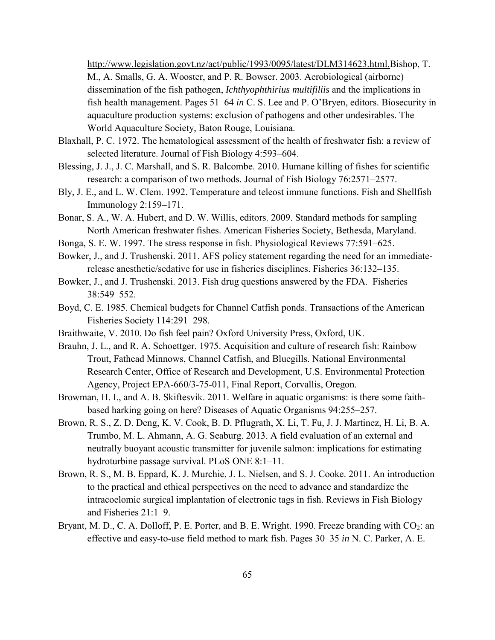[http://www.legislation.govt.nz/act/public/1993/0095/latest/DLM314623.html.](http://www.legislation.govt.nz/act/public/1993/0095/latest/DLM314623.html)Bishop, T. M., A. Smalls, G. A. Wooster, and P. R. Bowser. 2003. Aerobiological (airborne) dissemination of the fish pathogen, *Ichthyophthirius multifiliis* and the implications in fish health management. Pages 51–64 *in* C. S. Lee and P. O'Bryen, editors. Biosecurity in aquaculture production systems: exclusion of pathogens and other undesirables. The World Aquaculture Society, Baton Rouge, Louisiana.

- Blaxhall, P. C. 1972. The hematological assessment of the health of freshwater fish: a review of selected literature. Journal of Fish Biology 4:593–604.
- Blessing, J. J., J. C. Marshall, and S. R. Balcombe. 2010. Humane killing of fishes for scientific research: a comparison of two methods. Journal of Fish Biology 76:2571–2577.
- Bly, J. E., and L. W. Clem. 1992. Temperature and teleost immune functions. Fish and Shellfish Immunology 2:159–171.
- Bonar, S. A., W. A. Hubert, and D. W. Willis, editors. 2009. Standard methods for sampling North American freshwater fishes. American Fisheries Society, Bethesda, Maryland.
- Bonga, S. E. W. 1997. The stress response in fish. Physiological Reviews 77:591–625.
- Bowker, J., and J. Trushenski. 2011. AFS policy statement regarding the need for an immediaterelease anesthetic/sedative for use in fisheries disciplines. Fisheries 36:132–135.
- Bowker, J., and J. Trushenski. 2013. Fish drug questions answered by the FDA. Fisheries 38:549–552.
- Boyd, C. E. 1985. Chemical budgets for Channel Catfish ponds. Transactions of the American Fisheries Society 114:291–298.
- Braithwaite, V. 2010. Do fish feel pain? Oxford University Press, Oxford, UK.
- Brauhn, J. L., and R. A. Schoettger. 1975. Acquisition and culture of research fish: Rainbow Trout, Fathead Minnows, Channel Catfish, and Bluegills. National Environmental Research Center, Office of Research and Development, U.S. Environmental Protection Agency, Project EPA-660/3-75-011, Final Report, Corvallis, Oregon.
- Browman, H. I., and A. B. Skiftesvik. 2011. Welfare in aquatic organisms: is there some faithbased harking going on here? Diseases of Aquatic Organisms 94:255–257.
- Brown, R. S., Z. D. Deng, K. V. Cook, B. D. Pflugrath, X. Li, T. Fu, J. J. Martinez, H. Li, B. A. Trumbo, M. L. Ahmann, A. G. Seaburg. 2013. A field evaluation of an external and neutrally buoyant acoustic transmitter for juvenile salmon: implications for estimating hydroturbine passage survival. PLoS ONE 8:1–11.
- Brown, R. S., M. B. Eppard, K. J. Murchie, J. L. Nielsen, and S. J. Cooke. 2011. An introduction to the practical and ethical perspectives on the need to advance and standardize the intracoelomic surgical implantation of electronic tags in fish. Reviews in Fish Biology and Fisheries 21:1–9.
- Bryant, M. D., C. A. Dolloff, P. E. Porter, and B. E. Wright. 1990. Freeze branding with  $CO<sub>2</sub>$ : an effective and easy-to-use field method to mark fish. Pages 30–35 *in* N. C. Parker, A. E.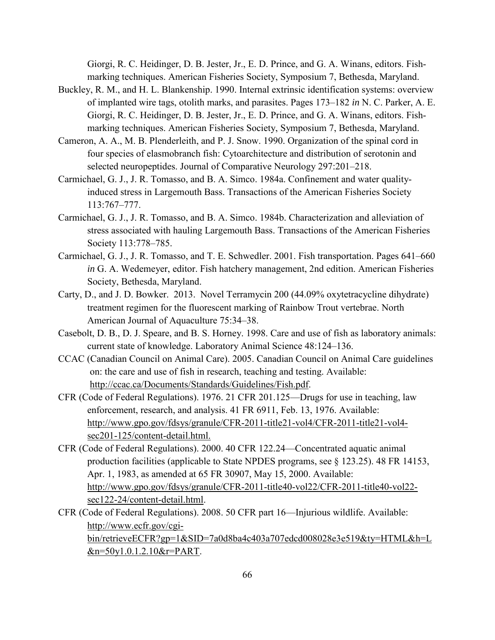Giorgi, R. C. Heidinger, D. B. Jester, Jr., E. D. Prince, and G. A. Winans, editors. Fishmarking techniques. American Fisheries Society, Symposium 7, Bethesda, Maryland.

- Buckley, R. M., and H. L. Blankenship. 1990. Internal extrinsic identification systems: overview of implanted wire tags, otolith marks, and parasites. Pages 173–182 *in* N. C. Parker, A. E. Giorgi, R. C. Heidinger, D. B. Jester, Jr., E. D. Prince, and G. A. Winans, editors. Fishmarking techniques. American Fisheries Society, Symposium 7, Bethesda, Maryland.
- Cameron, A. A., M. B. Plenderleith, and P. J. Snow. 1990. Organization of the spinal cord in four species of elasmobranch fish: Cytoarchitecture and distribution of serotonin and selected neuropeptides. Journal of Comparative Neurology 297:201–218.
- Carmichael, G. J., J. R. Tomasso, and B. A. Simco. 1984a. Confinement and water qualityinduced stress in Largemouth Bass. Transactions of the American Fisheries Society 113:767–777.
- Carmichael, G. J., J. R. Tomasso, and B. A. Simco. 1984b. Characterization and alleviation of stress associated with hauling Largemouth Bass. Transactions of the American Fisheries Society 113:778–785.
- Carmichael, G. J., J. R. Tomasso, and T. E. Schwedler. 2001. Fish transportation. Pages 641–660 *in* G. A. Wedemeyer, editor. Fish hatchery management, 2nd edition. American Fisheries Society, Bethesda, Maryland.
- Carty, D., and J. D. Bowker. 2013. Novel Terramycin 200 (44.09% oxytetracycline dihydrate) treatment regimen for the fluorescent marking of Rainbow Trout vertebrae. North American Journal of Aquaculture 75:34–38.
- Casebolt, D. B., D. J. Speare, and B. S. Horney. 1998. Care and use of fish as laboratory animals: current state of knowledge. Laboratory Animal Science 48:124–136.
- CCAC (Canadian Council on Animal Care). 2005. Canadian Council on Animal Care guidelines on: the care and use of fish in research, teaching and testing. Available: [http://ccac.ca/Documents/Standards/Guidelines/Fish.pdf.](http://ccac.ca/Documents/Standards/Guidelines/Fish.pdf)
- CFR (Code of Federal Regulations). 1976. 21 CFR 201.125—Drugs for use in teaching, law enforcement, research, and analysis. 41 FR 6911, Feb. 13, 1976. Available: [http://www.gpo.gov/fdsys/granule/CFR-2011-title21-vol4/CFR-2011-title21-vol4](http://www.gpo.gov/fdsys/granule/CFR-2011-title21-vol4/CFR-2011-title21-vol4-sec201-125/content-detail.html) [sec201-125/content-detail.html.](http://www.gpo.gov/fdsys/granule/CFR-2011-title21-vol4/CFR-2011-title21-vol4-sec201-125/content-detail.html)
- CFR (Code of Federal Regulations). 2000. 40 CFR 122.24—Concentrated aquatic animal production facilities (applicable to State NPDES programs, see § 123.25). 48 FR 14153, Apr. 1, 1983, as amended at 65 FR 30907, May 15, 2000. Available: [http://www.gpo.gov/fdsys/granule/CFR-2011-title40-vol22/CFR-2011-title40-vol22](http://www.gpo.gov/fdsys/granule/CFR-2011-title40-vol22/CFR-2011-title40-vol22-sec122-24/content-detail.html) [sec122-24/content-detail.html.](http://www.gpo.gov/fdsys/granule/CFR-2011-title40-vol22/CFR-2011-title40-vol22-sec122-24/content-detail.html)
- CFR (Code of Federal Regulations). 2008. 50 CFR part 16—Injurious wildlife. Available: [http://www.ecfr.gov/cgi](http://www.ecfr.gov/cgi-bin/retrieveECFR?gp=1&SID=7a0d8ba4c403a707edcd008028e3e519&ty=HTML&h=L&n=50y1.0.1.2.10&r=PART)[bin/retrieveECFR?gp=1&SID=7a0d8ba4c403a707edcd008028e3e519&ty=HTML&h=L](http://www.ecfr.gov/cgi-bin/retrieveECFR?gp=1&SID=7a0d8ba4c403a707edcd008028e3e519&ty=HTML&h=L&n=50y1.0.1.2.10&r=PART)  $&n=50y1.0.1.2.10&r=PART$ .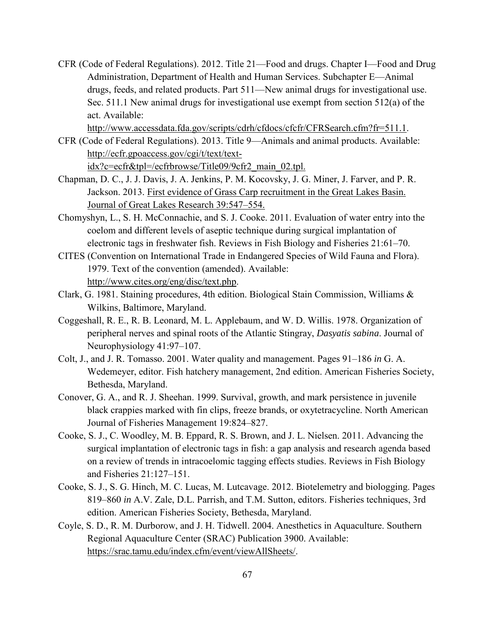CFR (Code of Federal Regulations). 2012. Title 21—Food and drugs. Chapter I—Food and Drug Administration, Department of Health and Human Services. Subchapter E—Animal drugs, feeds, and related products. Part 511—New animal drugs for investigational use. Sec. 511.1 New animal drugs for investigational use exempt from section 512(a) of the act. Available:

[http://www.accessdata.fda.gov/scripts/cdrh/cfdocs/cfcfr/CFRSearch.cfm?fr=511.1.](http://www.accessdata.fda.gov/scripts/cdrh/cfdocs/cfcfr/CFRSearch.cfm?fr=511.1)

CFR (Code of Federal Regulations). 2013. Title 9—Animals and animal products. Available: [http://ecfr.gpoaccess.gov/cgi/t/text/text-](http://ecfr.gpoaccess.gov/cgi/t/text/text-idx?c=ecfr&tpl=/ecfrbrowse/Title09/9cfr2_main_02.tpl)

[idx?c=ecfr&tpl=/ecfrbrowse/Title09/9cfr2\\_main\\_02.tpl.](http://ecfr.gpoaccess.gov/cgi/t/text/text-idx?c=ecfr&tpl=/ecfrbrowse/Title09/9cfr2_main_02.tpl)

- Chapman, D. C., J. J. Davis, J. A. Jenkins, P. M. Kocovsky, J. G. Miner, J. Farver, and P. R. Jackson. 2013. First evidence of Grass Carp recruitment in the Great Lakes Basin. Journal of Great Lakes Research 39:547–554.
- Chomyshyn, L., S. H. McConnachie, and S. J. Cooke. 2011. Evaluation of water entry into the coelom and different levels of aseptic technique during surgical implantation of electronic tags in freshwater fish. Reviews in Fish Biology and Fisheries 21:61–70.
- CITES (Convention on International Trade in Endangered Species of Wild Fauna and Flora). 1979. Text of the convention (amended). Available: [http://www.cites.org/eng/disc/text.php.](http://www.cites.org/eng/disc/text.php)
- Clark, G. 1981. Staining procedures, 4th edition. Biological Stain Commission, Williams & Wilkins, Baltimore, Maryland.
- Coggeshall, R. E., R. B. Leonard, M. L. Applebaum, and W. D. Willis. 1978. Organization of peripheral nerves and spinal roots of the Atlantic Stingray, *Dasyatis sabina*. Journal of Neurophysiology 41:97–107.
- Colt, J., and J. R. Tomasso. 2001. Water quality and management. Pages 91–186 *in* G. A. Wedemeyer, editor. Fish hatchery management, 2nd edition. American Fisheries Society, Bethesda, Maryland.
- Conover, G. A., and R. J. Sheehan. 1999. Survival, growth, and mark persistence in juvenile black crappies marked with fin clips, freeze brands, or oxytetracycline. North American Journal of Fisheries Management 19:824–827.
- Cooke, S. J., C. Woodley, M. B. Eppard, R. S. Brown, and J. L. Nielsen. 2011. Advancing the surgical implantation of electronic tags in fish: a gap analysis and research agenda based on a review of trends in intracoelomic tagging effects studies. Reviews in Fish Biology and Fisheries 21:127–151.
- Cooke, S. J., S. G. Hinch, M. C. Lucas, M. Lutcavage. 2012. Biotelemetry and biologging. Pages 819–860 *in* A.V. Zale, D.L. Parrish, and T.M. Sutton, editors. Fisheries techniques, 3rd edition. American Fisheries Society, Bethesda, Maryland.
- Coyle, S. D., R. M. Durborow, and J. H. Tidwell. 2004. Anesthetics in Aquaculture. Southern Regional Aquaculture Center (SRAC) Publication 3900. Available: [https://srac.tamu.edu/index.cfm/event/viewAllSheets/.](https://srac.tamu.edu/index.cfm/event/viewAllSheets/)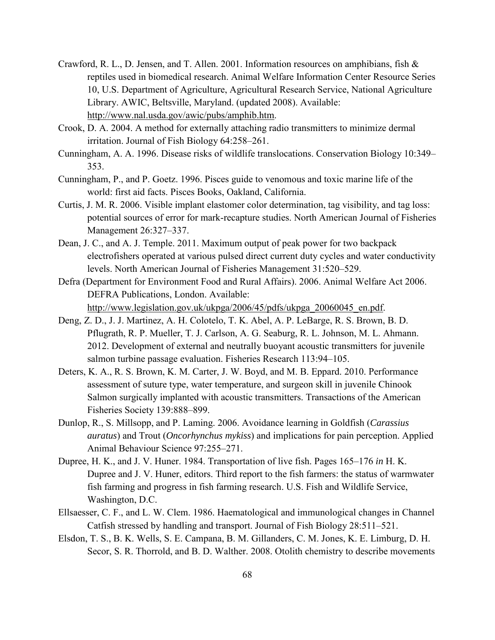- Crawford, R. L., D. Jensen, and T. Allen. 2001. Information resources on amphibians, fish & reptiles used in biomedical research. Animal Welfare Information Center Resource Series 10, U.S. Department of Agriculture, Agricultural Research Service, National Agriculture Library. AWIC, Beltsville, Maryland. (updated 2008). Available: [http://www.nal.usda.gov/awic/pubs/amphib.htm.](http://www.nal.usda.gov/awic/pubs/amphib.htm)
- Crook, D. A. 2004. A method for externally attaching radio transmitters to minimize dermal irritation. Journal of Fish Biology 64:258–261.
- Cunningham, A. A. 1996. Disease risks of wildlife translocations. Conservation Biology 10:349– 353.
- Cunningham, P., and P. Goetz. 1996. Pisces guide to venomous and toxic marine life of the world: first aid facts. Pisces Books, Oakland, California.
- Curtis, J. M. R. 2006. Visible implant elastomer color determination, tag visibility, and tag loss: potential sources of error for mark-recapture studies. North American Journal of Fisheries Management 26:327–337.
- Dean, J. C., and A. J. Temple. 2011. Maximum output of peak power for two backpack electrofishers operated at various pulsed direct current duty cycles and water conductivity levels. North American Journal of Fisheries Management 31:520–529.
- Defra (Department for Environment Food and Rural Affairs). 2006. Animal Welfare Act 2006. DEFRA Publications, London. Available: [http://www.legislation.gov.uk/ukpga/2006/45/pdfs/ukpga\\_20060045\\_en.pdf.](http://www.legislation.gov.uk/ukpga/2006/45/pdfs/ukpga_20060045_en.pdf)
- Deng, Z. D., J. J. Martinez, A. H. Colotelo, T. K. Abel, A. P. LeBarge, R. S. Brown, B. D. Pflugrath, R. P. Mueller, T. J. Carlson, A. G. Seaburg, R. L. Johnson, M. L. Ahmann. 2012. Development of external and neutrally buoyant acoustic transmitters for juvenile salmon turbine passage evaluation. Fisheries Research 113:94–105.
- Deters, K. A., R. S. Brown, K. M. Carter, J. W. Boyd, and M. B. Eppard. 2010. Performance assessment of suture type, water temperature, and surgeon skill in juvenile Chinook Salmon surgically implanted with acoustic transmitters. Transactions of the American Fisheries Society 139:888-899.
- Dunlop, R., S. Millsopp, and P. Laming. 2006. Avoidance learning in Goldfish (*Carassius auratus*) and Trout (*Oncorhynchus mykiss*) and implications for pain perception. Applied Animal Behaviour Science 97:255–271.
- Dupree, H. K., and J. V. Huner. 1984. Transportation of live fish. Pages 165–176 *in* H. K. Dupree and J. V. Huner, editors. Third report to the fish farmers: the status of warmwater fish farming and progress in fish farming research. U.S. Fish and Wildlife Service, Washington, D.C.
- Ellsaesser, C. F., and L. W. Clem. 1986. Haematological and immunological changes in Channel Catfish stressed by handling and transport. Journal of Fish Biology 28:511–521.
- Elsdon, T. S., B. K. Wells, S. E. Campana, B. M. Gillanders, C. M. Jones, K. E. Limburg, D. H. Secor, S. R. Thorrold, and B. D. Walther. 2008. Otolith chemistry to describe movements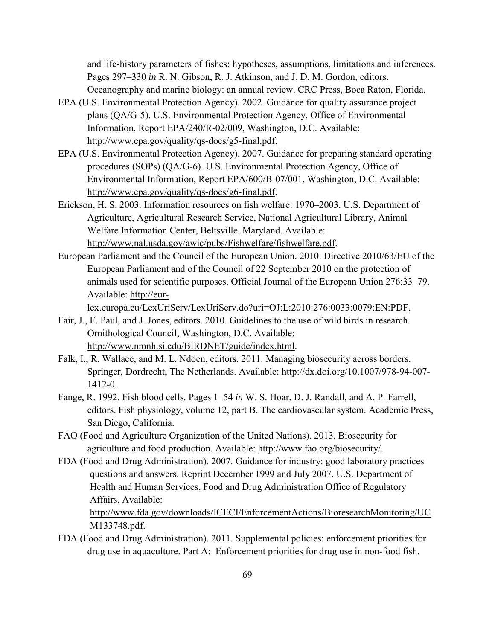and life-history parameters of fishes: hypotheses, assumptions, limitations and inferences. Pages 297–330 *in* R. N. Gibson, R. J. Atkinson, and J. D. M. Gordon, editors.

- Oceanography and marine biology: an annual review. CRC Press, Boca Raton, Florida. EPA (U.S. Environmental Protection Agency). 2002. Guidance for quality assurance project
- plans (QA/G-5). U.S. Environmental Protection Agency, Office of Environmental Information, Report EPA/240/R-02/009, Washington, D.C. Available: [http://www.epa.gov/quality/qs-docs/g5-final.pdf.](http://www.epa.gov/quality/qs-docs/g5-final.pdf)
- EPA (U.S. Environmental Protection Agency). 2007. Guidance for preparing standard operating procedures (SOPs) (QA/G-6). U.S. Environmental Protection Agency, Office of Environmental Information, Report EPA/600/B-07/001, Washington, D.C. Available: [http://www.epa.gov/quality/qs-docs/g6-final.pdf.](http://www.epa.gov/quality/qs-docs/g6-final.pdf)
- Erickson, H. S. 2003. Information resources on fish welfare: 1970–2003. U.S. Department of Agriculture, Agricultural Research Service, National Agricultural Library, Animal Welfare Information Center, Beltsville, Maryland. Available: [http://www.nal.usda.gov/awic/pubs/Fishwelfare/fishwelfare.pdf.](http://www.nal.usda.gov/awic/pubs/Fishwelfare/fishwelfare.pdf)
- European Parliament and the Council of the European Union. 2010. Directive 2010/63/EU of the European Parliament and of the Council of 22 September 2010 on the protection of animals used for scientific purposes. Official Journal of the European Union 276:33–79. Available: [http://eur-](http://eur-lex.europa.eu/LexUriServ/LexUriServ.do?uri=OJ:L:2010:276:0033:0079:EN:PDF)

[lex.europa.eu/LexUriServ/LexUriServ.do?uri=OJ:L:2010:276:0033:0079:EN:PDF.](http://eur-lex.europa.eu/LexUriServ/LexUriServ.do?uri=OJ:L:2010:276:0033:0079:EN:PDF)

- Fair, J., E. Paul, and J. Jones, editors. 2010. Guidelines to the use of wild birds in research. Ornithological Council, Washington, D.C. Available: [http://www.nmnh.si.edu/BIRDNET/guide/index.html.](http://www.nmnh.si.edu/BIRDNET/guide/index.html)
- Falk, I., R. Wallace, and M. L. Ndoen, editors. 2011. Managing biosecurity across borders. Springer, Dordrecht, The Netherlands. Available: [http://dx.doi.org/10.1007/978-94-007-](http://dx.doi.org/10.1007/978-94-007-1412-0) [1412-0.](http://dx.doi.org/10.1007/978-94-007-1412-0)
- Fange, R. 1992. Fish blood cells. Pages 1–54 *in* W. S. Hoar, D. J. Randall, and A. P. Farrell, editors. Fish physiology, volume 12, part B. The cardiovascular system. Academic Press, San Diego, California.
- FAO (Food and Agriculture Organization of the United Nations). 2013. Biosecurity for agriculture and food production. Available: [http://www.fao.org/biosecurity/.](http://www.fao.org/biosecurity/)
- FDA (Food and Drug Administration). 2007. Guidance for industry: good laboratory practices questions and answers. Reprint December 1999 and July 2007. U.S. Department of Health and Human Services, Food and Drug Administration Office of Regulatory Affairs. Available:

[http://www.fda.gov/downloads/ICECI/EnforcementActions/BioresearchMonitoring/UC](http://www.fda.gov/downloads/ICECI/EnforcementActions/BioresearchMonitoring/UCM133748.pdf) [M133748.pdf.](http://www.fda.gov/downloads/ICECI/EnforcementActions/BioresearchMonitoring/UCM133748.pdf)

FDA (Food and Drug Administration). 2011. Supplemental policies: enforcement priorities for drug use in aquaculture. Part A: Enforcement priorities for drug use in non-food fish.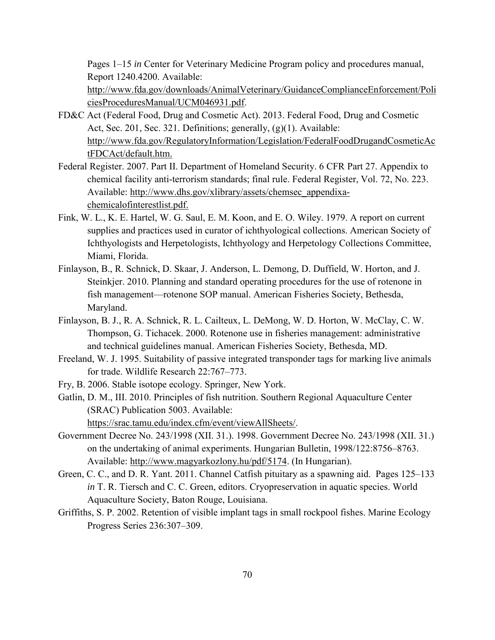Pages 1–15 *in* Center for Veterinary Medicine Program policy and procedures manual, Report 1240.4200. Available:

[http://www.fda.gov/downloads/AnimalVeterinary/GuidanceComplianceEnforcement/Poli](http://www.fda.gov/downloads/AnimalVeterinary/GuidanceComplianceEnforcement/PoliciesProceduresManual/UCM046931.pdf) [ciesProceduresManual/UCM046931.pdf.](http://www.fda.gov/downloads/AnimalVeterinary/GuidanceComplianceEnforcement/PoliciesProceduresManual/UCM046931.pdf)

- FD&C Act (Federal Food, Drug and Cosmetic Act). 2013. Federal Food, Drug and Cosmetic Act, Sec. 201, Sec. 321. Definitions; generally, (g)(1). Available: [http://www.fda.gov/RegulatoryInformation/Legislation/FederalFoodDrugandCosmeticAc](http://www.fda.gov/RegulatoryInformation/Legislation/FederalFoodDrugandCosmeticActFDCAct/default.htm) [tFDCAct/default.htm.](http://www.fda.gov/RegulatoryInformation/Legislation/FederalFoodDrugandCosmeticActFDCAct/default.htm)
- Federal Register. 2007. Part II. Department of Homeland Security. 6 CFR Part 27. Appendix to chemical facility anti-terrorism standards; final rule. Federal Register, Vol. 72, No. 223. Available: [http://www.dhs.gov/xlibrary/assets/chemsec\\_appendixa](http://www.dhs.gov/xlibrary/assets/chemsec_appendixa-chemicalofinterestlist.pdf)[chemicalofinterestlist.pdf.](http://www.dhs.gov/xlibrary/assets/chemsec_appendixa-chemicalofinterestlist.pdf)
- Fink, W. L., K. E. Hartel, W. G. Saul, E. M. Koon, and E. O. Wiley. 1979. A report on current supplies and practices used in curator of ichthyological collections. American Society of Ichthyologists and Herpetologists, Ichthyology and Herpetology Collections Committee, Miami, Florida.
- Finlayson, B., R. Schnick, D. Skaar, J. Anderson, L. Demong, D. Duffield, W. Horton, and J. Steinkjer. 2010. Planning and standard operating procedures for the use of rotenone in fish management—rotenone SOP manual. American Fisheries Society, Bethesda, Maryland.
- Finlayson, B. J., R. A. Schnick, R. L. Cailteux, L. DeMong, W. D. Horton, W. McClay, C. W. Thompson, G. Tichacek. 2000. Rotenone use in fisheries management: administrative and technical guidelines manual. American Fisheries Society, Bethesda, MD.
- Freeland, W. J. 1995. Suitability of passive integrated transponder tags for marking live animals for trade. Wildlife Research 22:767–773.
- Fry, B. 2006. Stable isotope ecology. Springer, New York.
- Gatlin, D. M., III. 2010. Principles of fish nutrition. Southern Regional Aquaculture Center (SRAC) Publication 5003. Available: [https://srac.tamu.edu/index.cfm/event/viewAllSheets/.](https://srac.tamu.edu/index.cfm/event/viewAllSheets/)
- Government Decree No. 243/1998 (XII. 31.). 1998. Government Decree No. 243/1998 (XII. 31.) on the undertaking of animal experiments. Hungarian Bulletin, 1998/122:8756–8763. Available: [http://www.magyarkozlony.hu/pdf/5174.](http://www.magyarkozlony.hu/pdf/5174) (In Hungarian).
- Green, C. C., and D. R. Yant. 2011. Channel Catfish pituitary as a spawning aid. Pages 125–133 *in* T. R. Tiersch and C. C. Green, editors. Cryopreservation in aquatic species. World Aquaculture Society, Baton Rouge, Louisiana.
- Griffiths, S. P. 2002. Retention of visible implant tags in small rockpool fishes. Marine Ecology Progress Series 236:307–309.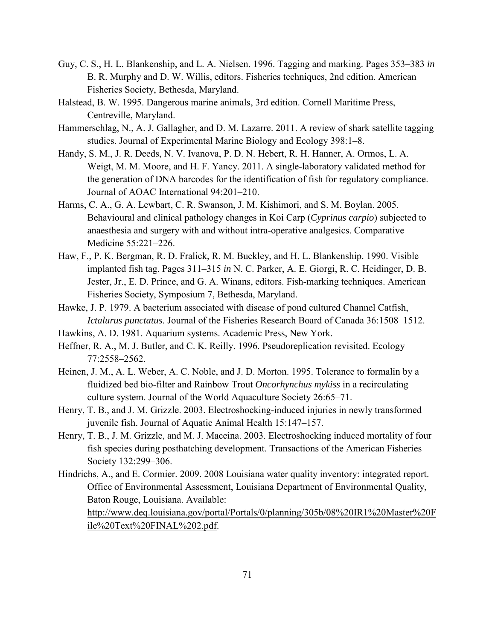- Guy, C. S., H. L. Blankenship, and L. A. Nielsen. 1996. Tagging and marking. Pages 353–383 *in* B. R. Murphy and D. W. Willis, editors. Fisheries techniques, 2nd edition. American Fisheries Society, Bethesda, Maryland.
- Halstead, B. W. 1995. Dangerous marine animals, 3rd edition. Cornell Maritime Press, Centreville, Maryland.
- Hammerschlag, N., A. J. Gallagher, and D. M. Lazarre. 2011. A review of shark satellite tagging studies. Journal of Experimental Marine Biology and Ecology 398:1–8.
- Handy, S. M., J. R. Deeds, N. V. Ivanova, P. D. N. Hebert, R. H. Hanner, A. Ormos, L. A. Weigt, M. M. Moore, and H. F. Yancy. 2011. A single-laboratory validated method for the generation of DNA barcodes for the identification of fish for regulatory compliance. Journal of AOAC International 94:201–210.
- Harms, C. A., G. A. Lewbart, C. R. Swanson, J. M. Kishimori, and S. M. Boylan. 2005. Behavioural and clinical pathology changes in Koi Carp (*Cyprinus carpio*) subjected to anaesthesia and surgery with and without intra-operative analgesics. Comparative Medicine 55:221–226.
- Haw, F., P. K. Bergman, R. D. Fralick, R. M. Buckley, and H. L. Blankenship. 1990. Visible implanted fish tag. Pages 311–315 *in* N. C. Parker, A. E. Giorgi, R. C. Heidinger, D. B. Jester, Jr., E. D. Prince, and G. A. Winans, editors. Fish-marking techniques. American Fisheries Society, Symposium 7, Bethesda, Maryland.
- Hawke, J. P. 1979. A bacterium associated with disease of pond cultured Channel Catfish, *Ictalurus punctatus*. Journal of the Fisheries Research Board of Canada 36:1508–1512.
- Hawkins, A. D. 1981. Aquarium systems. Academic Press, New York.
- Heffner, R. A., M. J. Butler, and C. K. Reilly. 1996. Pseudoreplication revisited. Ecology 77:2558–2562.
- Heinen, J. M., A. L. Weber, A. C. Noble, and J. D. Morton. 1995. Tolerance to formalin by a fluidized bed bio-filter and Rainbow Trout *Oncorhynchus mykiss* in a recirculating culture system. Journal of the World Aquaculture Society 26:65–71.
- Henry, T. B., and J. M. Grizzle. 2003. Electroshocking-induced injuries in newly transformed juvenile fish. Journal of Aquatic Animal Health 15:147–157.
- Henry, T. B., J. M. Grizzle, and M. J. Maceina. 2003. Electroshocking induced mortality of four fish species during posthatching development. Transactions of the American Fisheries Society 132:299–306.
- Hindrichs, A., and E. Cormier. 2009. 2008 Louisiana water quality inventory: integrated report. Office of Environmental Assessment, Louisiana Department of Environmental Quality, Baton Rouge, Louisiana. Available: [http://www.deq.louisiana.gov/portal/Portals/0/planning/305b/08%20IR1%20Master%20F](http://www.deq.louisiana.gov/portal/Portals/0/planning/305b/08%20IR1%20Master%20File%20Text%20FINAL%202.pdf) [ile%20Text%20FINAL%202.pdf.](http://www.deq.louisiana.gov/portal/Portals/0/planning/305b/08%20IR1%20Master%20File%20Text%20FINAL%202.pdf)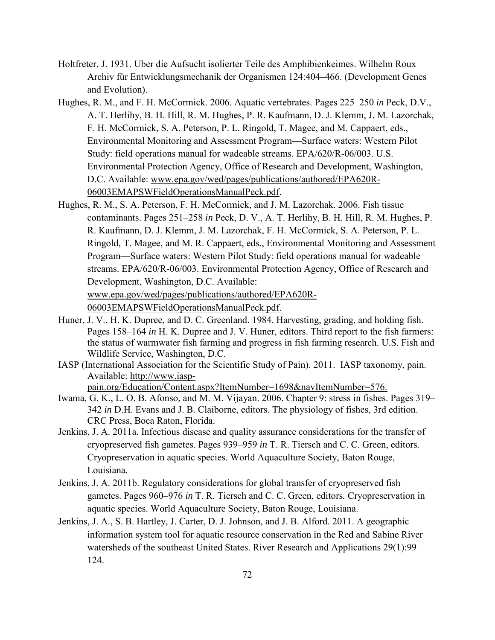- Holtfreter, J. 1931. Uber die Aufsucht isolierter Teile des Amphibienkeimes. Wilhelm Roux Archiv für Entwicklungsmechanik der Organismen 124:404–466. (Development Genes and Evolution).
- Hughes, R. M., and F. H. McCormick. 2006. Aquatic vertebrates. Pages 225–250 *in* Peck, D.V., A. T. Herlihy, B. H. Hill, R. M. Hughes, P. R. Kaufmann, D. J. Klemm, J. M. Lazorchak, F. H. McCormick, S. A. Peterson, P. L. Ringold, T. Magee, and M. Cappaert, eds., Environmental Monitoring and Assessment Program—Surface waters: Western Pilot Study: field operations manual for wadeable streams. EPA/620/R-06/003. U.S. Environmental Protection Agency, Office of Research and Development, Washington, D.C. Available: [www.epa.gov/wed/pages/publications/authored/EPA620R-](http://www.epa.gov/wed/pages/publications/authored/EPA620R-06003EMAPSWFieldOperationsManualPeck.pdf)[06003EMAPSWFieldOperationsManualPeck.pdf.](http://www.epa.gov/wed/pages/publications/authored/EPA620R-06003EMAPSWFieldOperationsManualPeck.pdf)
- Hughes, R. M., S. A. Peterson, F. H. McCormick, and J. M. Lazorchak. 2006. Fish tissue contaminants. Pages 251–258 *in* Peck, D. V., A. T. Herlihy, B. H. Hill, R. M. Hughes, P. R. Kaufmann, D. J. Klemm, J. M. Lazorchak, F. H. McCormick, S. A. Peterson, P. L. Ringold, T. Magee, and M. R. Cappaert, eds., Environmental Monitoring and Assessment Program—Surface waters: Western Pilot Study: field operations manual for wadeable streams. EPA/620/R-06/003. Environmental Protection Agency, Office of Research and Development, Washington, D.C. Available: [www.epa.gov/wed/pages/publications/authored/EPA620R-](http://www.epa.gov/wed/pages/publications/authored/EPA620R-06003EMAPSWFieldOperationsManualPeck.pdf)[06003EMAPSWFieldOperationsManualPeck.pdf.](http://www.epa.gov/wed/pages/publications/authored/EPA620R-06003EMAPSWFieldOperationsManualPeck.pdf)
- Huner, J. V., H. K. Dupree, and D. C. Greenland. 1984. Harvesting, grading, and holding fish. Pages 158–164 *in* H. K. Dupree and J. V. Huner, editors. Third report to the fish farmers: the status of warmwater fish farming and progress in fish farming research. U.S. Fish and Wildlife Service, Washington, D.C.
- IASP (International Association for the Scientific Study of Pain). 2011. IASP taxonomy, pain. Available: [http://www.iasp](http://www.iasp-pain.org/Education/Content.aspx?ItemNumber=1698&navItemNumber=576)
	- [pain.org/Education/Content.aspx?ItemNumber=1698&navItemNumber=576.](http://www.iasp-pain.org/Education/Content.aspx?ItemNumber=1698&navItemNumber=576)
- Iwama, G. K., L. O. B. Afonso, and M. M. Vijayan. 2006. Chapter 9: stress in fishes. Pages 319– 342 *in* D.H. Evans and J. B. Claiborne, editors. The physiology of fishes, 3rd edition. CRC Press, Boca Raton, Florida.
- Jenkins, J. A. 2011a. Infectious disease and quality assurance considerations for the transfer of cryopreserved fish gametes. Pages 939–959 *in* T. R. Tiersch and C. C. Green, editors*.*  Cryopreservation in aquatic species. World Aquaculture Society, Baton Rouge, Louisiana.
- Jenkins, J. A. 2011b. Regulatory considerations for global transfer of cryopreserved fish gametes. Pages 960–976 *in* T. R. Tiersch and C. C. Green, editors*.* Cryopreservation in aquatic species. World Aquaculture Society, Baton Rouge, Louisiana.
- Jenkins, J. A., S. B. Hartley, J. Carter, D. J. Johnson, and J. B. Alford. 2011. A geographic information system tool for aquatic resource conservation in the Red and Sabine River watersheds of the southeast United States. River Research and Applications 29(1):99– 124.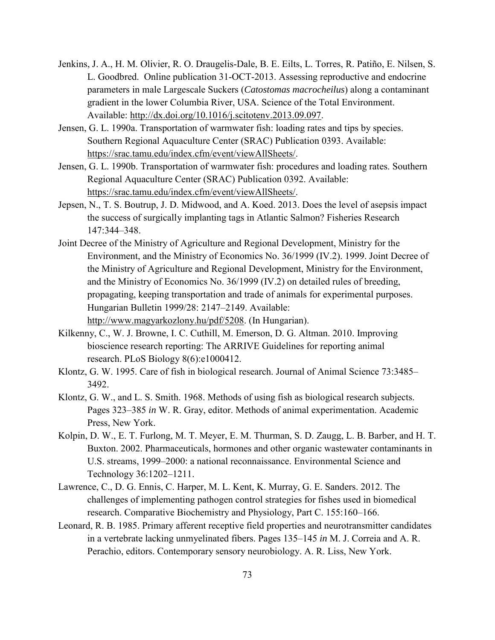- Jenkins, J. A., H. M. Olivier, R. O. Draugelis-Dale, B. E. Eilts, L. Torres, R. Patiño, E. Nilsen, S. L. Goodbred. Online publication 31-OCT-2013. Assessing reproductive and endocrine parameters in male Largescale Suckers (*Catostomas macrocheilus*) along a contaminant gradient in the lower Columbia River, USA. Science of the Total Environment. Available: [http://dx.doi.org/10.1016/j.scitotenv.2013.09.097.](http://dx.doi.org/10.1016/j.scitotenv.2013.09.097)
- Jensen, G. L. 1990a. Transportation of warmwater fish: loading rates and tips by species. Southern Regional Aquaculture Center (SRAC) Publication 0393. Available: [https://srac.tamu.edu/index.cfm/event/viewAllSheets/.](https://srac.tamu.edu/index.cfm/event/viewAllSheets/)
- Jensen, G. L. 1990b. Transportation of warmwater fish: procedures and loading rates. Southern Regional Aquaculture Center (SRAC) Publication 0392. Available: [https://srac.tamu.edu/index.cfm/event/viewAllSheets/.](https://srac.tamu.edu/index.cfm/event/viewAllSheets/)
- Jepsen, N., T. S. Boutrup, J. D. Midwood, and A. Koed. 2013. Does the level of asepsis impact the success of surgically implanting tags in Atlantic Salmon? Fisheries Research 147:344–348.
- Joint Decree of the Ministry of Agriculture and Regional Development, Ministry for the Environment, and the Ministry of Economics No. 36/1999 (IV.2). 1999. Joint Decree of the Ministry of Agriculture and Regional Development, Ministry for the Environment, and the Ministry of Economics No. 36/1999 (IV.2) on detailed rules of breeding, propagating, keeping transportation and trade of animals for experimental purposes. Hungarian Bulletin 1999/28: 2147–2149. Available: [http://www.magyarkozlony.hu/pdf/5208.](http://www.magyarkozlony.hu/pdf/5208) (In Hungarian).
- Kilkenny, C., W. J. Browne, I. C. Cuthill, M. Emerson, D. G. Altman. 2010. Improving bioscience research reporting: The ARRIVE Guidelines for reporting animal research. PLoS Biology 8(6):e1000412.
- Klontz, G. W. 1995. Care of fish in biological research. Journal of Animal Science 73:3485– 3492.
- Klontz, G. W., and L. S. Smith. 1968. Methods of using fish as biological research subjects. Pages 323–385 *in* W. R. Gray, editor. Methods of animal experimentation. Academic Press, New York.
- Kolpin, D. W., E. T. Furlong, M. T. Meyer, E. M. Thurman, S. D. Zaugg, L. B. Barber, and H. T. Buxton. 2002. Pharmaceuticals, hormones and other organic wastewater contaminants in U.S. streams, 1999–2000: a national reconnaissance. Environmental Science and Technology 36:1202–1211.
- Lawrence, C., D. G. Ennis, C. Harper, M. L. Kent, K. Murray, G. E. Sanders. 2012. The challenges of implementing pathogen control strategies for fishes used in biomedical research. Comparative Biochemistry and Physiology, Part C. 155:160–166.
- Leonard, R. B. 1985. Primary afferent receptive field properties and neurotransmitter candidates in a vertebrate lacking unmyelinated fibers. Pages 135–145 *in* M. J. Correia and A. R. Perachio, editors. Contemporary sensory neurobiology. A. R. Liss, New York.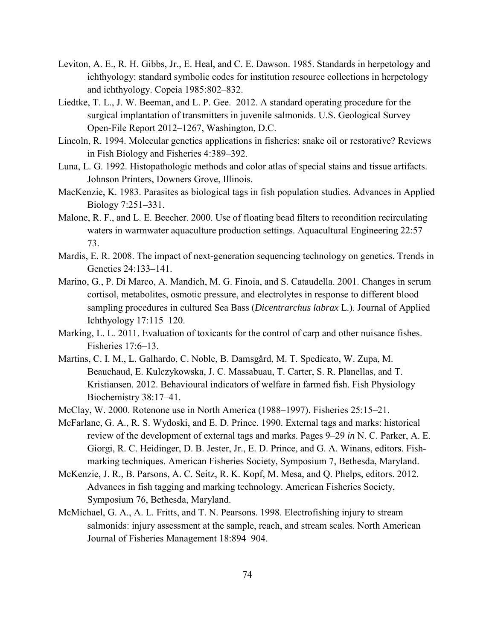- Leviton, A. E., R. H. Gibbs, Jr., E. Heal, and C. E. Dawson. 1985. Standards in herpetology and ichthyology: standard symbolic codes for institution resource collections in herpetology and ichthyology. Copeia 1985:802–832.
- Liedtke, T. L., J. W. Beeman, and L. P. Gee. 2012. A standard operating procedure for the surgical implantation of transmitters in juvenile salmonids. U.S. Geological Survey Open-File Report 2012–1267, Washington, D.C.
- Lincoln, R. 1994. Molecular genetics applications in fisheries: snake oil or restorative? Reviews in Fish Biology and Fisheries 4:389–392.
- Luna, L. G. 1992. Histopathologic methods and color atlas of special stains and tissue artifacts. Johnson Printers, Downers Grove, Illinois.
- MacKenzie, K. 1983. Parasites as biological tags in fish population studies. Advances in Applied Biology 7:251–331.
- Malone, R. F., and L. E. Beecher. 2000. Use of floating bead filters to recondition recirculating waters in warmwater aquaculture production settings. Aquacultural Engineering 22:57– 73.
- Mardis, E. R. 2008. The impact of next-generation sequencing technology on genetics. Trends in Genetics 24:133–141.
- Marino, G., P. Di Marco, A. Mandich, M. G. Finoia, and S. Cataudella. 2001. Changes in serum cortisol, metabolites, osmotic pressure, and electrolytes in response to different blood sampling procedures in cultured Sea Bass (*Dicentrarchus labrax* L.). Journal of Applied Ichthyology 17:115–120.
- Marking, L. L. 2011. Evaluation of toxicants for the control of carp and other nuisance fishes. Fisheries 17:6–13.
- Martins, C. I. M., L. Galhardo, C. Noble, B. Damsgård, M. T. Spedicato, W. Zupa, M. Beauchaud, E. Kulczykowska, J. C. Massabuau, T. Carter, S. R. Planellas, and T. Kristiansen. 2012. Behavioural indicators of welfare in farmed fish. Fish Physiology Biochemistry 38:17–41.
- McClay, W. 2000. Rotenone use in North America (1988–1997). Fisheries 25:15–21.
- McFarlane, G. A., R. S. Wydoski, and E. D. Prince. 1990. External tags and marks: historical review of the development of external tags and marks. Pages 9–29 *in* N. C. Parker, A. E. Giorgi, R. C. Heidinger, D. B. Jester, Jr., E. D. Prince, and G. A. Winans, editors. Fishmarking techniques. American Fisheries Society, Symposium 7, Bethesda, Maryland.
- McKenzie, J. R., B. Parsons, A. C. Seitz, R. K. Kopf, M. Mesa, and Q. Phelps, editors. 2012. Advances in fish tagging and marking technology. American Fisheries Society, Symposium 76, Bethesda, Maryland.
- McMichael, G. A., A. L. Fritts, and T. N. Pearsons. 1998. Electrofishing injury to stream salmonids: injury assessment at the sample, reach, and stream scales. North American Journal of Fisheries Management 18:894–904.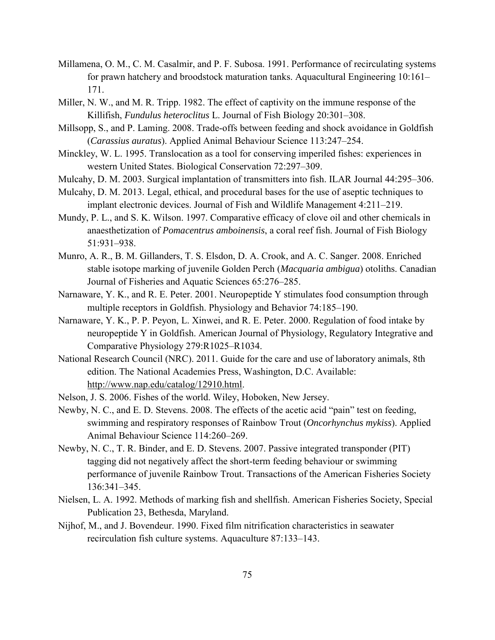- Millamena, O. M., C. M. Casalmir, and P. F. Subosa. 1991. Performance of recirculating systems for prawn hatchery and broodstock maturation tanks. Aquacultural Engineering 10:161– 171.
- Miller, N. W., and M. R. Tripp. 1982. The effect of captivity on the immune response of the Killifish, *Fundulus heteroclitus* L. Journal of Fish Biology 20:301–308.
- Millsopp, S., and P. Laming. 2008. Trade-offs between feeding and shock avoidance in Goldfish (*Carassius auratus*). Applied Animal Behaviour Science 113:247–254.
- Minckley, W. L. 1995. Translocation as a tool for conserving imperiled fishes: experiences in western United States. Biological Conservation 72:297–309.
- Mulcahy, D. M. 2003. Surgical implantation of transmitters into fish. ILAR Journal 44:295–306.
- Mulcahy, D. M. 2013. Legal, ethical, and procedural bases for the use of aseptic techniques to implant electronic devices. Journal of Fish and Wildlife Management 4:211–219.
- Mundy, P. L., and S. K. Wilson. 1997. Comparative efficacy of clove oil and other chemicals in anaesthetization of *Pomacentrus amboinensis*, a coral reef fish. Journal of Fish Biology 51:931–938.
- Munro, A. R., B. M. Gillanders, T. S. Elsdon, D. A. Crook, and A. C. Sanger. 2008. Enriched stable isotope marking of juvenile Golden Perch (*Macquaria ambigua*) otoliths. Canadian Journal of Fisheries and Aquatic Sciences 65:276–285.
- Narnaware, Y. K., and R. E. Peter. 2001. Neuropeptide Y stimulates food consumption through multiple receptors in Goldfish. Physiology and Behavior 74:185–190.
- Narnaware, Y. K., P. P. Peyon, L. Xinwei, and R. E. Peter. 2000. Regulation of food intake by neuropeptide Y in Goldfish. American Journal of Physiology, Regulatory Integrative and Comparative Physiology 279:R1025–R1034.
- National Research Council (NRC). 2011. Guide for the care and use of laboratory animals, 8th edition. The National Academies Press, Washington, D.C. Available: [http://www.nap.edu/catalog/12910.html.](http://www.nap.edu/catalog/12910.html)
- Nelson, J. S. 2006. Fishes of the world. Wiley, Hoboken, New Jersey.
- Newby, N. C., and E. D. Stevens. 2008. The effects of the acetic acid "pain" test on feeding, swimming and respiratory responses of Rainbow Trout (*Oncorhynchus mykiss*). Applied Animal Behaviour Science 114:260–269.
- Newby, N. C., T. R. Binder, and E. D. Stevens. 2007. Passive integrated transponder (PIT) tagging did not negatively affect the short-term feeding behaviour or swimming performance of juvenile Rainbow Trout. Transactions of the American Fisheries Society 136:341–345.
- Nielsen, L. A. 1992. Methods of marking fish and shellfish. American Fisheries Society, Special Publication 23, Bethesda, Maryland.
- Nijhof, M., and J. Bovendeur. 1990. Fixed film nitrification characteristics in seawater recirculation fish culture systems. Aquaculture 87:133–143.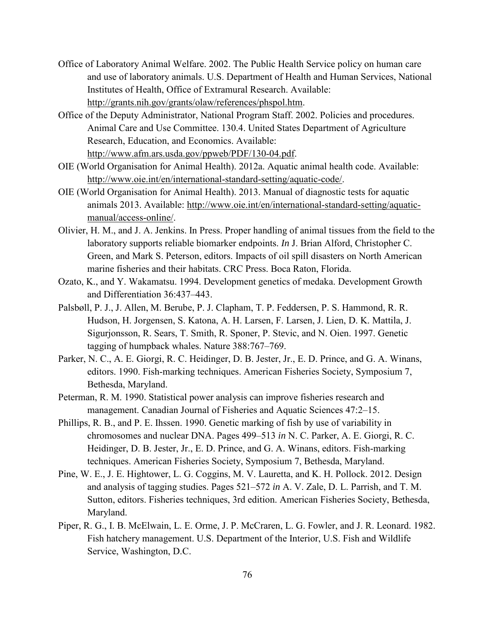- Office of Laboratory Animal Welfare. 2002. The Public Health Service policy on human care and use of laboratory animals. U.S. Department of Health and Human Services, National Institutes of Health, Office of Extramural Research. Available: [http://grants.nih.gov/grants/olaw/references/phspol.htm.](http://grants.nih.gov/grants/olaw/references/phspol.htm)
- Office of the Deputy Administrator, National Program Staff. 2002. Policies and procedures. Animal Care and Use Committee. 130.4. United States Department of Agriculture Research, Education, and Economics. Available: [http://www.afm.ars.usda.gov/ppweb/PDF/130-04.pdf.](http://www.afm.ars.usda.gov/ppweb/PDF/130-04.pdf)
- OIE (World Organisation for Animal Health). 2012a. Aquatic animal health code. Available: [http://www.oie.int/en/international-standard-setting/aquatic-code/.](http://www.oie.int/en/international-standard-setting/aquatic-code/)
- OIE (World Organisation for Animal Health). 2013. Manual of diagnostic tests for aquatic animals 2013. Available: [http://www.oie.int/en/international-standard-setting/aquatic](http://www.oie.int/en/international-standard-setting/aquatic-manual/access-online/)[manual/access-online/.](http://www.oie.int/en/international-standard-setting/aquatic-manual/access-online/)
- Olivier, H. M., and J. A. Jenkins. In Press. Proper handling of animal tissues from the field to the laboratory supports reliable biomarker endpoints. *In* J. Brian Alford, Christopher C. Green, and Mark S. Peterson, editors. Impacts of oil spill disasters on North American marine fisheries and their habitats. CRC Press. Boca Raton, Florida.
- Ozato, K., and Y. Wakamatsu. 1994. Development genetics of medaka. Development Growth and Differentiation 36:437–443.
- Palsbøll, P. J., J. Allen, M. Berube, P. J. Clapham, T. P. Feddersen, P. S. Hammond, R. R. Hudson, H. Jorgensen, S. Katona, A. H. Larsen, F. Larsen, J. Lien, D. K. Mattila, J. Sigurjonsson, R. Sears, T. Smith, R. Sponer, P. Stevic, and N. Oien. 1997. Genetic tagging of humpback whales. Nature 388:767–769.
- Parker, N. C., A. E. Giorgi, R. C. Heidinger, D. B. Jester, Jr., E. D. Prince, and G. A. Winans, editors. 1990. Fish-marking techniques. American Fisheries Society, Symposium 7, Bethesda, Maryland.
- Peterman, R. M. 1990. Statistical power analysis can improve fisheries research and management. Canadian Journal of Fisheries and Aquatic Sciences 47:2–15.
- Phillips, R. B., and P. E. Ihssen. 1990. Genetic marking of fish by use of variability in chromosomes and nuclear DNA. Pages 499–513 *in* N. C. Parker, A. E. Giorgi, R. C. Heidinger, D. B. Jester, Jr., E. D. Prince, and G. A. Winans, editors. Fish-marking techniques. American Fisheries Society, Symposium 7, Bethesda, Maryland.
- Pine, W. E., J. E. Hightower, L. G. Coggins, M. V. Lauretta, and K. H. Pollock. 2012. Design and analysis of tagging studies. Pages 521–572 *in* A. V. Zale, D. L. Parrish, and T. M. Sutton, editors. Fisheries techniques, 3rd edition. American Fisheries Society, Bethesda, Maryland.
- Piper, R. G., I. B. McElwain, L. E. Orme, J. P. McCraren, L. G. Fowler, and J. R. Leonard. 1982. Fish hatchery management. U.S. Department of the Interior, U.S. Fish and Wildlife Service, Washington, D.C.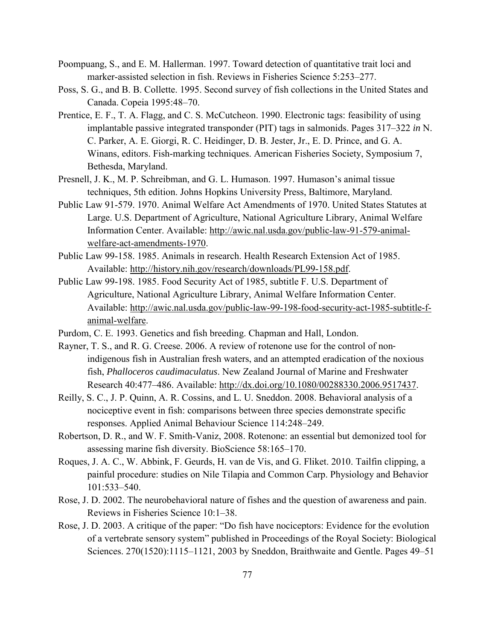- Poompuang, S., and E. M. Hallerman. 1997. Toward detection of quantitative trait loci and marker-assisted selection in fish. Reviews in Fisheries Science 5:253–277.
- Poss, S. G., and B. B. Collette. 1995. Second survey of fish collections in the United States and Canada. Copeia 1995:48–70.
- Prentice, E. F., T. A. Flagg, and C. S. McCutcheon. 1990. Electronic tags: feasibility of using implantable passive integrated transponder (PIT) tags in salmonids. Pages 317–322 *in* N. C. Parker, A. E. Giorgi, R. C. Heidinger, D. B. Jester, Jr., E. D. Prince, and G. A. Winans, editors. Fish-marking techniques. American Fisheries Society, Symposium 7, Bethesda, Maryland.
- Presnell, J. K., M. P. Schreibman, and G. L. Humason. 1997. Humason's animal tissue techniques, 5th edition. Johns Hopkins University Press, Baltimore, Maryland.
- Public Law 91-579. 1970. Animal Welfare Act Amendments of 1970. United States Statutes at Large. U.S. Department of Agriculture, National Agriculture Library, Animal Welfare Information Center. Available: [http://awic.nal.usda.gov/public-law-91-579-animal](http://awic.nal.usda.gov/public-law-91-579-animal-welfare-act-amendments-1970)[welfare-act-amendments-1970.](http://awic.nal.usda.gov/public-law-91-579-animal-welfare-act-amendments-1970)
- Public Law 99-158. 1985. Animals in research. Health Research Extension Act of 1985. Available: [http://history.nih.gov/research/downloads/PL99-158.pdf.](http://history.nih.gov/research/downloads/PL99-158.pdf)
- Public Law 99-198. 1985. Food Security Act of 1985, subtitle F. U.S. Department of Agriculture, National Agriculture Library, Animal Welfare Information Center. Available: [http://awic.nal.usda.gov/public-law-99-198-food-security-act-1985-subtitle-f](http://awic.nal.usda.gov/public-law-99-198-food-security-act-1985-subtitle-f-animal-welfare)[animal-welfare.](http://awic.nal.usda.gov/public-law-99-198-food-security-act-1985-subtitle-f-animal-welfare)
- Purdom, C. E. 1993. Genetics and fish breeding. Chapman and Hall, London.
- Rayner, T. S., and R. G. Creese. 2006. A review of rotenone use for the control of nonindigenous fish in Australian fresh waters, and an attempted eradication of the noxious fish, *Phalloceros caudimaculatus*. New Zealand Journal of Marine and Freshwater Research 40:477–486. Available: [http://dx.doi.org/10.1080/00288330.2006.9517437.](http://dx.doi.org/10.1080/00288330.2006.9517437)
- Reilly, S. C., J. P. Quinn, A. R. Cossins, and L. U. Sneddon. 2008. Behavioral analysis of a nociceptive event in fish: comparisons between three species demonstrate specific responses. Applied Animal Behaviour Science 114:248–249.
- Robertson, D. R., and W. F. Smith-Vaniz, 2008. Rotenone: an essential but demonized tool for assessing marine fish diversity. BioScience 58:165–170.
- Roques, J. A. C., W. Abbink, F. Geurds, H. van de Vis, and G. Fliket. 2010. Tailfin clipping, a painful procedure: studies on Nile Tilapia and Common Carp. Physiology and Behavior 101:533–540.
- Rose, J. D. 2002. The neurobehavioral nature of fishes and the question of awareness and pain. Reviews in Fisheries Science 10:1–38.
- Rose, J. D. 2003. A critique of the paper: "Do fish have nociceptors: Evidence for the evolution of a vertebrate sensory system" published in Proceedings of the Royal Society: Biological Sciences. 270(1520):1115–1121, 2003 by Sneddon, Braithwaite and Gentle. Pages 49–51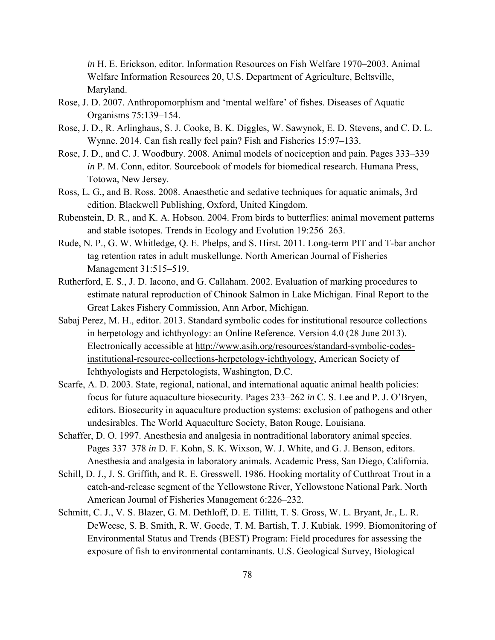*in* H. E. Erickson, editor. Information Resources on Fish Welfare 1970–2003. Animal Welfare Information Resources 20, U.S. Department of Agriculture, Beltsville, Maryland.

- Rose, J. D. 2007. Anthropomorphism and 'mental welfare' of fishes. Diseases of Aquatic Organisms 75:139–154.
- Rose, J. D., R. Arlinghaus, S. J. Cooke, B. K. Diggles, W. Sawynok, E. D. Stevens, and C. D. L. Wynne. 2014. Can fish really feel pain? Fish and Fisheries 15:97–133.
- Rose, J. D., and C. J. Woodbury. 2008. Animal models of nociception and pain. Pages 333–339 *in* P. M. Conn, editor. Sourcebook of models for biomedical research. Humana Press, Totowa, New Jersey.
- Ross, L. G., and B. Ross. 2008. Anaesthetic and sedative techniques for aquatic animals, 3rd edition. Blackwell Publishing, Oxford, United Kingdom.
- Rubenstein, D. R., and K. A. Hobson. 2004. From birds to butterflies: animal movement patterns and stable isotopes. Trends in Ecology and Evolution 19:256–263.
- Rude, N. P., G. W. Whitledge, Q. E. Phelps, and S. Hirst. 2011. Long-term PIT and T-bar anchor tag retention rates in adult muskellunge. North American Journal of Fisheries Management 31:515–519.
- Rutherford, E. S., J. D. Iacono, and G. Callaham. 2002. Evaluation of marking procedures to estimate natural reproduction of Chinook Salmon in Lake Michigan. Final Report to the Great Lakes Fishery Commission, Ann Arbor, Michigan.
- Sabaj Perez, M. H., editor. 2013. Standard symbolic codes for institutional resource collections in herpetology and ichthyology: an Online Reference. Version 4.0 (28 June 2013). Electronically accessible at [http://www.asih.org/resources/standard-symbolic-codes](http://www.asih.org/resources/standard-symbolic-codes-institutional-resource-collections-herpetology-ichthyology)[institutional-resource-collections-herpetology-ichthyology,](http://www.asih.org/resources/standard-symbolic-codes-institutional-resource-collections-herpetology-ichthyology) American Society of Ichthyologists and Herpetologists, Washington, D.C.
- Scarfe, A. D. 2003. State, regional, national, and international aquatic animal health policies: focus for future aquaculture biosecurity. Pages 233–262 *in* C. S. Lee and P. J. O'Bryen, editors. Biosecurity in aquaculture production systems: exclusion of pathogens and other undesirables. The World Aquaculture Society, Baton Rouge, Louisiana.
- Schaffer, D. O. 1997. Anesthesia and analgesia in nontraditional laboratory animal species. Pages 337–378 *in* D. F. Kohn, S. K. Wixson, W. J. White, and G. J. Benson, editors. Anesthesia and analgesia in laboratory animals. Academic Press, San Diego, California.
- Schill, D. J., J. S. Griffith, and R. E. Gresswell. 1986. Hooking mortality of Cutthroat Trout in a catch-and-release segment of the Yellowstone River, Yellowstone National Park. North American Journal of Fisheries Management 6:226–232.
- Schmitt, C. J., V. S. Blazer, G. M. Dethloff, D. E. Tillitt, T. S. Gross, W. L. Bryant, Jr., L. R. DeWeese, S. B. Smith, R. W. Goede, T. M. Bartish, T. J. Kubiak. 1999. Biomonitoring of Environmental Status and Trends (BEST) Program: Field procedures for assessing the exposure of fish to environmental contaminants. U.S. Geological Survey, Biological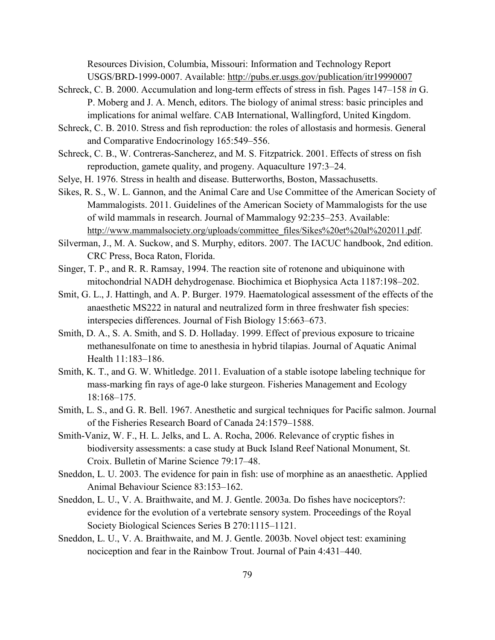Resources Division, Columbia, Missouri: Information and Technology Report USGS/BRD-1999-0007. Available:<http://pubs.er.usgs.gov/publication/itr19990007>

- Schreck, C. B. 2000. Accumulation and long-term effects of stress in fish. Pages 147–158 *in* G. P. Moberg and J. A. Mench, editors. The biology of animal stress: basic principles and implications for animal welfare. CAB International, Wallingford, United Kingdom.
- Schreck, C. B. 2010. Stress and fish reproduction: the roles of allostasis and hormesis. General and Comparative Endocrinology 165:549–556.
- Schreck, C. B., W. Contreras-Sancherez, and M. S. Fitzpatrick. 2001. Effects of stress on fish reproduction, gamete quality, and progeny. Aquaculture 197:3–24.
- Selye, H. 1976. Stress in health and disease. Butterworths, Boston, Massachusetts.
- Sikes, R. S., W. L. Gannon, and the Animal Care and Use Committee of the American Society of Mammalogists. 2011. Guidelines of the American Society of Mammalogists for the use of wild mammals in research. Journal of Mammalogy 92:235–253. Available: [http://www.mammalsociety.org/uploads/committee\\_files/Sikes%20et%20al%202011.pdf.](http://www.mammalsociety.org/uploads/committee_files/Sikes%20et%20al%202011.pdf)
- Silverman, J., M. A. Suckow, and S. Murphy, editors. 2007. The IACUC handbook, 2nd edition. CRC Press, Boca Raton, Florida.
- Singer, T. P., and R. R. Ramsay, 1994. The reaction site of rotenone and ubiquinone with mitochondrial NADH dehydrogenase. Biochimica et Biophysica Acta 1187:198–202.
- Smit, G. L., J. Hattingh, and A. P. Burger. 1979. Haematological assessment of the effects of the anaesthetic MS222 in natural and neutralized form in three freshwater fish species: interspecies differences. Journal of Fish Biology 15:663–673.
- Smith, D. A., S. A. Smith, and S. D. Holladay. 1999. Effect of previous exposure to tricaine methanesulfonate on time to anesthesia in hybrid tilapias. Journal of Aquatic Animal Health 11:183–186.
- Smith, K. T., and G. W. Whitledge. 2011. Evaluation of a stable isotope labeling technique for mass-marking fin rays of age-0 lake sturgeon. Fisheries Management and Ecology 18:168–175.
- Smith, L. S., and G. R. Bell. 1967. Anesthetic and surgical techniques for Pacific salmon. Journal of the Fisheries Research Board of Canada 24:1579–1588.
- Smith-Vaniz, W. F., H. L. Jelks, and L. A. Rocha, 2006. Relevance of cryptic fishes in biodiversity assessments: a case study at Buck Island Reef National Monument, St. Croix. Bulletin of Marine Science 79:17–48.
- Sneddon, L. U. 2003. The evidence for pain in fish: use of morphine as an anaesthetic*.* Applied Animal Behaviour Science 83:153–162.
- Sneddon, L. U., V. A. Braithwaite, and M. J. Gentle. 2003a. Do fishes have nociceptors?: evidence for the evolution of a vertebrate sensory system. Proceedings of the Royal Society Biological Sciences Series B 270:1115–1121.
- Sneddon, L. U., V. A. Braithwaite, and M. J. Gentle. 2003b. Novel object test: examining nociception and fear in the Rainbow Trout. Journal of Pain 4:431–440.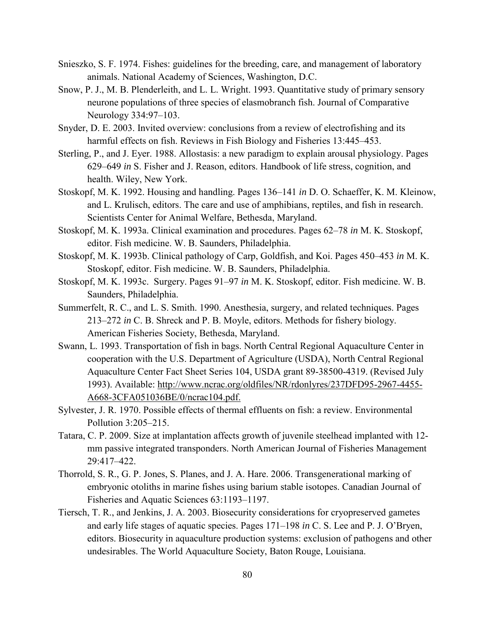- Snieszko, S. F. 1974. Fishes: guidelines for the breeding, care, and management of laboratory animals. National Academy of Sciences, Washington, D.C.
- Snow, P. J., M. B. Plenderleith, and L. L. Wright. 1993. Quantitative study of primary sensory neurone populations of three species of elasmobranch fish. Journal of Comparative Neurology 334:97–103.
- Snyder, D. E. 2003. Invited overview: conclusions from a review of electrofishing and its harmful effects on fish. Reviews in Fish Biology and Fisheries 13:445–453.
- Sterling, P., and J. Eyer. 1988. Allostasis: a new paradigm to explain arousal physiology. Pages 629–649 *in* S. Fisher and J. Reason, editors. Handbook of life stress, cognition, and health. Wiley, New York.
- Stoskopf, M. K. 1992. Housing and handling. Pages 136–141 *in* D. O. Schaeffer, K. M. Kleinow, and L. Krulisch, editors. The care and use of amphibians, reptiles, and fish in research. Scientists Center for Animal Welfare, Bethesda, Maryland.
- Stoskopf, M. K. 1993a. Clinical examination and procedures. Pages 62–78 *in* M. K. Stoskopf, editor. Fish medicine. W. B. Saunders, Philadelphia.
- Stoskopf, M. K. 1993b. Clinical pathology of Carp, Goldfish, and Koi. Pages 450–453 *in* M. K. Stoskopf, editor. Fish medicine. W. B. Saunders, Philadelphia.
- Stoskopf, M. K. 1993c. Surgery. Pages 91–97 *in* M. K. Stoskopf, editor. Fish medicine. W. B. Saunders, Philadelphia.
- Summerfelt, R. C., and L. S. Smith. 1990. Anesthesia, surgery, and related techniques. Pages 213–272 *in* C. B. Shreck and P. B. Moyle, editors. Methods for fishery biology. American Fisheries Society, Bethesda, Maryland.
- Swann, L. 1993. Transportation of fish in bags. North Central Regional Aquaculture Center in cooperation with the U.S. Department of Agriculture (USDA), North Central Regional Aquaculture Center Fact Sheet Series 104, USDA grant 89-38500-4319. (Revised July 1993). Available: [http://www.ncrac.org/oldfiles/NR/rdonlyres/237DFD95-2967-4455-](http://www.ncrac.org/oldfiles/NR/rdonlyres/237DFD95-2967-4455-A668-3CFA051036BE/0/ncrac104.pdf) [A668-3CFA051036BE/0/ncrac104.pdf.](http://www.ncrac.org/oldfiles/NR/rdonlyres/237DFD95-2967-4455-A668-3CFA051036BE/0/ncrac104.pdf)
- Sylvester, J. R. 1970. Possible effects of thermal effluents on fish: a review. Environmental Pollution 3:205–215.
- Tatara, C. P. 2009. Size at implantation affects growth of juvenile steelhead implanted with 12 mm passive integrated transponders. North American Journal of Fisheries Management 29:417–422.
- Thorrold, S. R., G. P. Jones, S. Planes, and J. A. Hare. 2006. Transgenerational marking of embryonic otoliths in marine fishes using barium stable isotopes. Canadian Journal of Fisheries and Aquatic Sciences 63:1193–1197.
- Tiersch, T. R., and Jenkins, J. A. 2003. Biosecurity considerations for cryopreserved gametes and early life stages of aquatic species. Pages 171–198 *in* C. S. Lee and P. J. O'Bryen, editors. Biosecurity in aquaculture production systems: exclusion of pathogens and other undesirables. The World Aquaculture Society, Baton Rouge, Louisiana.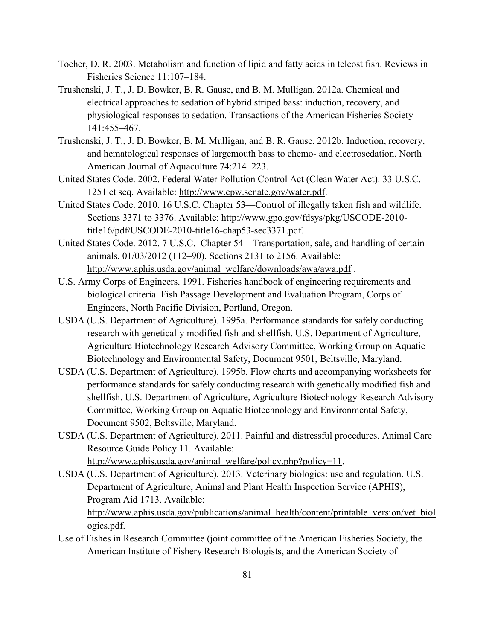- Tocher, D. R. 2003. Metabolism and function of lipid and fatty acids in teleost fish. Reviews in Fisheries Science 11:107–184.
- Trushenski, J. T., J. D. Bowker, B. R. Gause, and B. M. Mulligan. 2012a. Chemical and electrical approaches to sedation of hybrid striped bass: induction, recovery, and physiological responses to sedation. Transactions of the American Fisheries Society 141:455–467.
- Trushenski, J. T., J. D. Bowker, B. M. Mulligan, and B. R. Gause. 2012b. Induction, recovery, and hematological responses of largemouth bass to chemo- and electrosedation. North American Journal of Aquaculture 74:214–223.
- United States Code. 2002. Federal Water Pollution Control Act (Clean Water Act). 33 U.S.C. 1251 et seq. Available: [http://www.epw.senate.gov/water.pdf.](http://www.epw.senate.gov/water.pdf)
- United States Code. 2010. 16 U.S.C. Chapter 53—Control of illegally taken fish and wildlife. Sections 3371 to 3376. Available: [http://www.gpo.gov/fdsys/pkg/USCODE-2010](http://www.gpo.gov/fdsys/pkg/USCODE-2010-title16/pdf/USCODE-2010-title16-chap53-sec3371.pdf) [title16/pdf/USCODE-2010-title16-chap53-sec3371.pdf.](http://www.gpo.gov/fdsys/pkg/USCODE-2010-title16/pdf/USCODE-2010-title16-chap53-sec3371.pdf)
- United States Code. 2012. 7 U.S.C. Chapter 54—Transportation, sale, and handling of certain animals. 01/03/2012 (112–90). Sections 2131 to 2156. Available: [http://www.aphis.usda.gov/animal\\_welfare/downloads/awa/awa.pdf](http://www.aphis.usda.gov/animal_welfare/downloads/awa/awa.pdf) .
- U.S. Army Corps of Engineers. 1991. Fisheries handbook of engineering requirements and biological criteria. Fish Passage Development and Evaluation Program, Corps of Engineers, North Pacific Division, Portland, Oregon.
- USDA (U.S. Department of Agriculture). 1995a. Performance standards for safely conducting research with genetically modified fish and shellfish. U.S. Department of Agriculture, Agriculture Biotechnology Research Advisory Committee, Working Group on Aquatic Biotechnology and Environmental Safety, Document 9501, Beltsville, Maryland.
- USDA (U.S. Department of Agriculture). 1995b. Flow charts and accompanying worksheets for performance standards for safely conducting research with genetically modified fish and shellfish. U.S. Department of Agriculture, Agriculture Biotechnology Research Advisory Committee, Working Group on Aquatic Biotechnology and Environmental Safety, Document 9502, Beltsville, Maryland.
- USDA (U.S. Department of Agriculture). 2011. Painful and distressful procedures. Animal Care Resource Guide Policy 11. Available: [http://www.aphis.usda.gov/animal\\_welfare/policy.php?policy=11.](http://www.aphis.usda.gov/animal_welfare/policy.php?policy=11)
- USDA (U.S. Department of Agriculture). 2013. Veterinary biologics: use and regulation. U.S. Department of Agriculture, Animal and Plant Health Inspection Service (APHIS), Program Aid 1713. Available:

[http://www.aphis.usda.gov/publications/animal\\_health/content/printable\\_version/vet\\_biol](http://www.aphis.usda.gov/publications/animal_health/content/printable_version/vet_biologics.pdf) [ogics.pdf.](http://www.aphis.usda.gov/publications/animal_health/content/printable_version/vet_biologics.pdf)

Use of Fishes in Research Committee (joint committee of the American Fisheries Society, the American Institute of Fishery Research Biologists, and the American Society of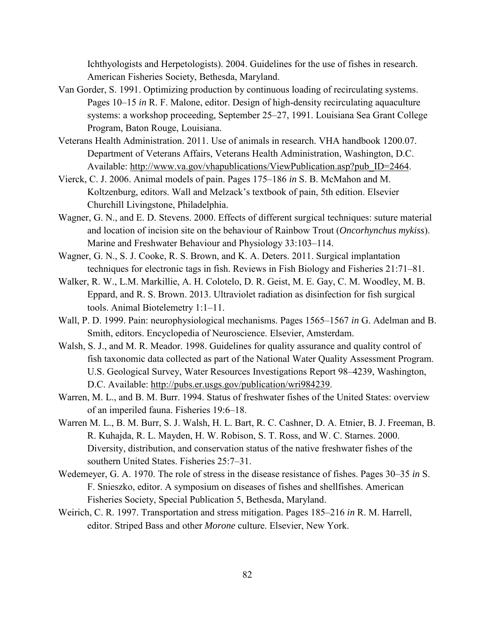Ichthyologists and Herpetologists). 2004. Guidelines for the use of fishes in research. American Fisheries Society, Bethesda, Maryland.

- Van Gorder, S. 1991. Optimizing production by continuous loading of recirculating systems. Pages 10–15 *in* R. F. Malone, editor. Design of high-density recirculating aquaculture systems: a workshop proceeding, September 25–27, 1991. Louisiana Sea Grant College Program, Baton Rouge, Louisiana.
- Veterans Health Administration. 2011. Use of animals in research. VHA handbook 1200.07. Department of Veterans Affairs, Veterans Health Administration, Washington, D.C. Available: [http://www.va.gov/vhapublications/ViewPublication.asp?pub\\_ID=2464.](http://www.va.gov/vhapublications/ViewPublication.asp?pub_ID=2464)
- Vierck, C. J. 2006. Animal models of pain. Pages 175–186 *in* S. B. McMahon and M. Koltzenburg, editors. Wall and Melzack's textbook of pain, 5th edition. Elsevier Churchill Livingstone, Philadelphia.
- Wagner, G. N., and E. D. Stevens. 2000. Effects of different surgical techniques: suture material and location of incision site on the behaviour of Rainbow Trout (*Oncorhynchus mykiss*). Marine and Freshwater Behaviour and Physiology 33:103–114.
- Wagner, G. N., S. J. Cooke, R. S. Brown, and K. A. Deters. 2011. Surgical implantation techniques for electronic tags in fish. Reviews in Fish Biology and Fisheries 21:71–81.
- Walker, R. W., L.M. Markillie, A. H. Colotelo, D. R. Geist, M. E. Gay, C. M. Woodley, M. B. Eppard, and R. S. Brown. 2013. Ultraviolet radiation as disinfection for fish surgical tools. Animal Biotelemetry 1:1–11.
- Wall, P. D. 1999. Pain: neurophysiological mechanisms. Pages 1565–1567 *in* G. Adelman and B. Smith, editors. Encyclopedia of Neuroscience. Elsevier, Amsterdam.
- Walsh, S. J., and M. R. Meador. 1998. Guidelines for quality assurance and quality control of fish taxonomic data collected as part of the National Water Quality Assessment Program. U.S. Geological Survey, Water Resources Investigations Report 98–4239, Washington, D.C. Available: [http://pubs.er.usgs.gov/publication/wri984239.](http://pubs.er.usgs.gov/publication/wri984239)
- Warren, M. L., and B. M. Burr. 1994. Status of freshwater fishes of the United States: overview of an imperiled fauna. Fisheries 19:6–18.
- Warren M. L., B. M. Burr, S. J. Walsh, H. L. Bart, R. C. Cashner, D. A. Etnier, B. J. Freeman, B. R. Kuhajda, R. L. Mayden, H. W. Robison, S. T. Ross, and W. C. Starnes. 2000. Diversity, distribution, and conservation status of the native freshwater fishes of the southern United States. Fisheries 25:7–31.
- Wedemeyer, G. A. 1970. The role of stress in the disease resistance of fishes. Pages 30–35 *in* S. F. Snieszko, editor. A symposium on diseases of fishes and shellfishes. American Fisheries Society, Special Publication 5, Bethesda, Maryland.
- Weirich, C. R. 1997. Transportation and stress mitigation. Pages 185–216 *in* R. M. Harrell, editor. Striped Bass and other *Morone* culture. Elsevier, New York.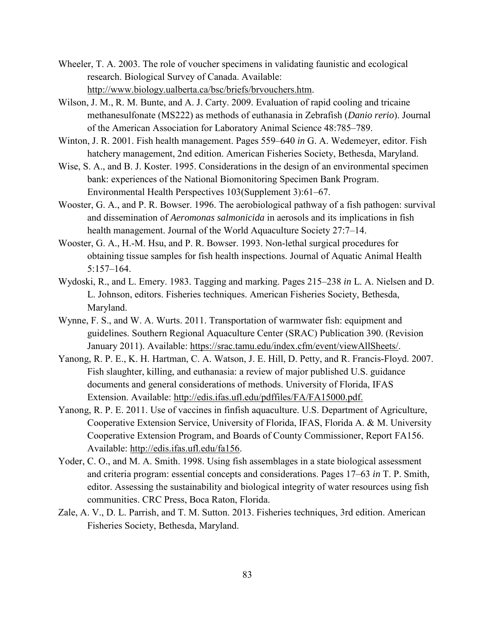- Wheeler, T. A. 2003. The role of voucher specimens in validating faunistic and ecological research. Biological Survey of Canada. Available: [http://www.biology.ualberta.ca/bsc/briefs/brvouchers.htm.](http://www.biology.ualberta.ca/bsc/briefs/brvouchers.htm)
- Wilson, J. M., R. M. Bunte, and A. J. Carty. 2009. Evaluation of rapid cooling and tricaine methanesulfonate (MS222) as methods of euthanasia in Zebrafish (*Danio rerio*). Journal of the American Association for Laboratory Animal Science 48:785–789.
- Winton, J. R. 2001. Fish health management. Pages 559–640 *in* G. A. Wedemeyer, editor. Fish hatchery management, 2nd edition. American Fisheries Society, Bethesda, Maryland.
- Wise, S. A., and B. J. Koster. 1995. Considerations in the design of an environmental specimen bank: experiences of the National Biomonitoring Specimen Bank Program. Environmental Health Perspectives 103(Supplement 3):61–67.
- Wooster, G. A., and P. R. Bowser. 1996. The aerobiological pathway of a fish pathogen: survival and dissemination of *Aeromonas salmonicida* in aerosols and its implications in fish health management. Journal of the World Aquaculture Society 27:7–14.
- Wooster, G. A., H.-M. Hsu, and P. R. Bowser. 1993. Non-lethal surgical procedures for obtaining tissue samples for fish health inspections. Journal of Aquatic Animal Health 5:157–164.
- Wydoski, R., and L. Emery. 1983. Tagging and marking. Pages 215–238 *in* L. A. Nielsen and D. L. Johnson, editors. Fisheries techniques. American Fisheries Society, Bethesda, Maryland.
- Wynne, F. S., and W. A. Wurts. 2011. Transportation of warmwater fish: equipment and guidelines. Southern Regional Aquaculture Center (SRAC) Publication 390. (Revision January 2011). Available: [https://srac.tamu.edu/index.cfm/event/viewAllSheets/.](https://srac.tamu.edu/index.cfm/event/viewAllSheets/)
- Yanong, R. P. E., K. H. Hartman, C. A. Watson, J. E. Hill, D. Petty, and R. Francis-Floyd. 2007. Fish slaughter, killing, and euthanasia: a review of major published U.S. guidance documents and general considerations of methods. University of Florida, IFAS Extension. Available: [http://edis.ifas.ufl.edu/pdffiles/FA/FA15000.pdf.](http://edis.ifas.ufl.edu/pdffiles/FA/FA15000.pdf)
- Yanong, R. P. E. 2011. Use of vaccines in finfish aquaculture. U.S. Department of Agriculture, Cooperative Extension Service, University of Florida, IFAS, Florida A. & M. University Cooperative Extension Program, and Boards of County Commissioner, Report FA156. Available: [http://edis.ifas.ufl.edu/fa156.](http://edis.ifas.ufl.edu/fa156)
- Yoder, C. O., and M. A. Smith. 1998. Using fish assemblages in a state biological assessment and criteria program: essential concepts and considerations. Pages 17–63 *in* T. P. Smith, editor. Assessing the sustainability and biological integrity of water resources using fish communities. CRC Press, Boca Raton, Florida.
- Zale, A. V., D. L. Parrish, and T. M. Sutton. 2013. Fisheries techniques, 3rd edition. American Fisheries Society, Bethesda, Maryland.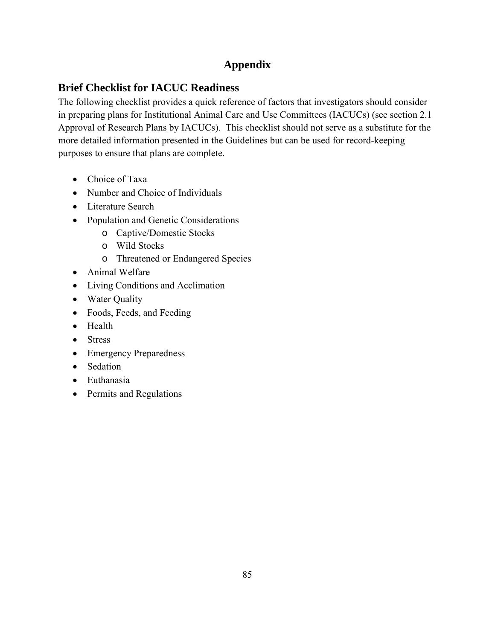# **Appendix**

# **Brief Checklist for IACUC Readiness**

The following checklist provides a quick reference of factors that investigators should consider in preparing plans for Institutional Animal Care and Use Committees (IACUCs) (see section [2.1](#page-17-0)  [Approval of Research Plans by IACUCs\)](#page-17-0). This checklist should not serve as a substitute for the more detailed information presented in the Guidelines but can be used for record-keeping purposes to ensure that plans are complete.

- Choice of Taxa
- Number and Choice of Individuals
- Literature Search
- Population and Genetic Considerations
	- o Captive/Domestic Stocks
	- o Wild Stocks
	- o Threatened or Endangered Species
- Animal Welfare
- Living Conditions and Acclimation
- Water Quality
- Foods, Feeds, and Feeding
- Health
- Stress
- Emergency Preparedness
- Sedation
- Euthanasia
- Permits and Regulations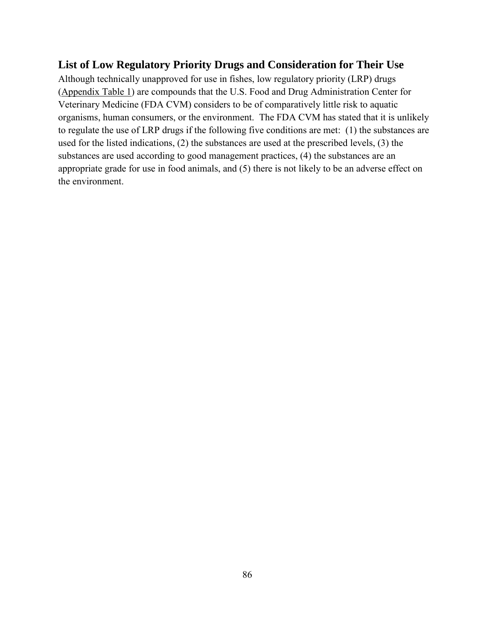## **List of Low Regulatory Priority Drugs and Consideration for Their Use**

Although technically unapproved for use in fishes, low regulatory priority (LRP) drugs ([Appendix Table 1\)](#page-101-0) are compounds that the U.S. Food and Drug Administration Center for Veterinary Medicine (FDA CVM) considers to be of comparatively little risk to aquatic organisms, human consumers, or the environment. The FDA CVM has stated that it is unlikely to regulate the use of LRP drugs if the following five conditions are met: (1) the substances are used for the listed indications, (2) the substances are used at the prescribed levels, (3) the substances are used according to good management practices, (4) the substances are an appropriate grade for use in food animals, and (5) there is not likely to be an adverse effect on the environment.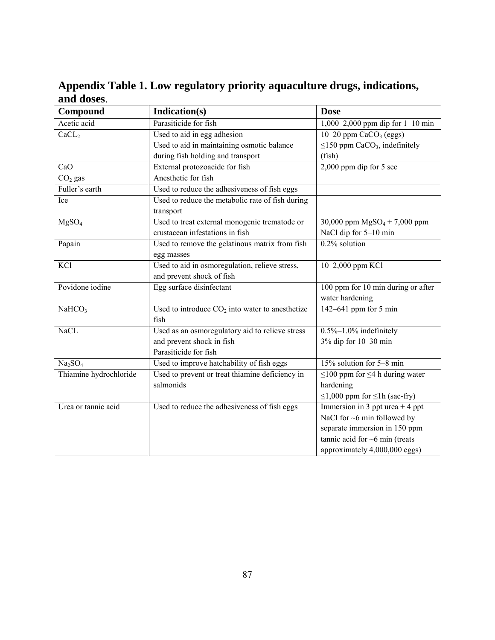<span id="page-101-0"></span>**Appendix Table 1. Low regulatory priority aquaculture drugs, indications, and doses**.

| Compound                        | Indication(s)                                                                    | <b>Dose</b>                                              |
|---------------------------------|----------------------------------------------------------------------------------|----------------------------------------------------------|
| Acetic acid                     | Parasiticide for fish                                                            | 1,000–2,000 ppm dip for $1-10$ min                       |
| CaCL <sub>2</sub>               | Used to aid in egg adhesion                                                      | 10-20 ppm $CaCO3$ (eggs)                                 |
|                                 | Used to aid in maintaining osmotic balance                                       | $\leq$ 150 ppm CaCO <sub>3</sub> , indefinitely          |
|                                 | during fish holding and transport                                                | (fish)                                                   |
| CaO                             | External protozoacide for fish                                                   | $2,000$ ppm dip for 5 sec                                |
| $\overline{CO}_2$ gas           | Anesthetic for fish                                                              |                                                          |
| Fuller's earth                  | Used to reduce the adhesiveness of fish eggs                                     |                                                          |
| Ice                             | Used to reduce the metabolic rate of fish during<br>transport                    |                                                          |
| MgSO <sub>4</sub>               | Used to treat external monogenic trematode or<br>crustacean infestations in fish | 30,000 ppm $MgSO_4 + 7,000$ ppm<br>NaCl dip for 5-10 min |
| Papain                          | Used to remove the gelatinous matrix from fish<br>egg masses                     | 0.2% solution                                            |
| KCl                             | Used to aid in osmoregulation, relieve stress,<br>and prevent shock of fish      | 10-2,000 ppm KCl                                         |
| Povidone iodine                 | Egg surface disinfectant                                                         | 100 ppm for 10 min during or after<br>water hardening    |
| NaHCO <sub>3</sub>              | Used to introduce $CO2$ into water to anesthetize<br>fish                        | 142–641 ppm for 5 min                                    |
| <b>NaCL</b>                     | Used as an osmoregulatory aid to relieve stress                                  | $0.5\% - 1.0\%$ indefinitely                             |
|                                 | and prevent shock in fish<br>Parasiticide for fish                               | 3% dip for 10-30 min                                     |
| Na <sub>2</sub> SO <sub>4</sub> | Used to improve hatchability of fish eggs                                        | 15% solution for 5-8 min                                 |
| Thiamine hydrochloride          | Used to prevent or treat thiamine deficiency in<br>salmonids                     | $\leq$ 100 ppm for $\leq$ 4 h during water<br>hardening  |
|                                 |                                                                                  | $\leq$ 1,000 ppm for $\leq$ 1h (sac-fry)                 |
| Urea or tannic acid             | Used to reduce the adhesiveness of fish eggs                                     | Immersion in 3 ppt urea $+4$ ppt                         |
|                                 |                                                                                  | NaCl for $\sim$ 6 min followed by                        |
|                                 |                                                                                  | separate immersion in 150 ppm                            |
|                                 |                                                                                  | tannic acid for $\sim$ 6 min (treats                     |
|                                 |                                                                                  | approximately 4,000,000 eggs)                            |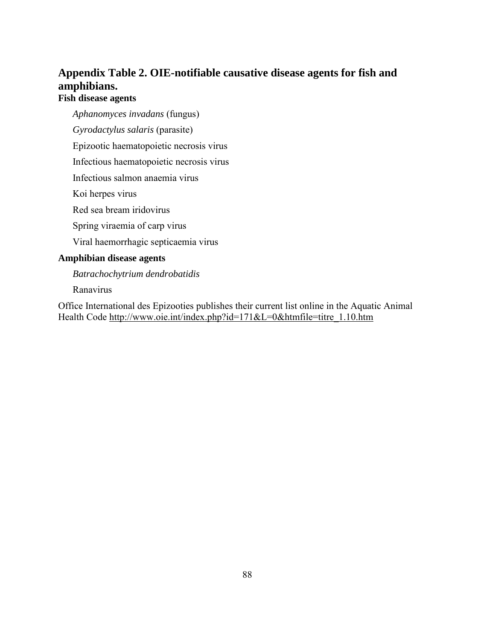# **Appendix Table 2. OIE-notifiable causative disease agents for fish and amphibians.**

## **Fish disease agents**

*Aphanomyces invadans* (fungus)

*Gyrodactylus salaris* (parasite)

Epizootic haematopoietic necrosis virus

Infectious haematopoietic necrosis virus

Infectious salmon anaemia virus

Koi herpes virus

Red sea bream iridovirus

Spring viraemia of carp virus

Viral haemorrhagic septicaemia virus

#### **Amphibian disease agents**

*Batrachochytrium dendrobatidis* 

Ranavirus

Office International des Epizooties publishes their current list online in the Aquatic Animal Health Code http://www.oie.int/index.php?id=171&L=0&htmfile=titre\_1.10.htm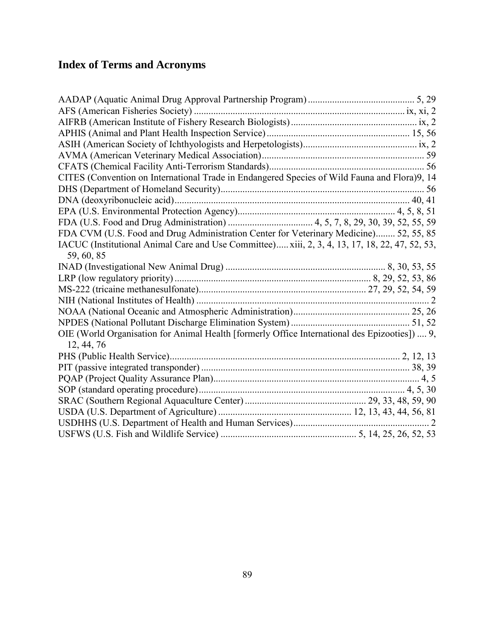# **Index of Terms and Acronyms**

| CITES (Convention on International Trade in Endangered Species of Wild Fauna and Flora)9, 14   |  |
|------------------------------------------------------------------------------------------------|--|
|                                                                                                |  |
|                                                                                                |  |
|                                                                                                |  |
|                                                                                                |  |
| FDA CVM (U.S. Food and Drug Administration Center for Veterinary Medicine) 52, 55, 85          |  |
| IACUC (Institutional Animal Care and Use Committee) xiii, 2, 3, 4, 13, 17, 18, 22, 47, 52, 53, |  |
| 59, 60, 85                                                                                     |  |
|                                                                                                |  |
|                                                                                                |  |
|                                                                                                |  |
|                                                                                                |  |
|                                                                                                |  |
|                                                                                                |  |
| OIE (World Organisation for Animal Health [formerly Office International des Epizooties])  9,  |  |
| 12, 44, 76                                                                                     |  |
|                                                                                                |  |
|                                                                                                |  |
|                                                                                                |  |
|                                                                                                |  |
|                                                                                                |  |
|                                                                                                |  |
|                                                                                                |  |
|                                                                                                |  |